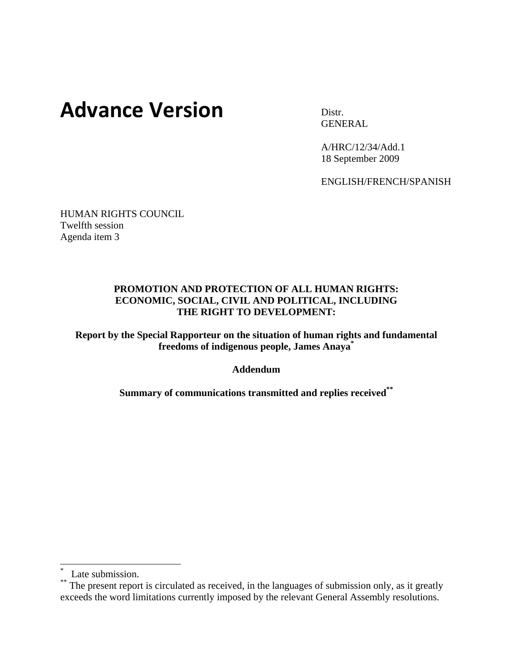# **Advance Version** Distr.

**GENERAL** 

A/HRC/12/34/Add.1 18 September 2009

ENGLISH/FRENCH/SPANISH

HUMAN RIGHTS COUNCIL Twelfth session Agenda item 3

#### **PROMOTION AND PROTECTION OF ALL HUMAN RIGHTS: ECONOMIC, SOCIAL, CIVIL AND POLITICAL, INCLUDING THE RIGHT TO DEVELOPMENT:**

**Report by the Special Rapporteur on the situation of human rights and fundamental freedoms of indigenous people, James Anaya\***

**Addendum** 

**Summary of communications transmitted and replies received\*\***

 $\overline{\phantom{a}}$ 

<sup>\*</sup> Late submission.

<sup>\*\*</sup> The present report is circulated as received, in the languages of submission only, as it greatly exceeds the word limitations currently imposed by the relevant General Assembly resolutions.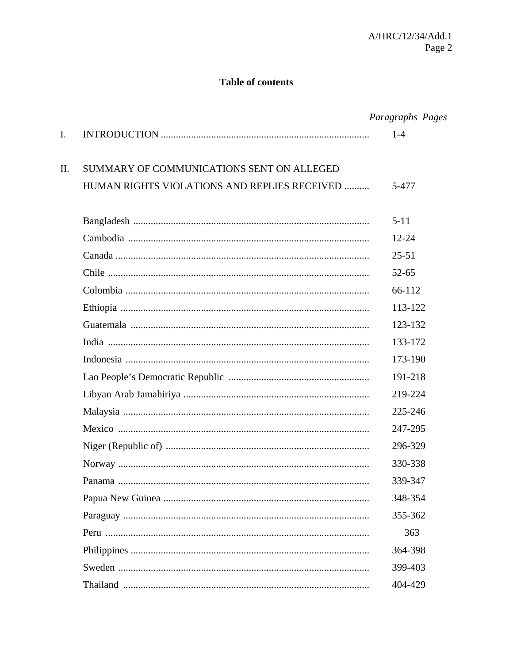### **Table of contents**

|    |                                              | Paragraphs Pages |
|----|----------------------------------------------|------------------|
| I. |                                              | $1 - 4$          |
| Π. | SUMMARY OF COMMUNICATIONS SENT ON ALLEGED    |                  |
|    | HUMAN RIGHTS VIOLATIONS AND REPLIES RECEIVED | 5-477            |
|    |                                              | $5 - 11$         |
|    |                                              | $12 - 24$        |
|    |                                              | $25 - 51$        |
|    |                                              | $52 - 65$        |
|    |                                              | 66-112           |
|    |                                              | 113-122          |
|    |                                              | 123-132          |
|    |                                              | 133-172          |
|    |                                              | 173-190          |
|    |                                              | 191-218          |
|    |                                              | 219-224          |
|    |                                              | 225-246          |
|    |                                              | 247-295          |
|    |                                              | 296-329          |
|    |                                              | 330-338          |
|    |                                              | 339-347          |
|    |                                              | 348-354          |
|    |                                              | 355-362          |
|    |                                              | 363              |
|    |                                              | 364-398          |
|    |                                              | 399-403          |
|    |                                              | 404-429          |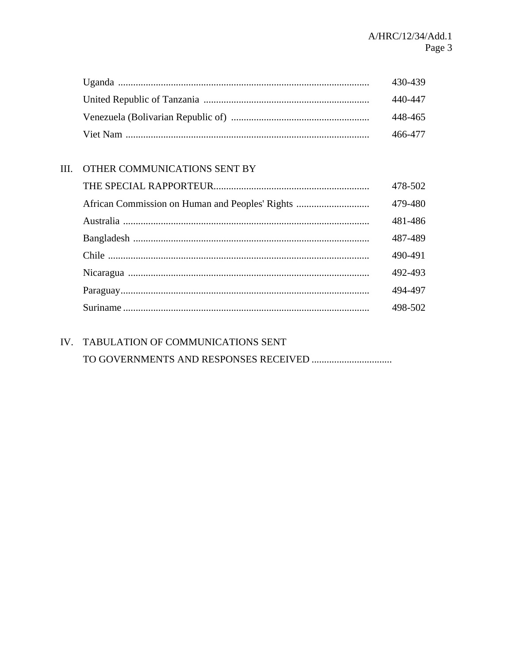| 430-439 |
|---------|
| 440-447 |
| 448-465 |
| 466-477 |

## III. OTHER COMMUNICATIONS SENT BY

| 478-502 |
|---------|
| 479-480 |
| 481-486 |
| 487-489 |
| 490-491 |
| 492-493 |
| 494-497 |
| 498-502 |

# IV. TABULATION OF COMMUNICATIONS SENT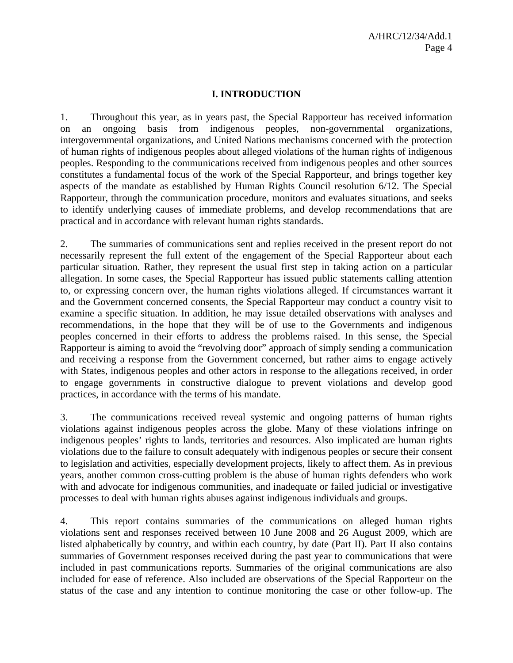#### **I. INTRODUCTION**

1. Throughout this year, as in years past, the Special Rapporteur has received information on an ongoing basis from indigenous peoples, non-governmental organizations, intergovernmental organizations, and United Nations mechanisms concerned with the protection of human rights of indigenous peoples about alleged violations of the human rights of indigenous peoples. Responding to the communications received from indigenous peoples and other sources constitutes a fundamental focus of the work of the Special Rapporteur, and brings together key aspects of the mandate as established by Human Rights Council resolution 6/12. The Special Rapporteur, through the communication procedure, monitors and evaluates situations, and seeks to identify underlying causes of immediate problems, and develop recommendations that are practical and in accordance with relevant human rights standards.

2. The summaries of communications sent and replies received in the present report do not necessarily represent the full extent of the engagement of the Special Rapporteur about each particular situation. Rather, they represent the usual first step in taking action on a particular allegation. In some cases, the Special Rapporteur has issued public statements calling attention to, or expressing concern over, the human rights violations alleged. If circumstances warrant it and the Government concerned consents, the Special Rapporteur may conduct a country visit to examine a specific situation. In addition, he may issue detailed observations with analyses and recommendations, in the hope that they will be of use to the Governments and indigenous peoples concerned in their efforts to address the problems raised. In this sense, the Special Rapporteur is aiming to avoid the "revolving door" approach of simply sending a communication and receiving a response from the Government concerned, but rather aims to engage actively with States, indigenous peoples and other actors in response to the allegations received, in order to engage governments in constructive dialogue to prevent violations and develop good practices, in accordance with the terms of his mandate.

3. The communications received reveal systemic and ongoing patterns of human rights violations against indigenous peoples across the globe. Many of these violations infringe on indigenous peoples' rights to lands, territories and resources. Also implicated are human rights violations due to the failure to consult adequately with indigenous peoples or secure their consent to legislation and activities, especially development projects, likely to affect them. As in previous years, another common cross-cutting problem is the abuse of human rights defenders who work with and advocate for indigenous communities, and inadequate or failed judicial or investigative processes to deal with human rights abuses against indigenous individuals and groups.

4. This report contains summaries of the communications on alleged human rights violations sent and responses received between 10 June 2008 and 26 August 2009, which are listed alphabetically by country, and within each country, by date (Part II). Part II also contains summaries of Government responses received during the past year to communications that were included in past communications reports. Summaries of the original communications are also included for ease of reference. Also included are observations of the Special Rapporteur on the status of the case and any intention to continue monitoring the case or other follow-up. The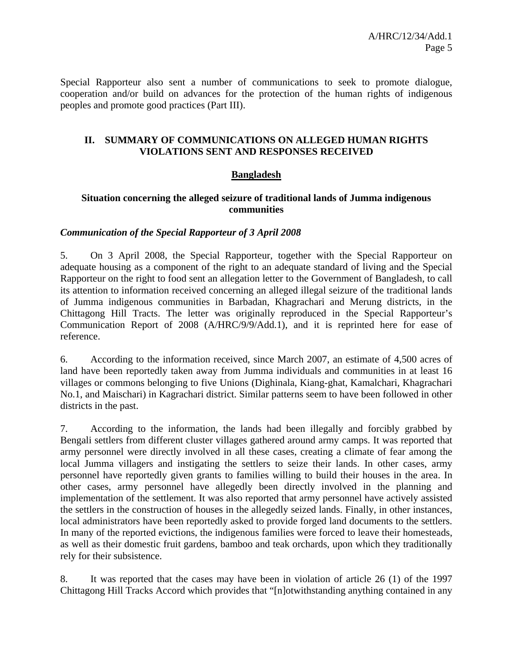Special Rapporteur also sent a number of communications to seek to promote dialogue, cooperation and/or build on advances for the protection of the human rights of indigenous peoples and promote good practices (Part III).

#### **II. SUMMARY OF COMMUNICATIONS ON ALLEGED HUMAN RIGHTS VIOLATIONS SENT AND RESPONSES RECEIVED**

#### **Bangladesh**

#### **Situation concerning the alleged seizure of traditional lands of Jumma indigenous communities**

#### *Communication of the Special Rapporteur of 3 April 2008*

5. On 3 April 2008, the Special Rapporteur, together with the Special Rapporteur on adequate housing as a component of the right to an adequate standard of living and the Special Rapporteur on the right to food sent an allegation letter to the Government of Bangladesh, to call its attention to information received concerning an alleged illegal seizure of the traditional lands of Jumma indigenous communities in Barbadan, Khagrachari and Merung districts, in the Chittagong Hill Tracts. The letter was originally reproduced in the Special Rapporteur's Communication Report of 2008 (A/HRC/9/9/Add.1), and it is reprinted here for ease of reference.

6. According to the information received, since March 2007, an estimate of 4,500 acres of land have been reportedly taken away from Jumma individuals and communities in at least 16 villages or commons belonging to five Unions (Dighinala, Kiang-ghat, Kamalchari, Khagrachari No.1, and Maischari) in Kagrachari district. Similar patterns seem to have been followed in other districts in the past.

7. According to the information, the lands had been illegally and forcibly grabbed by Bengali settlers from different cluster villages gathered around army camps. It was reported that army personnel were directly involved in all these cases, creating a climate of fear among the local Jumma villagers and instigating the settlers to seize their lands. In other cases, army personnel have reportedly given grants to families willing to build their houses in the area. In other cases, army personnel have allegedly been directly involved in the planning and implementation of the settlement. It was also reported that army personnel have actively assisted the settlers in the construction of houses in the allegedly seized lands. Finally, in other instances, local administrators have been reportedly asked to provide forged land documents to the settlers. In many of the reported evictions, the indigenous families were forced to leave their homesteads, as well as their domestic fruit gardens, bamboo and teak orchards, upon which they traditionally rely for their subsistence.

8. It was reported that the cases may have been in violation of article 26 (1) of the 1997 Chittagong Hill Tracks Accord which provides that "[n]otwithstanding anything contained in any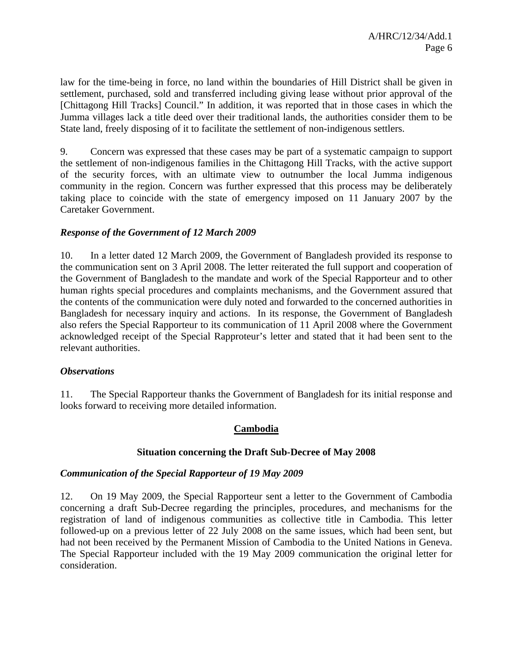law for the time-being in force, no land within the boundaries of Hill District shall be given in settlement, purchased, sold and transferred including giving lease without prior approval of the [Chittagong Hill Tracks] Council." In addition, it was reported that in those cases in which the Jumma villages lack a title deed over their traditional lands, the authorities consider them to be State land, freely disposing of it to facilitate the settlement of non-indigenous settlers.

9. Concern was expressed that these cases may be part of a systematic campaign to support the settlement of non-indigenous families in the Chittagong Hill Tracks, with the active support of the security forces, with an ultimate view to outnumber the local Jumma indigenous community in the region. Concern was further expressed that this process may be deliberately taking place to coincide with the state of emergency imposed on 11 January 2007 by the Caretaker Government.

#### *Response of the Government of 12 March 2009*

10. In a letter dated 12 March 2009, the Government of Bangladesh provided its response to the communication sent on 3 April 2008. The letter reiterated the full support and cooperation of the Government of Bangladesh to the mandate and work of the Special Rapporteur and to other human rights special procedures and complaints mechanisms, and the Government assured that the contents of the communication were duly noted and forwarded to the concerned authorities in Bangladesh for necessary inquiry and actions. In its response, the Government of Bangladesh also refers the Special Rapporteur to its communication of 11 April 2008 where the Government acknowledged receipt of the Special Rapproteur's letter and stated that it had been sent to the relevant authorities.

#### *Observations*

11. The Special Rapporteur thanks the Government of Bangladesh for its initial response and looks forward to receiving more detailed information.

#### **Cambodia**

#### **Situation concerning the Draft Sub-Decree of May 2008**

#### *Communication of the Special Rapporteur of 19 May 2009*

12. On 19 May 2009, the Special Rapporteur sent a letter to the Government of Cambodia concerning a draft Sub-Decree regarding the principles, procedures, and mechanisms for the registration of land of indigenous communities as collective title in Cambodia. This letter followed-up on a previous letter of 22 July 2008 on the same issues, which had been sent, but had not been received by the Permanent Mission of Cambodia to the United Nations in Geneva. The Special Rapporteur included with the 19 May 2009 communication the original letter for consideration.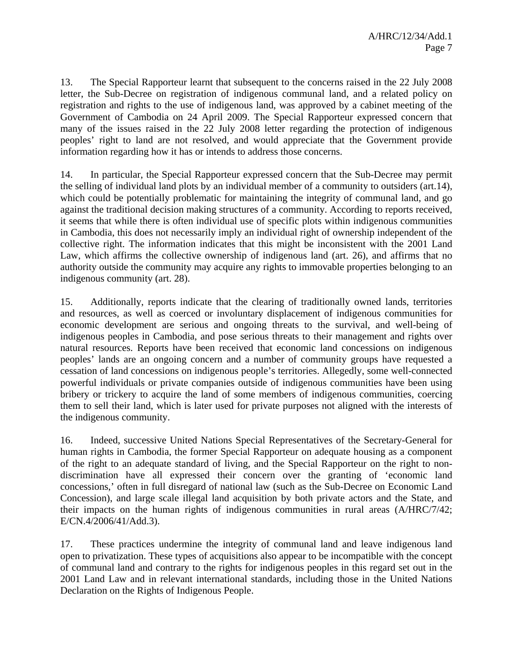13. The Special Rapporteur learnt that subsequent to the concerns raised in the 22 July 2008 letter, the Sub-Decree on registration of indigenous communal land, and a related policy on registration and rights to the use of indigenous land, was approved by a cabinet meeting of the Government of Cambodia on 24 April 2009. The Special Rapporteur expressed concern that many of the issues raised in the 22 July 2008 letter regarding the protection of indigenous peoples' right to land are not resolved, and would appreciate that the Government provide information regarding how it has or intends to address those concerns.

14. In particular, the Special Rapporteur expressed concern that the Sub-Decree may permit the selling of individual land plots by an individual member of a community to outsiders (art.14), which could be potentially problematic for maintaining the integrity of communal land, and go against the traditional decision making structures of a community. According to reports received, it seems that while there is often individual use of specific plots within indigenous communities in Cambodia, this does not necessarily imply an individual right of ownership independent of the collective right. The information indicates that this might be inconsistent with the 2001 Land Law, which affirms the collective ownership of indigenous land (art. 26), and affirms that no authority outside the community may acquire any rights to immovable properties belonging to an indigenous community (art. 28).

15. Additionally, reports indicate that the clearing of traditionally owned lands, territories and resources, as well as coerced or involuntary displacement of indigenous communities for economic development are serious and ongoing threats to the survival, and well-being of indigenous peoples in Cambodia, and pose serious threats to their management and rights over natural resources. Reports have been received that economic land concessions on indigenous peoples' lands are an ongoing concern and a number of community groups have requested a cessation of land concessions on indigenous people's territories. Allegedly, some well-connected powerful individuals or private companies outside of indigenous communities have been using bribery or trickery to acquire the land of some members of indigenous communities, coercing them to sell their land, which is later used for private purposes not aligned with the interests of the indigenous community.

16. Indeed, successive United Nations Special Representatives of the Secretary-General for human rights in Cambodia, the former Special Rapporteur on adequate housing as a component of the right to an adequate standard of living, and the Special Rapporteur on the right to nondiscrimination have all expressed their concern over the granting of 'economic land concessions,' often in full disregard of national law (such as the Sub-Decree on Economic Land Concession), and large scale illegal land acquisition by both private actors and the State, and their impacts on the human rights of indigenous communities in rural areas (A/HRC/7/42; E/CN.4/2006/41/Add.3).

17. These practices undermine the integrity of communal land and leave indigenous land open to privatization. These types of acquisitions also appear to be incompatible with the concept of communal land and contrary to the rights for indigenous peoples in this regard set out in the 2001 Land Law and in relevant international standards, including those in the United Nations Declaration on the Rights of Indigenous People.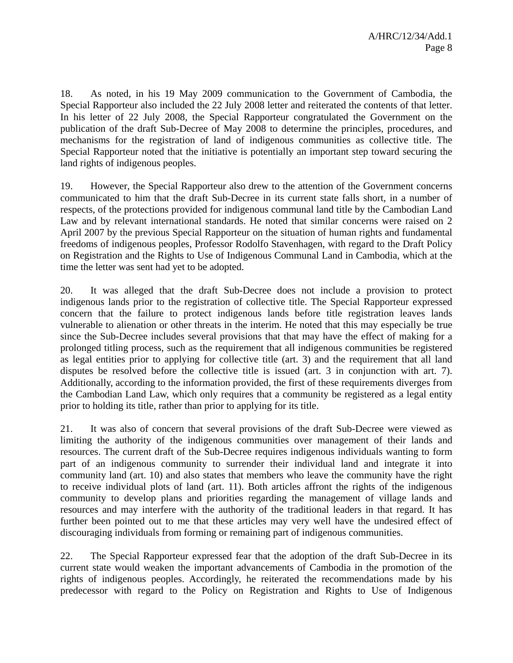18. As noted, in his 19 May 2009 communication to the Government of Cambodia, the Special Rapporteur also included the 22 July 2008 letter and reiterated the contents of that letter. In his letter of 22 July 2008, the Special Rapporteur congratulated the Government on the publication of the draft Sub-Decree of May 2008 to determine the principles, procedures, and mechanisms for the registration of land of indigenous communities as collective title. The Special Rapporteur noted that the initiative is potentially an important step toward securing the land rights of indigenous peoples.

19. However, the Special Rapporteur also drew to the attention of the Government concerns communicated to him that the draft Sub-Decree in its current state falls short, in a number of respects, of the protections provided for indigenous communal land title by the Cambodian Land Law and by relevant international standards. He noted that similar concerns were raised on 2 April 2007 by the previous Special Rapporteur on the situation of human rights and fundamental freedoms of indigenous peoples, Professor Rodolfo Stavenhagen, with regard to the Draft Policy on Registration and the Rights to Use of Indigenous Communal Land in Cambodia, which at the time the letter was sent had yet to be adopted.

20. It was alleged that the draft Sub-Decree does not include a provision to protect indigenous lands prior to the registration of collective title. The Special Rapporteur expressed concern that the failure to protect indigenous lands before title registration leaves lands vulnerable to alienation or other threats in the interim. He noted that this may especially be true since the Sub-Decree includes several provisions that that may have the effect of making for a prolonged titling process, such as the requirement that all indigenous communities be registered as legal entities prior to applying for collective title (art. 3) and the requirement that all land disputes be resolved before the collective title is issued (art. 3 in conjunction with art. 7). Additionally, according to the information provided, the first of these requirements diverges from the Cambodian Land Law, which only requires that a community be registered as a legal entity prior to holding its title, rather than prior to applying for its title.

21. It was also of concern that several provisions of the draft Sub-Decree were viewed as limiting the authority of the indigenous communities over management of their lands and resources. The current draft of the Sub-Decree requires indigenous individuals wanting to form part of an indigenous community to surrender their individual land and integrate it into community land (art. 10) and also states that members who leave the community have the right to receive individual plots of land (art. 11). Both articles affront the rights of the indigenous community to develop plans and priorities regarding the management of village lands and resources and may interfere with the authority of the traditional leaders in that regard. It has further been pointed out to me that these articles may very well have the undesired effect of discouraging individuals from forming or remaining part of indigenous communities.

22. The Special Rapporteur expressed fear that the adoption of the draft Sub-Decree in its current state would weaken the important advancements of Cambodia in the promotion of the rights of indigenous peoples. Accordingly, he reiterated the recommendations made by his predecessor with regard to the Policy on Registration and Rights to Use of Indigenous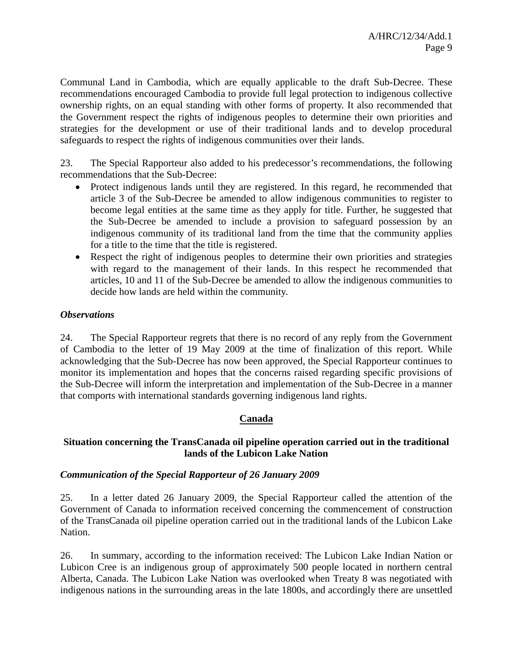Communal Land in Cambodia, which are equally applicable to the draft Sub-Decree. These recommendations encouraged Cambodia to provide full legal protection to indigenous collective ownership rights, on an equal standing with other forms of property. It also recommended that the Government respect the rights of indigenous peoples to determine their own priorities and strategies for the development or use of their traditional lands and to develop procedural safeguards to respect the rights of indigenous communities over their lands.

23. The Special Rapporteur also added to his predecessor's recommendations, the following recommendations that the Sub-Decree:

- Protect indigenous lands until they are registered. In this regard, he recommended that article 3 of the Sub-Decree be amended to allow indigenous communities to register to become legal entities at the same time as they apply for title. Further, he suggested that the Sub-Decree be amended to include a provision to safeguard possession by an indigenous community of its traditional land from the time that the community applies for a title to the time that the title is registered.
- Respect the right of indigenous peoples to determine their own priorities and strategies with regard to the management of their lands. In this respect he recommended that articles, 10 and 11 of the Sub-Decree be amended to allow the indigenous communities to decide how lands are held within the community.

#### *Observations*

24. The Special Rapporteur regrets that there is no record of any reply from the Government of Cambodia to the letter of 19 May 2009 at the time of finalization of this report. While acknowledging that the Sub-Decree has now been approved, the Special Rapporteur continues to monitor its implementation and hopes that the concerns raised regarding specific provisions of the Sub-Decree will inform the interpretation and implementation of the Sub-Decree in a manner that comports with international standards governing indigenous land rights.

#### **Canada**

#### **Situation concerning the TransCanada oil pipeline operation carried out in the traditional lands of the Lubicon Lake Nation**

#### *Communication of the Special Rapporteur of 26 January 2009*

25. In a letter dated 26 January 2009, the Special Rapporteur called the attention of the Government of Canada to information received concerning the commencement of construction of the TransCanada oil pipeline operation carried out in the traditional lands of the Lubicon Lake Nation.

26. In summary, according to the information received: The Lubicon Lake Indian Nation or Lubicon Cree is an indigenous group of approximately 500 people located in northern central Alberta, Canada. The Lubicon Lake Nation was overlooked when Treaty 8 was negotiated with indigenous nations in the surrounding areas in the late 1800s, and accordingly there are unsettled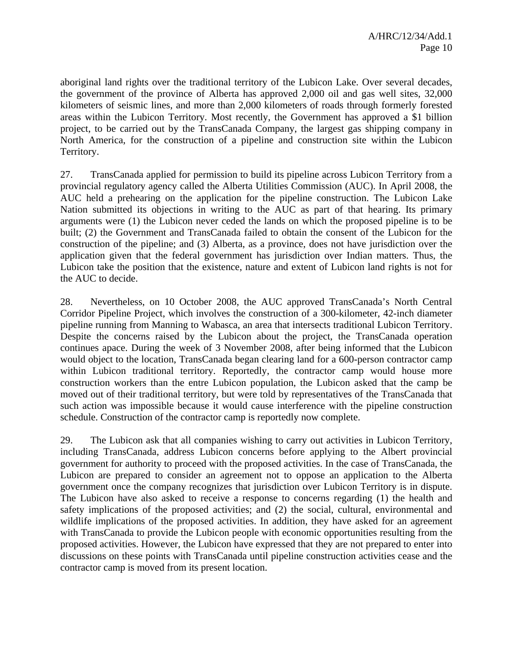aboriginal land rights over the traditional territory of the Lubicon Lake. Over several decades, the government of the province of Alberta has approved 2,000 oil and gas well sites, 32,000 kilometers of seismic lines, and more than 2,000 kilometers of roads through formerly forested areas within the Lubicon Territory. Most recently, the Government has approved a \$1 billion project, to be carried out by the TransCanada Company, the largest gas shipping company in North America, for the construction of a pipeline and construction site within the Lubicon Territory.

27. TransCanada applied for permission to build its pipeline across Lubicon Territory from a provincial regulatory agency called the Alberta Utilities Commission (AUC). In April 2008, the AUC held a prehearing on the application for the pipeline construction. The Lubicon Lake Nation submitted its objections in writing to the AUC as part of that hearing. Its primary arguments were (1) the Lubicon never ceded the lands on which the proposed pipeline is to be built; (2) the Government and TransCanada failed to obtain the consent of the Lubicon for the construction of the pipeline; and (3) Alberta, as a province, does not have jurisdiction over the application given that the federal government has jurisdiction over Indian matters. Thus, the Lubicon take the position that the existence, nature and extent of Lubicon land rights is not for the AUC to decide.

28. Nevertheless, on 10 October 2008, the AUC approved TransCanada's North Central Corridor Pipeline Project, which involves the construction of a 300-kilometer, 42-inch diameter pipeline running from Manning to Wabasca, an area that intersects traditional Lubicon Territory. Despite the concerns raised by the Lubicon about the project, the TransCanada operation continues apace. During the week of 3 November 2008, after being informed that the Lubicon would object to the location, TransCanada began clearing land for a 600-person contractor camp within Lubicon traditional territory. Reportedly, the contractor camp would house more construction workers than the entre Lubicon population, the Lubicon asked that the camp be moved out of their traditional territory, but were told by representatives of the TransCanada that such action was impossible because it would cause interference with the pipeline construction schedule. Construction of the contractor camp is reportedly now complete.

29. The Lubicon ask that all companies wishing to carry out activities in Lubicon Territory, including TransCanada, address Lubicon concerns before applying to the Albert provincial government for authority to proceed with the proposed activities. In the case of TransCanada, the Lubicon are prepared to consider an agreement not to oppose an application to the Alberta government once the company recognizes that jurisdiction over Lubicon Territory is in dispute. The Lubicon have also asked to receive a response to concerns regarding (1) the health and safety implications of the proposed activities; and (2) the social, cultural, environmental and wildlife implications of the proposed activities. In addition, they have asked for an agreement with TransCanada to provide the Lubicon people with economic opportunities resulting from the proposed activities. However, the Lubicon have expressed that they are not prepared to enter into discussions on these points with TransCanada until pipeline construction activities cease and the contractor camp is moved from its present location.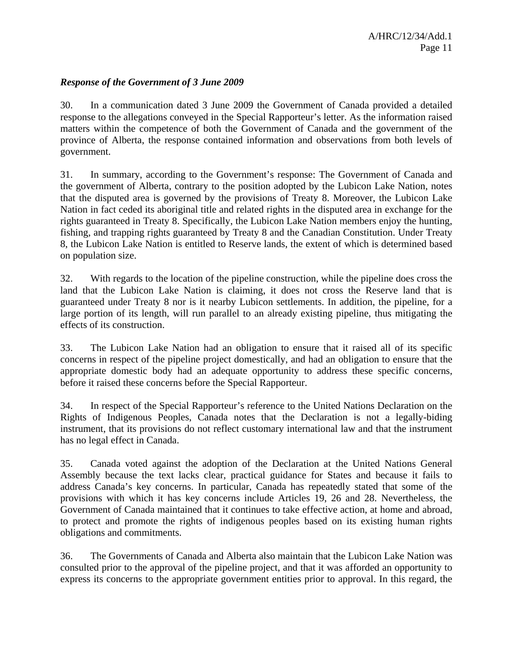#### *Response of the Government of 3 June 2009*

30. In a communication dated 3 June 2009 the Government of Canada provided a detailed response to the allegations conveyed in the Special Rapporteur's letter. As the information raised matters within the competence of both the Government of Canada and the government of the province of Alberta, the response contained information and observations from both levels of government.

31. In summary, according to the Government's response: The Government of Canada and the government of Alberta, contrary to the position adopted by the Lubicon Lake Nation, notes that the disputed area is governed by the provisions of Treaty 8. Moreover, the Lubicon Lake Nation in fact ceded its aboriginal title and related rights in the disputed area in exchange for the rights guaranteed in Treaty 8. Specifically, the Lubicon Lake Nation members enjoy the hunting, fishing, and trapping rights guaranteed by Treaty 8 and the Canadian Constitution. Under Treaty 8, the Lubicon Lake Nation is entitled to Reserve lands, the extent of which is determined based on population size.

32. With regards to the location of the pipeline construction, while the pipeline does cross the land that the Lubicon Lake Nation is claiming, it does not cross the Reserve land that is guaranteed under Treaty 8 nor is it nearby Lubicon settlements. In addition, the pipeline, for a large portion of its length, will run parallel to an already existing pipeline, thus mitigating the effects of its construction.

33. The Lubicon Lake Nation had an obligation to ensure that it raised all of its specific concerns in respect of the pipeline project domestically, and had an obligation to ensure that the appropriate domestic body had an adequate opportunity to address these specific concerns, before it raised these concerns before the Special Rapporteur.

34. In respect of the Special Rapporteur's reference to the United Nations Declaration on the Rights of Indigenous Peoples, Canada notes that the Declaration is not a legally-biding instrument, that its provisions do not reflect customary international law and that the instrument has no legal effect in Canada.

35. Canada voted against the adoption of the Declaration at the United Nations General Assembly because the text lacks clear, practical guidance for States and because it fails to address Canada's key concerns. In particular, Canada has repeatedly stated that some of the provisions with which it has key concerns include Articles 19, 26 and 28. Nevertheless, the Government of Canada maintained that it continues to take effective action, at home and abroad, to protect and promote the rights of indigenous peoples based on its existing human rights obligations and commitments.

36. The Governments of Canada and Alberta also maintain that the Lubicon Lake Nation was consulted prior to the approval of the pipeline project, and that it was afforded an opportunity to express its concerns to the appropriate government entities prior to approval. In this regard, the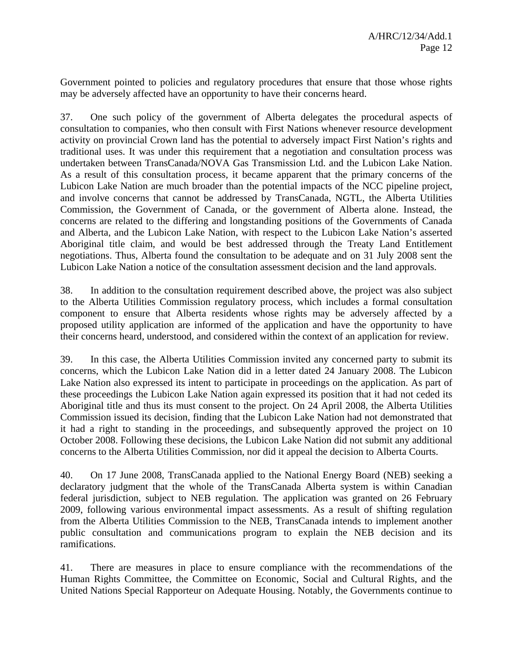Government pointed to policies and regulatory procedures that ensure that those whose rights may be adversely affected have an opportunity to have their concerns heard.

37. One such policy of the government of Alberta delegates the procedural aspects of consultation to companies, who then consult with First Nations whenever resource development activity on provincial Crown land has the potential to adversely impact First Nation's rights and traditional uses. It was under this requirement that a negotiation and consultation process was undertaken between TransCanada/NOVA Gas Transmission Ltd. and the Lubicon Lake Nation. As a result of this consultation process, it became apparent that the primary concerns of the Lubicon Lake Nation are much broader than the potential impacts of the NCC pipeline project, and involve concerns that cannot be addressed by TransCanada, NGTL, the Alberta Utilities Commission, the Government of Canada, or the government of Alberta alone. Instead, the concerns are related to the differing and longstanding positions of the Governments of Canada and Alberta, and the Lubicon Lake Nation, with respect to the Lubicon Lake Nation's asserted Aboriginal title claim, and would be best addressed through the Treaty Land Entitlement negotiations. Thus, Alberta found the consultation to be adequate and on 31 July 2008 sent the Lubicon Lake Nation a notice of the consultation assessment decision and the land approvals.

38. In addition to the consultation requirement described above, the project was also subject to the Alberta Utilities Commission regulatory process, which includes a formal consultation component to ensure that Alberta residents whose rights may be adversely affected by a proposed utility application are informed of the application and have the opportunity to have their concerns heard, understood, and considered within the context of an application for review.

39. In this case, the Alberta Utilities Commission invited any concerned party to submit its concerns, which the Lubicon Lake Nation did in a letter dated 24 January 2008. The Lubicon Lake Nation also expressed its intent to participate in proceedings on the application. As part of these proceedings the Lubicon Lake Nation again expressed its position that it had not ceded its Aboriginal title and thus its must consent to the project. On 24 April 2008, the Alberta Utilities Commission issued its decision, finding that the Lubicon Lake Nation had not demonstrated that it had a right to standing in the proceedings, and subsequently approved the project on 10 October 2008. Following these decisions, the Lubicon Lake Nation did not submit any additional concerns to the Alberta Utilities Commission, nor did it appeal the decision to Alberta Courts.

40. On 17 June 2008, TransCanada applied to the National Energy Board (NEB) seeking a declaratory judgment that the whole of the TransCanada Alberta system is within Canadian federal jurisdiction, subject to NEB regulation. The application was granted on 26 February 2009, following various environmental impact assessments. As a result of shifting regulation from the Alberta Utilities Commission to the NEB, TransCanada intends to implement another public consultation and communications program to explain the NEB decision and its ramifications.

41. There are measures in place to ensure compliance with the recommendations of the Human Rights Committee, the Committee on Economic, Social and Cultural Rights, and the United Nations Special Rapporteur on Adequate Housing. Notably, the Governments continue to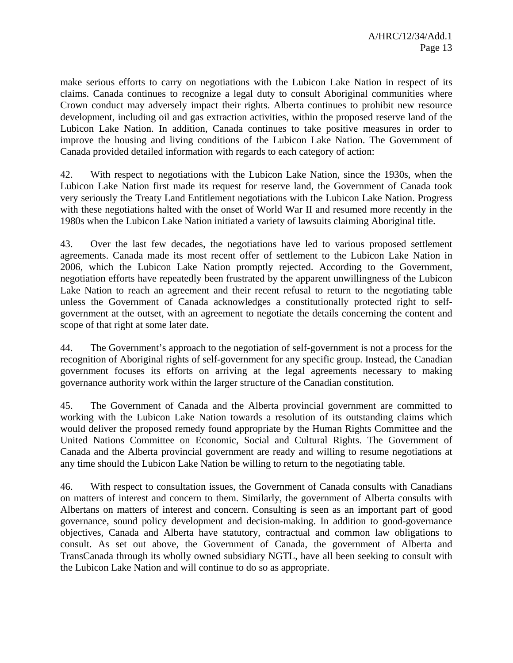make serious efforts to carry on negotiations with the Lubicon Lake Nation in respect of its claims. Canada continues to recognize a legal duty to consult Aboriginal communities where Crown conduct may adversely impact their rights. Alberta continues to prohibit new resource development, including oil and gas extraction activities, within the proposed reserve land of the Lubicon Lake Nation. In addition, Canada continues to take positive measures in order to improve the housing and living conditions of the Lubicon Lake Nation. The Government of Canada provided detailed information with regards to each category of action:

42. With respect to negotiations with the Lubicon Lake Nation, since the 1930s, when the Lubicon Lake Nation first made its request for reserve land, the Government of Canada took very seriously the Treaty Land Entitlement negotiations with the Lubicon Lake Nation. Progress with these negotiations halted with the onset of World War II and resumed more recently in the 1980s when the Lubicon Lake Nation initiated a variety of lawsuits claiming Aboriginal title.

43. Over the last few decades, the negotiations have led to various proposed settlement agreements. Canada made its most recent offer of settlement to the Lubicon Lake Nation in 2006, which the Lubicon Lake Nation promptly rejected. According to the Government, negotiation efforts have repeatedly been frustrated by the apparent unwillingness of the Lubicon Lake Nation to reach an agreement and their recent refusal to return to the negotiating table unless the Government of Canada acknowledges a constitutionally protected right to selfgovernment at the outset, with an agreement to negotiate the details concerning the content and scope of that right at some later date.

44. The Government's approach to the negotiation of self-government is not a process for the recognition of Aboriginal rights of self-government for any specific group. Instead, the Canadian government focuses its efforts on arriving at the legal agreements necessary to making governance authority work within the larger structure of the Canadian constitution.

45. The Government of Canada and the Alberta provincial government are committed to working with the Lubicon Lake Nation towards a resolution of its outstanding claims which would deliver the proposed remedy found appropriate by the Human Rights Committee and the United Nations Committee on Economic, Social and Cultural Rights. The Government of Canada and the Alberta provincial government are ready and willing to resume negotiations at any time should the Lubicon Lake Nation be willing to return to the negotiating table.

46. With respect to consultation issues, the Government of Canada consults with Canadians on matters of interest and concern to them. Similarly, the government of Alberta consults with Albertans on matters of interest and concern. Consulting is seen as an important part of good governance, sound policy development and decision-making. In addition to good-governance objectives, Canada and Alberta have statutory, contractual and common law obligations to consult. As set out above, the Government of Canada, the government of Alberta and TransCanada through its wholly owned subsidiary NGTL, have all been seeking to consult with the Lubicon Lake Nation and will continue to do so as appropriate.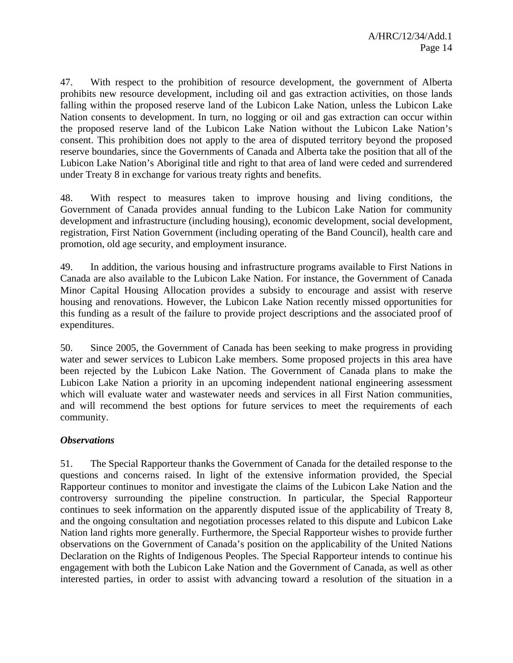47. With respect to the prohibition of resource development, the government of Alberta prohibits new resource development, including oil and gas extraction activities, on those lands falling within the proposed reserve land of the Lubicon Lake Nation, unless the Lubicon Lake Nation consents to development. In turn, no logging or oil and gas extraction can occur within the proposed reserve land of the Lubicon Lake Nation without the Lubicon Lake Nation's consent. This prohibition does not apply to the area of disputed territory beyond the proposed reserve boundaries, since the Governments of Canada and Alberta take the position that all of the Lubicon Lake Nation's Aboriginal title and right to that area of land were ceded and surrendered under Treaty 8 in exchange for various treaty rights and benefits.

48. With respect to measures taken to improve housing and living conditions, the Government of Canada provides annual funding to the Lubicon Lake Nation for community development and infrastructure (including housing), economic development, social development, registration, First Nation Government (including operating of the Band Council), health care and promotion, old age security, and employment insurance.

49. In addition, the various housing and infrastructure programs available to First Nations in Canada are also available to the Lubicon Lake Nation. For instance, the Government of Canada Minor Capital Housing Allocation provides a subsidy to encourage and assist with reserve housing and renovations. However, the Lubicon Lake Nation recently missed opportunities for this funding as a result of the failure to provide project descriptions and the associated proof of expenditures.

50. Since 2005, the Government of Canada has been seeking to make progress in providing water and sewer services to Lubicon Lake members. Some proposed projects in this area have been rejected by the Lubicon Lake Nation. The Government of Canada plans to make the Lubicon Lake Nation a priority in an upcoming independent national engineering assessment which will evaluate water and wastewater needs and services in all First Nation communities, and will recommend the best options for future services to meet the requirements of each community.

#### *Observations*

51. The Special Rapporteur thanks the Government of Canada for the detailed response to the questions and concerns raised. In light of the extensive information provided, the Special Rapporteur continues to monitor and investigate the claims of the Lubicon Lake Nation and the controversy surrounding the pipeline construction. In particular, the Special Rapporteur continues to seek information on the apparently disputed issue of the applicability of Treaty 8, and the ongoing consultation and negotiation processes related to this dispute and Lubicon Lake Nation land rights more generally. Furthermore, the Special Rapporteur wishes to provide further observations on the Government of Canada's position on the applicability of the United Nations Declaration on the Rights of Indigenous Peoples. The Special Rapporteur intends to continue his engagement with both the Lubicon Lake Nation and the Government of Canada, as well as other interested parties, in order to assist with advancing toward a resolution of the situation in a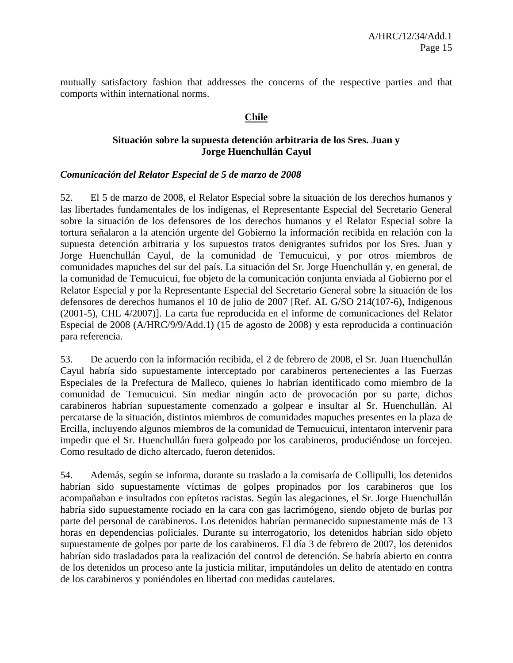mutually satisfactory fashion that addresses the concerns of the respective parties and that comports within international norms.

#### **Chile**

#### **Situación sobre la supuesta detención arbitraria de los Sres. Juan y Jorge Huenchullán Cayul**

#### *Comunicación del Relator Especial de 5 de marzo de 2008*

52. El 5 de marzo de 2008, el Relator Especial sobre la situación de los derechos humanos y las libertades fundamentales de los indígenas, el Representante Especial del Secretario General sobre la situación de los defensores de los derechos humanos y el Relator Especial sobre la tortura señalaron a la atención urgente del Gobierno la información recibida en relación con la supuesta detención arbitraria y los supuestos tratos denigrantes sufridos por los Sres. Juan y Jorge Huenchullán Cayul, de la comunidad de Temucuicui, y por otros miembros de comunidades mapuches del sur del país. La situación del Sr. Jorge Huenchullán y, en general, de la comunidad de Temucuicui, fue objeto de la comunicación conjunta enviada al Gobierno por el Relator Especial y por la Representante Especial del Secretario General sobre la situación de los defensores de derechos humanos el 10 de julio de 2007 [Ref. AL G/SO 214(107-6), Indigenous (2001-5), CHL 4/2007)]. La carta fue reproducida en el informe de comunicaciones del Relator Especial de 2008 (A/HRC/9/9/Add.1) (15 de agosto de 2008) y esta reproducida a continuación para referencia.

53. De acuerdo con la información recibida, el 2 de febrero de 2008, el Sr. Juan Huenchullán Cayul habría sido supuestamente interceptado por carabineros pertenecientes a las Fuerzas Especiales de la Prefectura de Malleco, quienes lo habrían identificado como miembro de la comunidad de Temucuicui. Sin mediar ningún acto de provocación por su parte, dichos carabineros habrían supuestamente comenzado a golpear e insultar al Sr. Huenchullán. Al percatarse de la situación, distintos miembros de comunidades mapuches presentes en la plaza de Ercilla, incluyendo algunos miembros de la comunidad de Temucuicui, intentaron intervenir para impedir que el Sr. Huenchullán fuera golpeado por los carabineros, produciéndose un forcejeo. Como resultado de dicho altercado, fueron detenidos.

54. Además, según se informa, durante su traslado a la comisaría de Collipulli, los detenidos habrían sido supuestamente víctimas de golpes propinados por los carabineros que los acompañaban e insultados con epítetos racistas. Según las alegaciones, el Sr. Jorge Huenchullán habría sido supuestamente rociado en la cara con gas lacrimógeno, siendo objeto de burlas por parte del personal de carabineros. Los detenidos habrían permanecido supuestamente más de 13 horas en dependencias policiales. Durante su interrogatorio, los detenidos habrían sido objeto supuestamente de golpes por parte de los carabineros. El día 3 de febrero de 2007, los detenidos habrían sido trasladados para la realización del control de detención. Se habría abierto en contra de los detenidos un proceso ante la justicia militar, imputándoles un delito de atentado en contra de los carabineros y poniéndoles en libertad con medidas cautelares.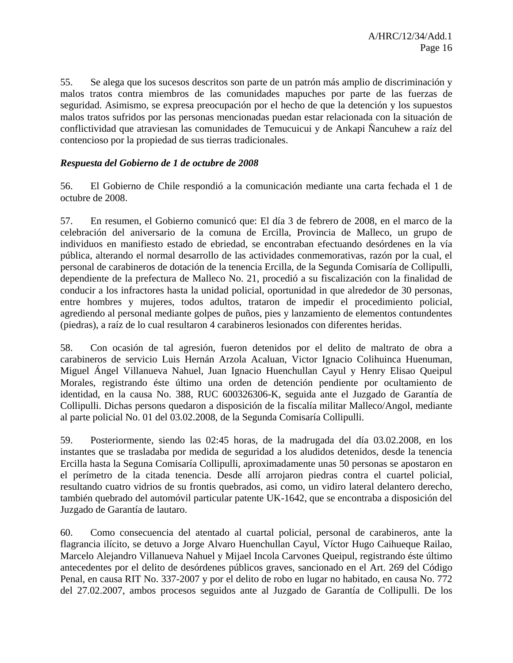55. Se alega que los sucesos descritos son parte de un patrón más amplio de discriminación y malos tratos contra miembros de las comunidades mapuches por parte de las fuerzas de seguridad. Asimismo, se expresa preocupación por el hecho de que la detención y los supuestos malos tratos sufridos por las personas mencionadas puedan estar relacionada con la situación de conflictividad que atraviesan las comunidades de Temucuicui y de Ankapi Ñancuhew a raíz del contencioso por la propiedad de sus tierras tradicionales.

#### *Respuesta del Gobierno de 1 de octubre de 2008*

56. El Gobierno de Chile respondió a la comunicación mediante una carta fechada el 1 de octubre de 2008.

57. En resumen, el Gobierno comunicó que: El día 3 de febrero de 2008, en el marco de la celebración del aniversario de la comuna de Ercilla, Provincia de Malleco, un grupo de individuos en manifiesto estado de ebriedad, se encontraban efectuando desórdenes en la vía pública, alterando el normal desarrollo de las actividades conmemorativas, razón por la cual, el personal de carabineros de dotación de la tenencia Ercilla, de la Segunda Comisaría de Collipulli, dependiente de la prefectura de Malleco No. 21, procedió a su fiscalización con la finalidad de conducir a los infractores hasta la unidad policial, oportunidad in que alrededor de 30 personas, entre hombres y mujeres, todos adultos, trataron de impedir el procedimiento policial, agrediendo al personal mediante golpes de puños, pies y lanzamiento de elementos contundentes (piedras), a raíz de lo cual resultaron 4 carabineros lesionados con diferentes heridas.

58. Con ocasión de tal agresión, fueron detenidos por el delito de maltrato de obra a carabineros de servicio Luis Hernán Arzola Acaluan, Victor Ignacio Colihuinca Huenuman, Miguel Ángel Villanueva Nahuel, Juan Ignacio Huenchullan Cayul y Henry Elisao Queipul Morales, registrando éste último una orden de detención pendiente por ocultamiento de identidad, en la causa No. 388, RUC 600326306-K, seguida ante el Juzgado de Garantía de Collipulli. Dichas persons quedaron a disposición de la fiscalía militar Malleco/Angol, mediante al parte policial No. 01 del 03.02.2008, de la Segunda Comisaría Collipulli.

59. Posteriormente, siendo las 02:45 horas, de la madrugada del día 03.02.2008, en los instantes que se trasladaba por medida de seguridad a los aludidos detenidos, desde la tenencia Ercilla hasta la Seguna Comisaría Collipulli, aproximadamente unas 50 personas se apostaron en el perímetro de la citada tenencia. Desde allí arrojaron piedras contra el cuartel policial, resultando cuatro vidrios de su frontis quebrados, asi como, un vidiro lateral delantero derecho, también quebrado del automóvil particular patente UK-1642, que se encontraba a disposición del Juzgado de Garantía de lautaro.

60. Como consecuencia del atentado al cuartal policial, personal de carabineros, ante la flagrancia ilícito, se detuvo a Jorge Alvaro Huenchullan Cayul, Víctor Hugo Caihueque Railao, Marcelo Alejandro Villanueva Nahuel y Mijael Incola Carvones Queipul, registrando éste último antecedentes por el delito de desórdenes públicos graves, sancionado en el Art. 269 del Código Penal, en causa RIT No. 337-2007 y por el delito de robo en lugar no habitado, en causa No. 772 del 27.02.2007, ambos procesos seguidos ante al Juzgado de Garantía de Collipulli. De los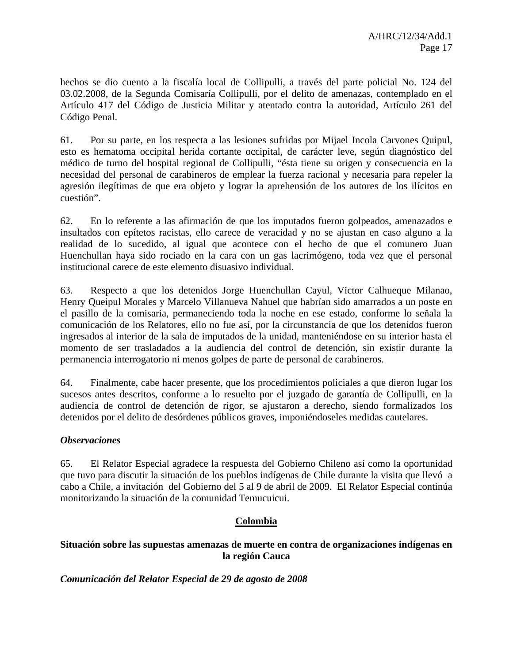hechos se dio cuento a la fiscalía local de Collipulli, a través del parte policial No. 124 del 03.02.2008, de la Segunda Comisaría Collipulli, por el delito de amenazas, contemplado en el Artículo 417 del Código de Justicia Militar y atentado contra la autoridad, Artículo 261 del Código Penal.

61. Por su parte, en los respecta a las lesiones sufridas por Mijael Incola Carvones Quipul, esto es hematoma occipital herida cortante occipital, de carácter leve, según diagnóstico del médico de turno del hospital regional de Collipulli, "ésta tiene su origen y consecuencia en la necesidad del personal de carabineros de emplear la fuerza racional y necesaria para repeler la agresión ilegítimas de que era objeto y lograr la aprehensión de los autores de los ilícitos en cuestión".

62. En lo referente a las afirmación de que los imputados fueron golpeados, amenazados e insultados con epítetos racistas, ello carece de veracidad y no se ajustan en caso alguno a la realidad de lo sucedido, al igual que acontece con el hecho de que el comunero Juan Huenchullan haya sido rociado en la cara con un gas lacrimógeno, toda vez que el personal institucional carece de este elemento disuasivo individual.

63. Respecto a que los detenidos Jorge Huenchullan Cayul, Victor Calhueque Milanao, Henry Queipul Morales y Marcelo Villanueva Nahuel que habrían sido amarrados a un poste en el pasillo de la comisaria, permaneciendo toda la noche en ese estado, conforme lo señala la comunicación de los Relatores, ello no fue así, por la circunstancia de que los detenidos fueron ingresados al interior de la sala de imputados de la unidad, manteniéndose en su interior hasta el momento de ser trasladados a la audiencia del control de detención, sin existir durante la permanencia interrogatorio ni menos golpes de parte de personal de carabineros.

64. Finalmente, cabe hacer presente, que los procedimientos policiales a que dieron lugar los sucesos antes descritos, conforme a lo resuelto por el juzgado de garantía de Collipulli, en la audiencia de control de detención de rigor, se ajustaron a derecho, siendo formalizados los detenidos por el delito de desórdenes públicos graves, imponiéndoseles medidas cautelares.

#### *Observaciones*

65. El Relator Especial agradece la respuesta del Gobierno Chileno así como la oportunidad que tuvo para discutir la situación de los pueblos indígenas de Chile durante la visita que llevó a cabo a Chile, a invitación del Gobierno del 5 al 9 de abril de 2009. El Relator Especial continúa monitorizando la situación de la comunidad Temucuicui.

#### **Colombia**

#### **Situación sobre las supuestas amenazas de muerte en contra de organizaciones indígenas en la región Cauca**

*Comunicación del Relator Especial de 29 de agosto de 2008*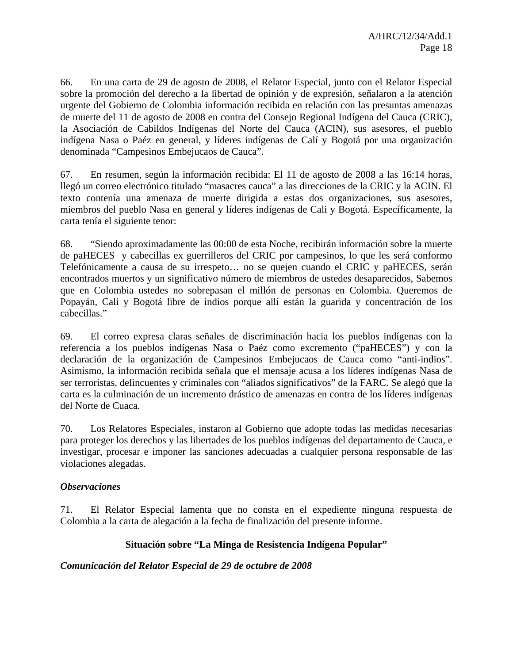66. En una carta de 29 de agosto de 2008, el Relator Especial, junto con el Relator Especial sobre la promoción del derecho a la libertad de opinión y de expresión, señalaron a la atención urgente del Gobierno de Colombia información recibida en relación con las presuntas amenazas de muerte del 11 de agosto de 2008 en contra del Consejo Regional Indígena del Cauca (CRIC), la Asociación de Cabildos Indígenas del Norte del Cauca (ACIN), sus asesores, el pueblo indígena Nasa o Paéz en general, y líderes indígenas de Calí y Bogotá por una organización denominada "Campesinos Embejucaos de Cauca".

67. En resumen, según la información recibida: El 11 de agosto de 2008 a las 16:14 horas, llegó un correo electrónico titulado "masacres cauca" a las direcciones de la CRIC y la ACIN. El texto contenía una amenaza de muerte dirigida a estas dos organizaciones, sus asesores, miembros del pueblo Nasa en general y líderes indígenas de Cali y Bogotá. Específicamente, la carta tenía el siguiente tenor:

68. "Siendo aproximadamente las 00:00 de esta Noche, recibirán información sobre la muerte de paHECES y cabecillas ex guerrilleros del CRIC por campesinos, lo que les será conformo Telefónicamente a causa de su irrespeto… no se quejen cuando el CRIC y paHECES, serán encontrados muertos y un significativo número de miembros de ustedes desaparecidos, Sabemos que en Colombia ustedes no sobrepasan el millón de personas en Colombia. Queremos de Popayán, Cali y Bogotá libre de indios porque allí están la guarida y concentración de los cabecillas."

69. El correo expresa claras señales de discriminación hacia los pueblos indígenas con la referencia a los pueblos indígenas Nasa o Paéz como excremento ("paHECES") y con la declaración de la organización de Campesinos Embejucaos de Cauca como "anti-indios". Asimismo, la información recibida señala que el mensaje acusa a los líderes indígenas Nasa de ser terroristas, delincuentes y criminales con "aliados significativos" de la FARC. Se alegó que la carta es la culminación de un incremento drástico de amenazas en contra de los líderes indígenas del Norte de Cuaca.

70. Los Relatores Especiales, instaron al Gobierno que adopte todas las medidas necesarias para proteger los derechos y las libertades de los pueblos indígenas del departamento de Cauca, e investigar, procesar e imponer las sanciones adecuadas a cualquier persona responsable de las violaciones alegadas.

#### *Observaciones*

71. El Relator Especial lamenta que no consta en el expediente ninguna respuesta de Colombia a la carta de alegación a la fecha de finalización del presente informe.

#### **Situación sobre "La Minga de Resistencia Indígena Popular"**

#### *Comunicación del Relator Especial de 29 de octubre de 2008*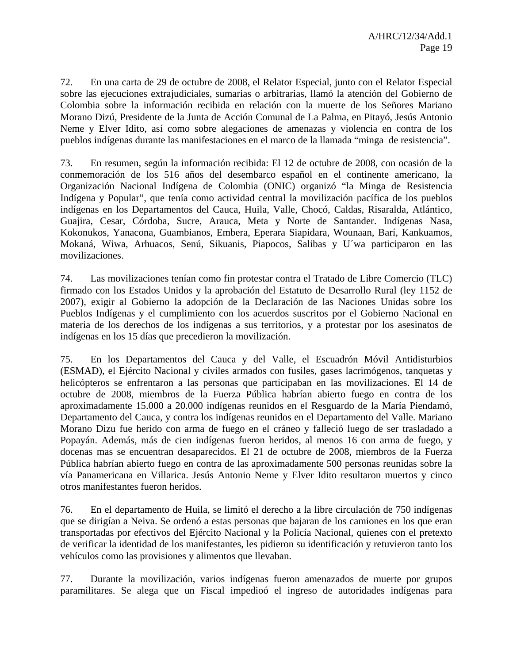72. En una carta de 29 de octubre de 2008, el Relator Especial, junto con el Relator Especial sobre las ejecuciones extrajudiciales, sumarias o arbitrarias, llamó la atención del Gobierno de Colombia sobre la información recibida en relación con la muerte de los Señores Mariano Morano Dizú, Presidente de la Junta de Acción Comunal de La Palma, en Pitayó, Jesús Antonio Neme y Elver Idito, así como sobre alegaciones de amenazas y violencia en contra de los pueblos indígenas durante las manifestaciones en el marco de la llamada "minga de resistencia".

73. En resumen, según la información recibida: El 12 de octubre de 2008, con ocasión de la conmemoración de los 516 años del desembarco español en el continente americano, la Organización Nacional Indígena de Colombia (ONIC) organizó "la Minga de Resistencia Indígena y Popular", que tenía como actividad central la movilización pacífica de los pueblos indígenas en los Departamentos del Cauca, Huila, Valle, Chocó, Caldas, Risaralda, Atlántico, Guajira, Cesar, Córdoba, Sucre, Arauca, Meta y Norte de Santander. Indígenas Nasa, Kokonukos, Yanacona, Guambianos, Embera, Eperara Siapidara, Wounaan, Barí, Kankuamos, Mokaná, Wiwa, Arhuacos, Senú, Sikuanis, Piapocos, Salibas y U´wa participaron en las movilizaciones.

74. Las movilizaciones tenían como fin protestar contra el Tratado de Libre Comercio (TLC) firmado con los Estados Unidos y la aprobación del Estatuto de Desarrollo Rural (ley 1152 de 2007), exigir al Gobierno la adopción de la Declaración de las Naciones Unidas sobre los Pueblos Indígenas y el cumplimiento con los acuerdos suscritos por el Gobierno Nacional en materia de los derechos de los indígenas a sus territorios, y a protestar por los asesinatos de indígenas en los 15 días que precedieron la movilización.

75. En los Departamentos del Cauca y del Valle, el Escuadrón Móvil Antidisturbios (ESMAD), el Ejército Nacional y civiles armados con fusiles, gases lacrimógenos, tanquetas y helicópteros se enfrentaron a las personas que participaban en las movilizaciones. El 14 de octubre de 2008, miembros de la Fuerza Pública habrían abierto fuego en contra de los aproximadamente 15.000 a 20.000 indígenas reunidos en el Resguardo de la María Piendamó, Departamento del Cauca, y contra los indígenas reunidos en el Departamento del Valle. Mariano Morano Dizu fue herido con arma de fuego en el cráneo y falleció luego de ser trasladado a Popayán. Además, más de cien indígenas fueron heridos, al menos 16 con arma de fuego, y docenas mas se encuentran desaparecidos. El 21 de octubre de 2008, miembros de la Fuerza Pública habrían abierto fuego en contra de las aproximadamente 500 personas reunidas sobre la vía Panamericana en Villarica. Jesús Antonio Neme y Elver Idito resultaron muertos y cinco otros manifestantes fueron heridos.

76. En el departamento de Huila, se limitó el derecho a la libre circulación de 750 indígenas que se dirigían a Neiva. Se ordenó a estas personas que bajaran de los camiones en los que eran transportadas por efectivos del Ejército Nacional y la Policía Nacional, quienes con el pretexto de verificar la identidad de los manifestantes, les pidieron su identificación y retuvieron tanto los vehículos como las provisiones y alimentos que llevaban.

77. Durante la movilización, varios indígenas fueron amenazados de muerte por grupos paramilitares. Se alega que un Fiscal impedioó el ingreso de autoridades indígenas para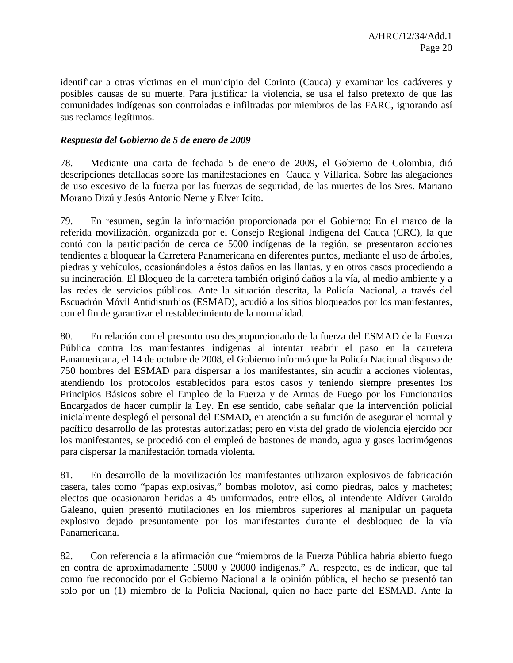identificar a otras víctimas en el municipio del Corinto (Cauca) y examinar los cadáveres y posibles causas de su muerte. Para justificar la violencia, se usa el falso pretexto de que las comunidades indígenas son controladas e infiltradas por miembros de las FARC, ignorando así sus reclamos legítimos.

#### *Respuesta del Gobierno de 5 de enero de 2009*

78. Mediante una carta de fechada 5 de enero de 2009, el Gobierno de Colombia, dió descripciones detalladas sobre las manifestaciones en Cauca y Villarica. Sobre las alegaciones de uso excesivo de la fuerza por las fuerzas de seguridad, de las muertes de los Sres. Mariano Morano Dizú y Jesús Antonio Neme y Elver Idito.

79. En resumen, según la información proporcionada por el Gobierno: En el marco de la referida movilización, organizada por el Consejo Regional Indígena del Cauca (CRC), la que contó con la participación de cerca de 5000 indígenas de la región, se presentaron acciones tendientes a bloquear la Carretera Panamericana en diferentes puntos, mediante el uso de árboles, piedras y vehículos, ocasionándoles a éstos daños en las llantas, y en otros casos procediendo a su incineración. El Bloqueo de la carretera también originó daños a la vía, al medio ambiente y a las redes de servicios públicos. Ante la situación descrita, la Policía Nacional, a través del Escuadrón Móvil Antidisturbios (ESMAD), acudió a los sitios bloqueados por los manifestantes, con el fin de garantizar el restablecimiento de la normalidad.

80. En relación con el presunto uso desproporcionado de la fuerza del ESMAD de la Fuerza Pública contra los manifestantes indígenas al intentar reabrir el paso en la carretera Panamericana, el 14 de octubre de 2008, el Gobierno informó que la Policía Nacional dispuso de 750 hombres del ESMAD para dispersar a los manifestantes, sin acudir a acciones violentas, atendiendo los protocolos establecidos para estos casos y teniendo siempre presentes los Principios Básicos sobre el Empleo de la Fuerza y de Armas de Fuego por los Funcionarios Encargados de hacer cumplir la Ley. En ese sentido, cabe señalar que la intervención policial inicialmente desplegó el personal del ESMAD, en atención a su función de asegurar el normal y pacífico desarrollo de las protestas autorizadas; pero en vista del grado de violencia ejercido por los manifestantes, se procedió con el empleó de bastones de mando, agua y gases lacrimógenos para dispersar la manifestación tornada violenta.

81. En desarrollo de la movilización los manifestantes utilizaron explosivos de fabricación casera, tales como "papas explosivas," bombas molotov, así como piedras, palos y machetes; electos que ocasionaron heridas a 45 uniformados, entre ellos, al intendente Aldíver Giraldo Galeano, quien presentó mutilaciones en los miembros superiores al manipular un paqueta explosivo dejado presuntamente por los manifestantes durante el desbloqueo de la vía Panamericana.

82. Con referencia a la afirmación que "miembros de la Fuerza Pública habría abierto fuego en contra de aproximadamente 15000 y 20000 indígenas." Al respecto, es de indicar, que tal como fue reconocido por el Gobierno Nacional a la opinión pública, el hecho se presentó tan solo por un (1) miembro de la Policía Nacional, quien no hace parte del ESMAD. Ante la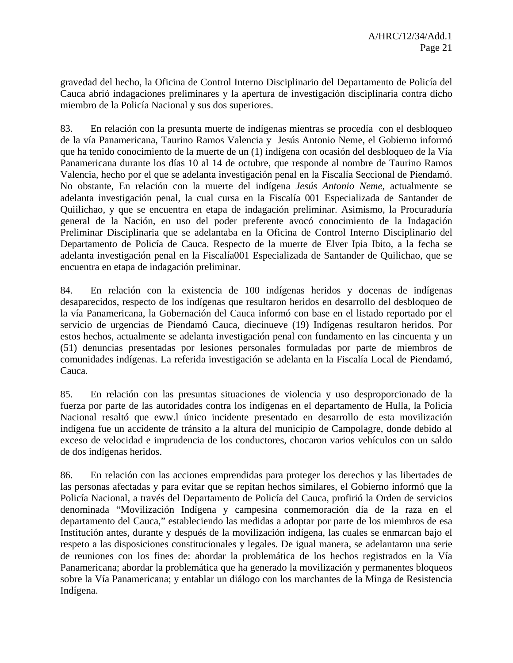gravedad del hecho, la Oficina de Control Interno Disciplinario del Departamento de Policía del Cauca abrió indagaciones preliminares y la apertura de investigación disciplinaria contra dicho miembro de la Policía Nacional y sus dos superiores.

83. En relación con la presunta muerte de indígenas mientras se procedía con el desbloqueo de la vía Panamericana, Taurino Ramos Valencia y Jesús Antonio Neme, el Gobierno informó que ha tenido conocimiento de la muerte de un (1) indígena con ocasión del desbloqueo de la Vía Panamericana durante los días 10 al 14 de octubre, que responde al nombre de Taurino Ramos Valencia, hecho por el que se adelanta investigación penal en la Fiscalía Seccional de Piendamó. No obstante, En relación con la muerte del indígena *Jesús Antonio Neme,* actualmente se adelanta investigación penal, la cual cursa en la Fiscalía 001 Especializada de Santander de Quiilichao, y que se encuentra en etapa de indagación preliminar. Asimismo, la Procuraduría general de la Nación, en uso del poder preferente avocó conocimiento de la Indagación Preliminar Disciplinaria que se adelantaba en la Oficina de Control Interno Disciplinario del Departamento de Policía de Cauca. Respecto de la muerte de Elver Ipia Ibito, a la fecha se adelanta investigación penal en la Fiscalía001 Especializada de Santander de Quilichao, que se encuentra en etapa de indagación preliminar.

84. En relación con la existencia de 100 indígenas heridos y docenas de indígenas desaparecidos, respecto de los indígenas que resultaron heridos en desarrollo del desbloqueo de la vía Panamericana, la Gobernación del Cauca informó con base en el listado reportado por el servicio de urgencias de Piendamó Cauca, diecinueve (19) Indígenas resultaron heridos. Por estos hechos, actualmente se adelanta investigación penal con fundamento en las cincuenta y un (51) denuncias presentadas por lesiones personales formuladas por parte de miembros de comunidades indígenas. La referida investigación se adelanta en la Fiscalía Local de Piendamó, Cauca.

85. En relación con las presuntas situaciones de violencia y uso desproporcionado de la fuerza por parte de las autoridades contra los indígenas en el departamento de Hulla, la Policía Nacional resaltó que eww.l único incidente presentado en desarrollo de esta movilización indígena fue un accidente de tránsito a la altura del municipio de Campolagre, donde debido al exceso de velocidad e imprudencia de los conductores, chocaron varios vehículos con un saldo de dos indígenas heridos.

86. En relación con las acciones emprendidas para proteger los derechos y las libertades de las personas afectadas y para evitar que se repitan hechos similares, el Gobierno informó que la Policía Nacional, a través del Departamento de Policía del Cauca, profirió la Orden de servicios denominada "Movilización Indígena y campesina conmemoración día de la raza en el departamento del Cauca," estableciendo las medidas a adoptar por parte de los miembros de esa Institución antes, durante y después de la movilización indígena, las cuales se enmarcan bajo el respeto a las disposiciones constitucionales y legales. De igual manera, se adelantaron una serie de reuniones con los fines de: abordar la problemática de los hechos registrados en la Vía Panamericana; abordar la problemática que ha generado la movilización y permanentes bloqueos sobre la Vía Panamericana; y entablar un diálogo con los marchantes de la Minga de Resistencia Indígena.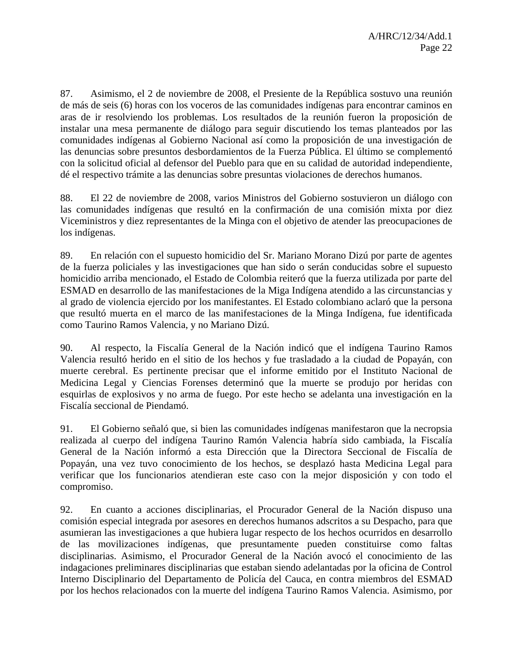87. Asimismo, el 2 de noviembre de 2008, el Presiente de la República sostuvo una reunión de más de seis (6) horas con los voceros de las comunidades indígenas para encontrar caminos en aras de ir resolviendo los problemas. Los resultados de la reunión fueron la proposición de instalar una mesa permanente de diálogo para seguir discutiendo los temas planteados por las comunidades indígenas al Gobierno Nacional así como la proposición de una investigación de las denuncias sobre presuntos desbordamientos de la Fuerza Pública. El último se complementó con la solicitud oficial al defensor del Pueblo para que en su calidad de autoridad independiente, dé el respectivo trámite a las denuncias sobre presuntas violaciones de derechos humanos.

88. El 22 de noviembre de 2008, varios Ministros del Gobierno sostuvieron un diálogo con las comunidades indígenas que resultó en la confirmación de una comisión mixta por diez Viceministros y diez representantes de la Minga con el objetivo de atender las preocupaciones de los indígenas.

89. En relación con el supuesto homicidio del Sr. Mariano Morano Dizú por parte de agentes de la fuerza policiales y las investigaciones que han sido o serán conducidas sobre el supuesto homicidio arriba mencionado, el Estado de Colombia reiteró que la fuerza utilizada por parte del ESMAD en desarrollo de las manifestaciones de la Miga Indígena atendido a las circunstancias y al grado de violencia ejercido por los manifestantes. El Estado colombiano aclaró que la persona que resultó muerta en el marco de las manifestaciones de la Minga Indígena, fue identificada como Taurino Ramos Valencia, y no Mariano Dizú.

90. Al respecto, la Fiscalía General de la Nación indicó que el indígena Taurino Ramos Valencia resultó herido en el sitio de los hechos y fue trasladado a la ciudad de Popayán, con muerte cerebral. Es pertinente precisar que el informe emitido por el Instituto Nacional de Medicina Legal y Ciencias Forenses determinó que la muerte se produjo por heridas con esquirlas de explosivos y no arma de fuego. Por este hecho se adelanta una investigación en la Fiscalía seccional de Piendamó.

91. El Gobierno señaló que, si bien las comunidades indígenas manifestaron que la necropsia realizada al cuerpo del indígena Taurino Ramón Valencia habría sido cambiada, la Fiscalía General de la Nación informó a esta Dirección que la Directora Seccional de Fiscalía de Popayán, una vez tuvo conocimiento de los hechos, se desplazó hasta Medicina Legal para verificar que los funcionarios atendieran este caso con la mejor disposición y con todo el compromiso.

92. En cuanto a acciones disciplinarias, el Procurador General de la Nación dispuso una comisión especial integrada por asesores en derechos humanos adscritos a su Despacho, para que asumieran las investigaciones a que hubiera lugar respecto de los hechos ocurridos en desarrollo de las movilizaciones indígenas, que presuntamente pueden constituirse como faltas disciplinarias. Asimismo, el Procurador General de la Nación avocó el conocimiento de las indagaciones preliminares disciplinarias que estaban siendo adelantadas por la oficina de Control Interno Disciplinario del Departamento de Policía del Cauca, en contra miembros del ESMAD por los hechos relacionados con la muerte del indígena Taurino Ramos Valencia. Asimismo, por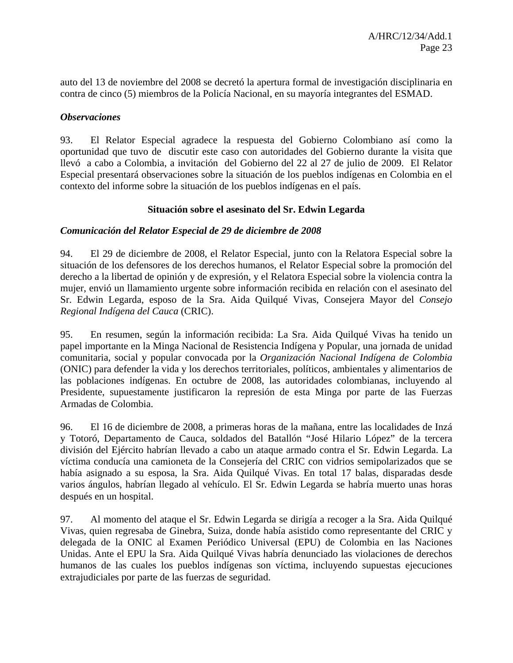auto del 13 de noviembre del 2008 se decretó la apertura formal de investigación disciplinaria en contra de cinco (5) miembros de la Policía Nacional, en su mayoría integrantes del ESMAD.

#### *Observaciones*

93. El Relator Especial agradece la respuesta del Gobierno Colombiano así como la oportunidad que tuvo de discutir este caso con autoridades del Gobierno durante la visita que llevó a cabo a Colombia, a invitación del Gobierno del 22 al 27 de julio de 2009. El Relator Especial presentará observaciones sobre la situación de los pueblos indígenas en Colombia en el contexto del informe sobre la situación de los pueblos indígenas en el país.

#### **Situación sobre el asesinato del Sr. Edwin Legarda**

#### *Comunicación del Relator Especial de 29 de diciembre de 2008*

94. El 29 de diciembre de 2008, el Relator Especial, junto con la Relatora Especial sobre la situación de los defensores de los derechos humanos, el Relator Especial sobre la promoción del derecho a la libertad de opinión y de expresión, y el Relatora Especial sobre la violencia contra la mujer, envió un llamamiento urgente sobre información recibida en relación con el asesinato del Sr. Edwin Legarda, esposo de la Sra. Aida Quilqué Vivas, Consejera Mayor del *Consejo Regional Indígena del Cauca* (CRIC).

95. En resumen, según la información recibida: La Sra. Aida Quilqué Vivas ha tenido un papel importante en la Minga Nacional de Resistencia Indígena y Popular, una jornada de unidad comunitaria, social y popular convocada por la *Organización Nacional Indígena de Colombia*  (ONIC) para defender la vida y los derechos territoriales, políticos, ambientales y alimentarios de las poblaciones indígenas. En octubre de 2008, las autoridades colombianas, incluyendo al Presidente, supuestamente justificaron la represión de esta Minga por parte de las Fuerzas Armadas de Colombia.

96. El 16 de diciembre de 2008, a primeras horas de la mañana, entre las localidades de Inzá y Totoró, Departamento de Cauca, soldados del Batallón "José Hilario López" de la tercera división del Ejército habrían llevado a cabo un ataque armado contra el Sr. Edwin Legarda. La víctima conducía una camioneta de la Consejería del CRIC con vidrios semipolarizados que se había asignado a su esposa, la Sra. Aida Quilqué Vivas. En total 17 balas, disparadas desde varios ángulos, habrían llegado al vehículo. El Sr. Edwin Legarda se habría muerto unas horas después en un hospital.

97. Al momento del ataque el Sr. Edwin Legarda se dirigía a recoger a la Sra. Aida Quilqué Vivas, quien regresaba de Ginebra, Suiza, donde había asistido como representante del CRIC y delegada de la ONIC al Examen Periódico Universal (EPU) de Colombia en las Naciones Unidas. Ante el EPU la Sra. Aida Quilqué Vivas habría denunciado las violaciones de derechos humanos de las cuales los pueblos indígenas son víctima, incluyendo supuestas ejecuciones extrajudiciales por parte de las fuerzas de seguridad.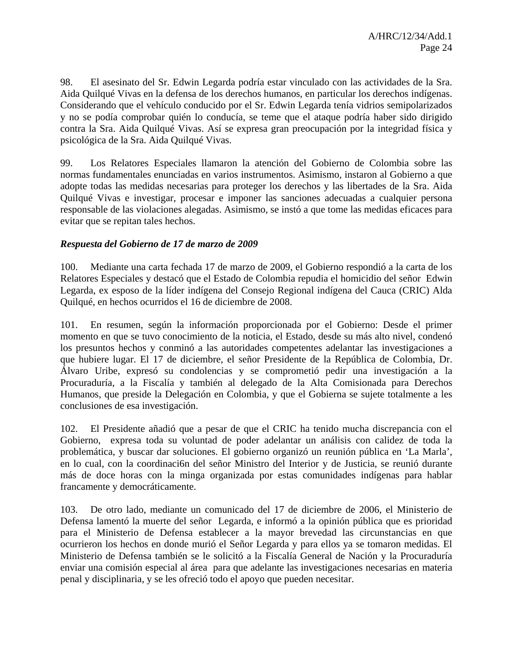98. El asesinato del Sr. Edwin Legarda podría estar vinculado con las actividades de la Sra. Aida Quilqué Vivas en la defensa de los derechos humanos, en particular los derechos indígenas. Considerando que el vehículo conducido por el Sr. Edwin Legarda tenía vidrios semipolarizados y no se podía comprobar quién lo conducía, se teme que el ataque podría haber sido dirigido contra la Sra. Aida Quilqué Vivas. Así se expresa gran preocupación por la integridad física y psicológica de la Sra. Aida Quilqué Vivas.

99. Los Relatores Especiales llamaron la atención del Gobierno de Colombia sobre las normas fundamentales enunciadas en varios instrumentos. Asimismo, instaron al Gobierno a que adopte todas las medidas necesarias para proteger los derechos y las libertades de la Sra. Aida Quilqué Vivas e investigar, procesar e imponer las sanciones adecuadas a cualquier persona responsable de las violaciones alegadas. Asimismo, se instó a que tome las medidas eficaces para evitar que se repitan tales hechos.

#### *Respuesta del Gobierno de 17 de marzo de 2009*

100. Mediante una carta fechada 17 de marzo de 2009, el Gobierno respondió a la carta de los Relatores Especiales y destacó que el Estado de Colombia repudia el homicidio del señor Edwin Legarda, ex esposo de la líder indígena del Consejo Regional indígena del Cauca (CRIC) Alda Quilqué, en hechos ocurridos el 16 de diciembre de 2008.

101. En resumen, según la información proporcionada por el Gobierno: Desde el primer momento en que se tuvo conocimiento de la noticia, el Estado, desde su más alto nivel, condenó los presuntos hechos y conminó a las autoridades competentes adelantar las investigaciones a que hubiere lugar. El 17 de diciembre, el señor Presidente de la República de Colombia, Dr. Álvaro Uribe, expresó su condolencias y se comprometió pedir una investigación a la Procuraduría, a la Fiscalía y también al delegado de la Alta Comisionada para Derechos Humanos, que preside la Delegación en Colombia, y que el Gobierna se sujete totalmente a les conclusiones de esa investigación.

102. El Presidente añadió que a pesar de que el CRIC ha tenido mucha discrepancia con el Gobierno, expresa toda su voluntad de poder adelantar un análisis con calidez de toda la problemática, y buscar dar soluciones. El gobierno organizó un reunión pública en 'La Marla', en lo cual, con la coordinaci6n del señor Ministro del Interior y de Justicia, se reunió durante más de doce horas con la minga organizada por estas comunidades indígenas para hablar francamente y democráticamente.

103. De otro lado, mediante un comunicado del 17 de diciembre de 2006, el Ministerio de Defensa lamentó la muerte del señor Legarda, e informó a la opinión pública que es prioridad para el Ministerio de Defensa establecer a la mayor brevedad las circunstancias en que ocurrieron los hechos en donde murió el Señor Legarda y para ellos ya se tomaron medidas. El Ministerio de Defensa también se le solicitó a la Fiscalía General de Nación y la Procuraduría enviar una comisión especial al área para que adelante las investigaciones necesarias en materia penal y disciplinaria, y se les ofreció todo el apoyo que pueden necesitar.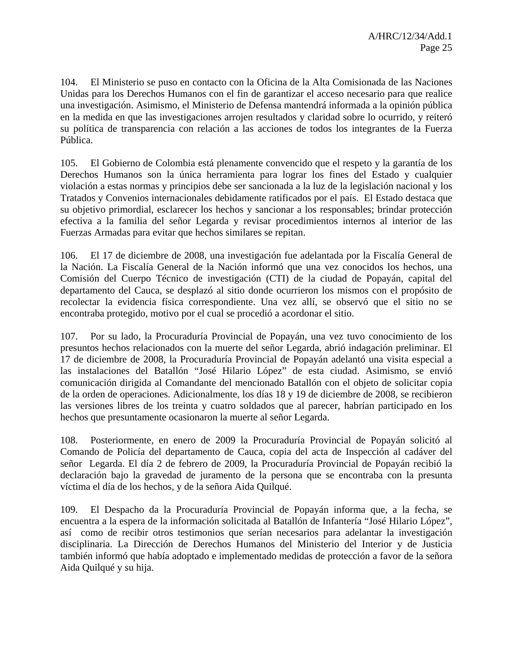104. El Ministerio se puso en contacto con la Oficina de la Alta Comisionada de las Naciones Unidas para los Derechos Humanos con el fin de garantizar el acceso necesario para que realice una investigación. Asimismo, el Ministerio de Defensa mantendrá informada a la opinión pública en la medida en que las investigaciones arrojen resultados y claridad sobre lo ocurrido, y reiteró su política de transparencia con relación a las acciones de todos los integrantes de la Fuerza Pública.

105. El Gobierno de Colombia está plenamente convencido que el respeto y la garantía de los Derechos Humanos son la única herramienta para lograr los fines del Estado y cualquier violación a estas normas y principios debe ser sancionada a la luz de la legislación nacional y los Tratados y Convenios internacionales debidamente ratificados por el país. El Estado destaca que su objetivo primordial, esclarecer los hechos y sancionar a los responsables; brindar protección efectiva a la familia del señor Legarda y revisar procedimientos internos al interior de las Fuerzas Armadas para evitar que hechos similares se repitan.

106. El 17 de diciembre de 2008, una investigación fue adelantada por la Fiscalía General de la Nación. La Fiscalía General de la Nación informó que una vez conocidos los hechos, una Comisión del Cuerpo Técnico de investigación (CTI) de la ciudad de Popayán, capital del departamento del Cauca, se desplazó al sitio donde ocurrieron los mismos con el propósito de recolectar la evidencia física correspondiente. Una vez allí, se observó que el sitio no se encontraba protegido, motivo por el cual se procedió a acordonar el sitio.

107. Por su lado, la Procuraduría Provincial de Popayán, una vez tuvo conocimiento de los presuntos hechos relacionados con la muerte del señor Legarda, abrió indagación preliminar. El 17 de diciembre de 2008, la Procuraduría Provincial de Popayán adelantó una visita especial a las instalaciones del Batallón "José Hilario López" de esta ciudad. Asimismo, se envió comunicación dirigida al Comandante del mencionado Batallón con el objeto de solicitar copia de la orden de operaciones. Adicionalmente, los días 18 y 19 de diciembre de 2008, se recibieron las versiones libres de los treinta y cuatro soldados que al parecer, habrían participado en los hechos que presuntamente ocasionaron la muerte al señor Legarda.

108. Posteriormente, en enero de 2009 la Procuraduría Provincial de Popayán solicitó al Comando de Policía del departamento de Cauca, copia del acta de Inspección al cadáver del señor Legarda. El día 2 de febrero de 2009, la Procuraduría Provincial de Popayán recibió la declaración bajo la gravedad de juramento de la persona que se encontraba con la presunta víctima el día de los hechos, y de la señora Aida Quilqué.

109. El Despacho da la Procuraduría Provincial de Popayán informa que, a la fecha, se encuentra a la espera de la información solicitada al Batallón de Infantería "José Hilario López", así como de recibir otros testimonios que serían necesarios para adelantar la investigación disciplinaria. La Dirección de Derechos Humanos del Ministerio del Interior y de Justicia también informó que había adoptado e implementado medidas de protección a favor de la señora Aida Quilqué y su hija.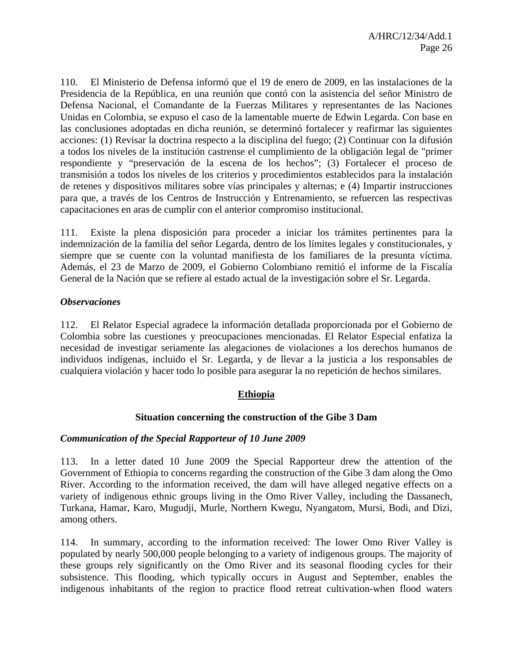110. El Ministerio de Defensa informó que el 19 de enero de 2009, en las instalaciones de la Presidencia de la República, en una reunión que contó con la asistencia del señor Ministro de Defensa Nacional, el Comandante de la Fuerzas Militares y representantes de las Naciones Unidas en Colombia, se expuso el caso de la lamentable muerte de Edwin Legarda. Con base en las conclusiones adoptadas en dicha reunión, se determinó fortalecer y reafirmar las siguientes acciones: (1) Revisar la doctrina respecto a la disciplina del fuego; (2) Continuar con la difusión a todos los niveles de la institución castrense el cumplimiento de la obligación legal de "primer respondiente y "preservación de la escena de los hechos"; (3) Fortalecer el proceso de transmisión a todos los niveles de los criterios y procedimientos establecidos para la instalación de retenes y dispositivos militares sobre vías principales y alternas; e (4) Impartir instrucciones para que, a través de los Centros de Instrucción y Entrenamiento, se refuercen las respectivas capacitaciones en aras de cumplir con el anterior compromiso institucional.

111. Existe la plena disposición para proceder a iniciar los trámites pertinentes para la indemnización de la familia del señor Legarda, dentro de los límites legales y constitucionales, y siempre que se cuente con la voluntad manifiesta de los familiares de la presunta víctima. Además, el 23 de Marzo de 2009, el Gobierno Colombiano remitió el informe de la Fiscalía General de la Nación que se refiere al estado actual de la investigación sobre el Sr. Legarda.

#### *Observaciones*

112. El Relator Especial agradece la información detallada proporcionada por el Gobierno de Colombia sobre las cuestiones y preocupaciones mencionadas. El Relator Especial enfatiza la necesidad de investigar seriamente las alegaciones de violaciones a los derechos humanos de individuos indígenas, incluido el Sr. Legarda, y de llevar a la justicia a los responsables de cualquiera violación y hacer todo lo posible para asegurar la no repetición de hechos similares.

#### **Ethiopia**

#### **Situation concerning the construction of the Gibe 3 Dam**

#### *Communication of the Special Rapporteur of 10 June 2009*

113. In a letter dated 10 June 2009 the Special Rapporteur drew the attention of the Government of Ethiopia to concerns regarding the construction of the Gibe 3 dam along the Omo River. According to the information received, the dam will have alleged negative effects on a variety of indigenous ethnic groups living in the Omo River Valley, including the Dassanech, Turkana, Hamar, Karo, Mugudji, Murle, Northern Kwegu, Nyangatom, Mursi, Bodi, and Dizi, among others.

114. In summary, according to the information received: The lower Omo River Valley is populated by nearly 500,000 people belonging to a variety of indigenous groups. The majority of these groups rely significantly on the Omo River and its seasonal flooding cycles for their subsistence. This flooding, which typically occurs in August and September, enables the indigenous inhabitants of the region to practice flood retreat cultivation-when flood waters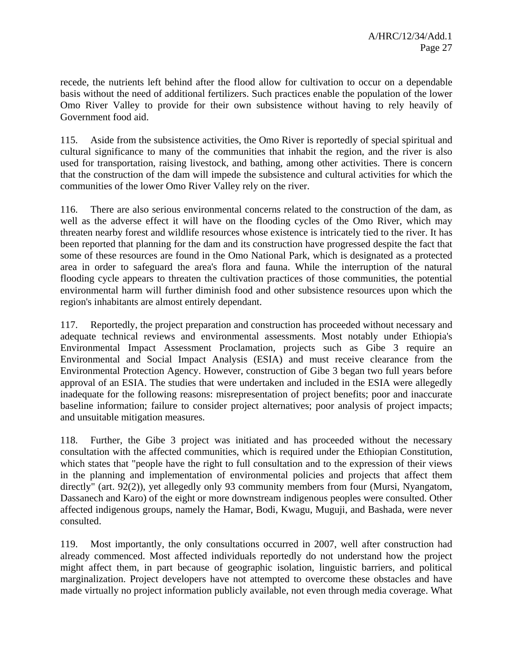recede, the nutrients left behind after the flood allow for cultivation to occur on a dependable basis without the need of additional fertilizers. Such practices enable the population of the lower Omo River Valley to provide for their own subsistence without having to rely heavily of Government food aid.

115. Aside from the subsistence activities, the Omo River is reportedly of special spiritual and cultural significance to many of the communities that inhabit the region, and the river is also used for transportation, raising livestock, and bathing, among other activities. There is concern that the construction of the dam will impede the subsistence and cultural activities for which the communities of the lower Omo River Valley rely on the river.

116. There are also serious environmental concerns related to the construction of the dam, as well as the adverse effect it will have on the flooding cycles of the Omo River, which may threaten nearby forest and wildlife resources whose existence is intricately tied to the river. It has been reported that planning for the dam and its construction have progressed despite the fact that some of these resources are found in the Omo National Park, which is designated as a protected area in order to safeguard the area's flora and fauna. While the interruption of the natural flooding cycle appears to threaten the cultivation practices of those communities, the potential environmental harm will further diminish food and other subsistence resources upon which the region's inhabitants are almost entirely dependant.

117. Reportedly, the project preparation and construction has proceeded without necessary and adequate technical reviews and environmental assessments. Most notably under Ethiopia's Environmental Impact Assessment Proclamation, projects such as Gibe 3 require an Environmental and Social Impact Analysis (ESIA) and must receive clearance from the Environmental Protection Agency. However, construction of Gibe 3 began two full years before approval of an ESIA. The studies that were undertaken and included in the ESIA were allegedly inadequate for the following reasons: misrepresentation of project benefits; poor and inaccurate baseline information; failure to consider project alternatives; poor analysis of project impacts; and unsuitable mitigation measures.

118. Further, the Gibe 3 project was initiated and has proceeded without the necessary consultation with the affected communities, which is required under the Ethiopian Constitution, which states that "people have the right to full consultation and to the expression of their views in the planning and implementation of environmental policies and projects that affect them directly" (art. 92(2)), yet allegedly only 93 community members from four (Mursi, Nyangatom, Dassanech and Karo) of the eight or more downstream indigenous peoples were consulted. Other affected indigenous groups, namely the Hamar, Bodi, Kwagu, Muguji, and Bashada, were never consulted.

119. Most importantly, the only consultations occurred in 2007, well after construction had already commenced. Most affected individuals reportedly do not understand how the project might affect them, in part because of geographic isolation, linguistic barriers, and political marginalization. Project developers have not attempted to overcome these obstacles and have made virtually no project information publicly available, not even through media coverage. What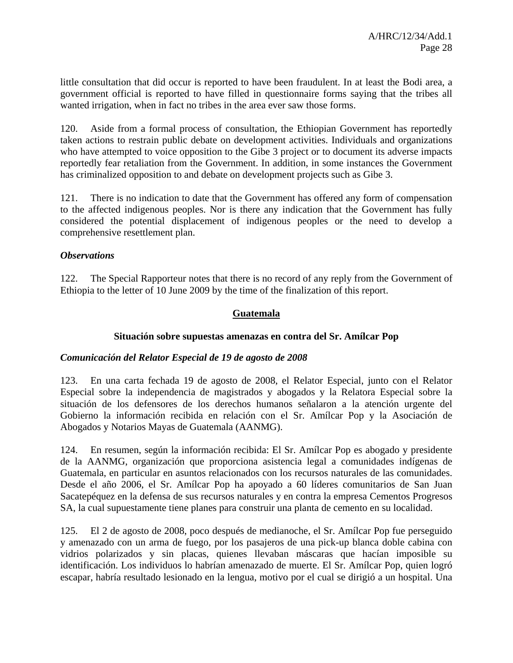little consultation that did occur is reported to have been fraudulent. In at least the Bodi area, a government official is reported to have filled in questionnaire forms saying that the tribes all wanted irrigation, when in fact no tribes in the area ever saw those forms.

120. Aside from a formal process of consultation, the Ethiopian Government has reportedly taken actions to restrain public debate on development activities. Individuals and organizations who have attempted to voice opposition to the Gibe 3 project or to document its adverse impacts reportedly fear retaliation from the Government. In addition, in some instances the Government has criminalized opposition to and debate on development projects such as Gibe 3.

121. There is no indication to date that the Government has offered any form of compensation to the affected indigenous peoples. Nor is there any indication that the Government has fully considered the potential displacement of indigenous peoples or the need to develop a comprehensive resettlement plan.

#### *Observations*

122. The Special Rapporteur notes that there is no record of any reply from the Government of Ethiopia to the letter of 10 June 2009 by the time of the finalization of this report.

#### **Guatemala**

#### **Situación sobre supuestas amenazas en contra del Sr. Amílcar Pop**

#### *Comunicación del Relator Especial de 19 de agosto de 2008*

123. En una carta fechada 19 de agosto de 2008, el Relator Especial, junto con el Relator Especial sobre la independencia de magistrados y abogados y la Relatora Especial sobre la situación de los defensores de los derechos humanos señalaron a la atención urgente del Gobierno la información recibida en relación con el Sr. Amílcar Pop y la Asociación de Abogados y Notarios Mayas de Guatemala (AANMG).

124. En resumen, según la información recibida: El Sr. Amílcar Pop es abogado y presidente de la AANMG, organización que proporciona asistencia legal a comunidades indígenas de Guatemala, en particular en asuntos relacionados con los recursos naturales de las comunidades. Desde el año 2006, el Sr. Amílcar Pop ha apoyado a 60 líderes comunitarios de San Juan Sacatepéquez en la defensa de sus recursos naturales y en contra la empresa Cementos Progresos SA, la cual supuestamente tiene planes para construir una planta de cemento en su localidad.

125. El 2 de agosto de 2008, poco después de medianoche, el Sr. Amílcar Pop fue perseguido y amenazado con un arma de fuego, por los pasajeros de una pick-up blanca doble cabina con vidrios polarizados y sin placas, quienes llevaban máscaras que hacían imposible su identificación. Los individuos lo habrían amenazado de muerte. El Sr. Amílcar Pop, quien logró escapar, habría resultado lesionado en la lengua, motivo por el cual se dirigió a un hospital. Una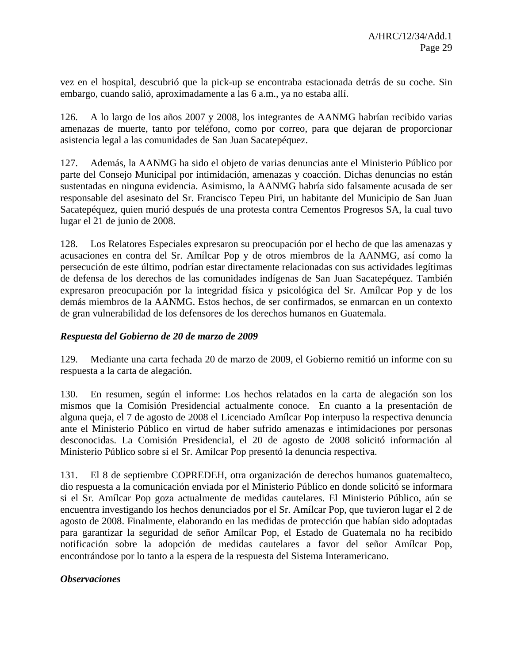vez en el hospital, descubrió que la pick-up se encontraba estacionada detrás de su coche. Sin embargo, cuando salió, aproximadamente a las 6 a.m., ya no estaba allí.

126. A lo largo de los años 2007 y 2008, los integrantes de AANMG habrían recibido varias amenazas de muerte, tanto por teléfono, como por correo, para que dejaran de proporcionar asistencia legal a las comunidades de San Juan Sacatepéquez.

127. Además, la AANMG ha sido el objeto de varias denuncias ante el Ministerio Público por parte del Consejo Municipal por intimidación, amenazas y coacción. Dichas denuncias no están sustentadas en ninguna evidencia. Asimismo, la AANMG habría sido falsamente acusada de ser responsable del asesinato del Sr. Francisco Tepeu Piri, un habitante del Municipio de San Juan Sacatepéquez, quien murió después de una protesta contra Cementos Progresos SA, la cual tuvo lugar el 21 de junio de 2008.

128. Los Relatores Especiales expresaron su preocupación por el hecho de que las amenazas y acusaciones en contra del Sr. Amílcar Pop y de otros miembros de la AANMG, así como la persecución de este último, podrían estar directamente relacionadas con sus actividades legítimas de defensa de los derechos de las comunidades indígenas de San Juan Sacatepéquez. También expresaron preocupación por la integridad física y psicológica del Sr. Amílcar Pop y de los demás miembros de la AANMG. Estos hechos, de ser confirmados, se enmarcan en un contexto de gran vulnerabilidad de los defensores de los derechos humanos en Guatemala.

#### *Respuesta del Gobierno de 20 de marzo de 2009*

129. Mediante una carta fechada 20 de marzo de 2009, el Gobierno remitió un informe con su respuesta a la carta de alegación.

130. En resumen, según el informe: Los hechos relatados en la carta de alegación son los mismos que la Comisión Presidencial actualmente conoce. En cuanto a la presentación de alguna queja, el 7 de agosto de 2008 el Licenciado Amílcar Pop interpuso la respectiva denuncia ante el Ministerio Público en virtud de haber sufrido amenazas e intimidaciones por personas desconocidas. La Comisión Presidencial, el 20 de agosto de 2008 solicitó información al Ministerio Público sobre si el Sr. Amílcar Pop presentó la denuncia respectiva.

131. El 8 de septiembre COPREDEH, otra organización de derechos humanos guatemalteco, dio respuesta a la comunicación enviada por el Ministerio Público en donde solicitó se informara si el Sr. Amílcar Pop goza actualmente de medidas cautelares. El Ministerio Público, aún se encuentra investigando los hechos denunciados por el Sr. Amílcar Pop, que tuvieron lugar el 2 de agosto de 2008. Finalmente, elaborando en las medidas de protección que habían sido adoptadas para garantizar la seguridad de señor Amílcar Pop, el Estado de Guatemala no ha recibido notificación sobre la adopción de medidas cautelares a favor del señor Amílcar Pop, encontrándose por lo tanto a la espera de la respuesta del Sistema Interamericano.

#### *Observaciones*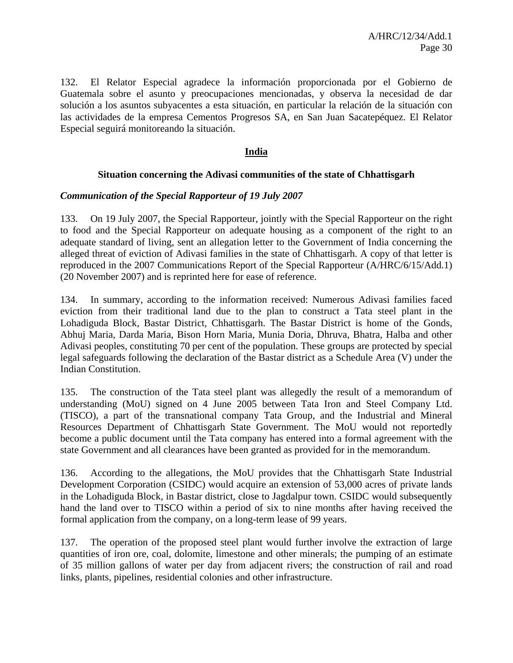132. El Relator Especial agradece la información proporcionada por el Gobierno de Guatemala sobre el asunto y preocupaciones mencionadas, y observa la necesidad de dar solución a los asuntos subyacentes a esta situación, en particular la relación de la situación con las actividades de la empresa Cementos Progresos SA, en San Juan Sacatepéquez. El Relator Especial seguirá monitoreando la situación.

#### **India**

#### **Situation concerning the Adivasi communities of the state of Chhattisgarh**

#### *Communication of the Special Rapporteur of 19 July 2007*

133. On 19 July 2007, the Special Rapporteur, jointly with the Special Rapporteur on the right to food and the Special Rapporteur on adequate housing as a component of the right to an adequate standard of living, sent an allegation letter to the Government of India concerning the alleged threat of eviction of Adivasi families in the state of Chhattisgarh. A copy of that letter is reproduced in the 2007 Communications Report of the Special Rapporteur (A/HRC/6/15/Add.1) (20 November 2007) and is reprinted here for ease of reference.

134. In summary, according to the information received: Numerous Adivasi families faced eviction from their traditional land due to the plan to construct a Tata steel plant in the Lohadiguda Block, Bastar District, Chhattisgarh. The Bastar District is home of the Gonds, Abhuj Maria, Darda Maria, Bison Horn Maria, Munia Doria, Dhruva, Bhatra, Halba and other Adivasi peoples, constituting 70 per cent of the population. These groups are protected by special legal safeguards following the declaration of the Bastar district as a Schedule Area (V) under the Indian Constitution.

135. The construction of the Tata steel plant was allegedly the result of a memorandum of understanding (MoU) signed on 4 June 2005 between Tata Iron and Steel Company Ltd. (TISCO), a part of the transnational company Tata Group, and the Industrial and Mineral Resources Department of Chhattisgarh State Government. The MoU would not reportedly become a public document until the Tata company has entered into a formal agreement with the state Government and all clearances have been granted as provided for in the memorandum.

136. According to the allegations, the MoU provides that the Chhattisgarh State Industrial Development Corporation (CSIDC) would acquire an extension of 53,000 acres of private lands in the Lohadiguda Block, in Bastar district, close to Jagdalpur town. CSIDC would subsequently hand the land over to TISCO within a period of six to nine months after having received the formal application from the company, on a long-term lease of 99 years.

137. The operation of the proposed steel plant would further involve the extraction of large quantities of iron ore, coal, dolomite, limestone and other minerals; the pumping of an estimate of 35 million gallons of water per day from adjacent rivers; the construction of rail and road links, plants, pipelines, residential colonies and other infrastructure.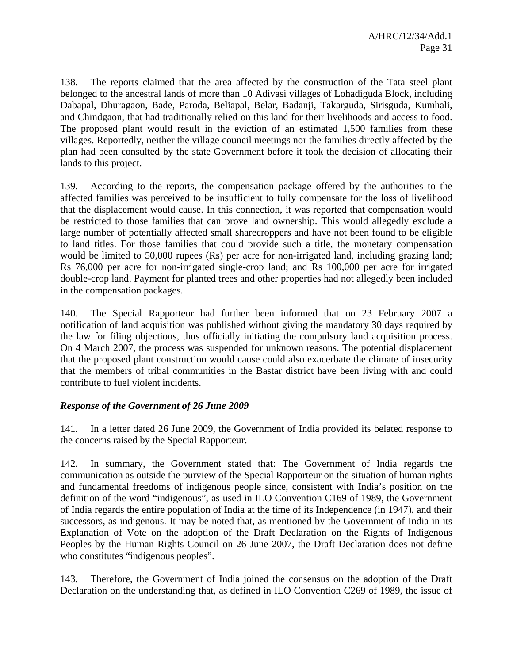138. The reports claimed that the area affected by the construction of the Tata steel plant belonged to the ancestral lands of more than 10 Adivasi villages of Lohadiguda Block, including Dabapal, Dhuragaon, Bade, Paroda, Beliapal, Belar, Badanji, Takarguda, Sirisguda, Kumhali, and Chindgaon, that had traditionally relied on this land for their livelihoods and access to food. The proposed plant would result in the eviction of an estimated 1,500 families from these villages. Reportedly, neither the village council meetings nor the families directly affected by the plan had been consulted by the state Government before it took the decision of allocating their lands to this project.

139. According to the reports, the compensation package offered by the authorities to the affected families was perceived to be insufficient to fully compensate for the loss of livelihood that the displacement would cause. In this connection, it was reported that compensation would be restricted to those families that can prove land ownership. This would allegedly exclude a large number of potentially affected small sharecroppers and have not been found to be eligible to land titles. For those families that could provide such a title, the monetary compensation would be limited to 50,000 rupees (Rs) per acre for non-irrigated land, including grazing land; Rs 76,000 per acre for non-irrigated single-crop land; and Rs 100,000 per acre for irrigated double-crop land. Payment for planted trees and other properties had not allegedly been included in the compensation packages.

140. The Special Rapporteur had further been informed that on 23 February 2007 a notification of land acquisition was published without giving the mandatory 30 days required by the law for filing objections, thus officially initiating the compulsory land acquisition process. On 4 March 2007, the process was suspended for unknown reasons. The potential displacement that the proposed plant construction would cause could also exacerbate the climate of insecurity that the members of tribal communities in the Bastar district have been living with and could contribute to fuel violent incidents.

#### *Response of the Government of 26 June 2009*

141. In a letter dated 26 June 2009, the Government of India provided its belated response to the concerns raised by the Special Rapporteur.

142. In summary, the Government stated that: The Government of India regards the communication as outside the purview of the Special Rapporteur on the situation of human rights and fundamental freedoms of indigenous people since, consistent with India's position on the definition of the word "indigenous", as used in ILO Convention C169 of 1989, the Government of India regards the entire population of India at the time of its Independence (in 1947), and their successors, as indigenous. It may be noted that, as mentioned by the Government of India in its Explanation of Vote on the adoption of the Draft Declaration on the Rights of Indigenous Peoples by the Human Rights Council on 26 June 2007, the Draft Declaration does not define who constitutes "indigenous peoples".

143. Therefore, the Government of India joined the consensus on the adoption of the Draft Declaration on the understanding that, as defined in ILO Convention C269 of 1989, the issue of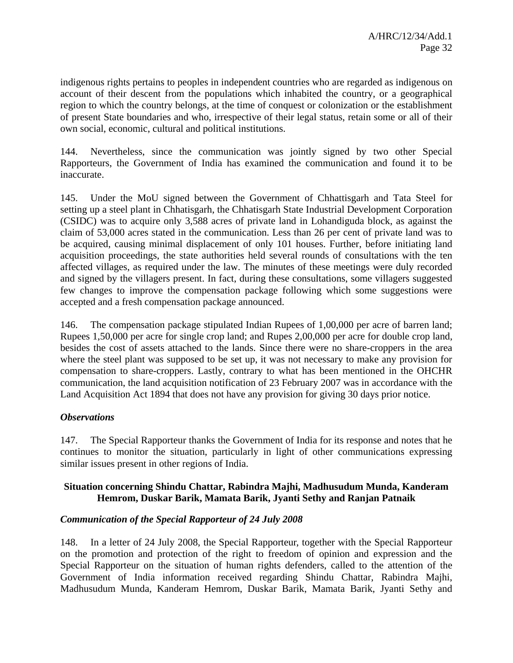indigenous rights pertains to peoples in independent countries who are regarded as indigenous on account of their descent from the populations which inhabited the country, or a geographical region to which the country belongs, at the time of conquest or colonization or the establishment of present State boundaries and who, irrespective of their legal status, retain some or all of their own social, economic, cultural and political institutions.

144. Nevertheless, since the communication was jointly signed by two other Special Rapporteurs, the Government of India has examined the communication and found it to be inaccurate.

145. Under the MoU signed between the Government of Chhattisgarh and Tata Steel for setting up a steel plant in Chhatisgarh, the Chhatisgarh State Industrial Development Corporation (CSIDC) was to acquire only 3,588 acres of private land in Lohandiguda block, as against the claim of 53,000 acres stated in the communication. Less than 26 per cent of private land was to be acquired, causing minimal displacement of only 101 houses. Further, before initiating land acquisition proceedings, the state authorities held several rounds of consultations with the ten affected villages, as required under the law. The minutes of these meetings were duly recorded and signed by the villagers present. In fact, during these consultations, some villagers suggested few changes to improve the compensation package following which some suggestions were accepted and a fresh compensation package announced.

146. The compensation package stipulated Indian Rupees of 1,00,000 per acre of barren land; Rupees 1,50,000 per acre for single crop land; and Rupes 2,00,000 per acre for double crop land, besides the cost of assets attached to the lands. Since there were no share-croppers in the area where the steel plant was supposed to be set up, it was not necessary to make any provision for compensation to share-croppers. Lastly, contrary to what has been mentioned in the OHCHR communication, the land acquisition notification of 23 February 2007 was in accordance with the Land Acquisition Act 1894 that does not have any provision for giving 30 days prior notice.

#### *Observations*

147. The Special Rapporteur thanks the Government of India for its response and notes that he continues to monitor the situation, particularly in light of other communications expressing similar issues present in other regions of India.

#### **Situation concerning Shindu Chattar, Rabindra Majhi, Madhusudum Munda, Kanderam Hemrom, Duskar Barik, Mamata Barik, Jyanti Sethy and Ranjan Patnaik**

#### *Communication of the Special Rapporteur of 24 July 2008*

148. In a letter of 24 July 2008, the Special Rapporteur, together with the Special Rapporteur on the promotion and protection of the right to freedom of opinion and expression and the Special Rapporteur on the situation of human rights defenders, called to the attention of the Government of India information received regarding Shindu Chattar, Rabindra Majhi, Madhusudum Munda, Kanderam Hemrom, Duskar Barik, Mamata Barik, Jyanti Sethy and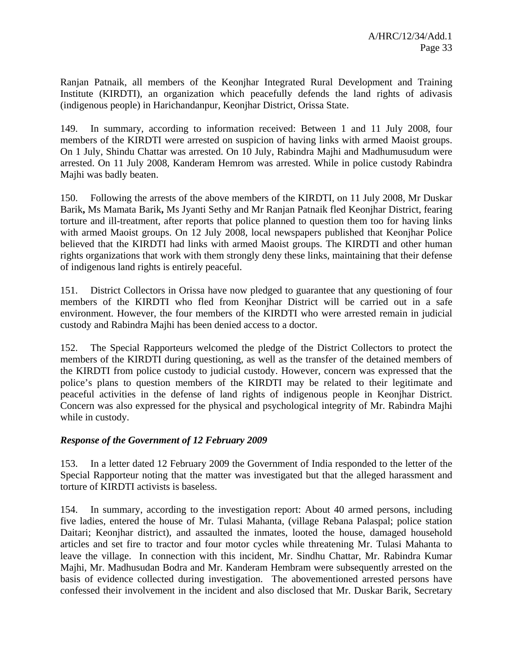Ranjan Patnaik, all members of the Keonjhar Integrated Rural Development and Training Institute (KIRDTI), an organization which peacefully defends the land rights of adivasis (indigenous people) in Harichandanpur, Keonjhar District, Orissa State.

149. In summary, according to information received: Between 1 and 11 July 2008, four members of the KIRDTI were arrested on suspicion of having links with armed Maoist groups. On 1 July, Shindu Chattar was arrested. On 10 July, Rabindra Majhi and Madhumusudum were arrested. On 11 July 2008, Kanderam Hemrom was arrested. While in police custody Rabindra Majhi was badly beaten.

150. Following the arrests of the above members of the KIRDTI, on 11 July 2008, Mr Duskar Barik**,** Ms Mamata Barik**,** Ms Jyanti Sethy and Mr Ranjan Patnaik fled Keonjhar District, fearing torture and ill-treatment, after reports that police planned to question them too for having links with armed Maoist groups. On 12 July 2008, local newspapers published that Keonjhar Police believed that the KIRDTI had links with armed Maoist groups. The KIRDTI and other human rights organizations that work with them strongly deny these links, maintaining that their defense of indigenous land rights is entirely peaceful.

151. District Collectors in Orissa have now pledged to guarantee that any questioning of four members of the KIRDTI who fled from Keonjhar District will be carried out in a safe environment. However, the four members of the KIRDTI who were arrested remain in judicial custody and Rabindra Majhi has been denied access to a doctor.

152. The Special Rapporteurs welcomed the pledge of the District Collectors to protect the members of the KIRDTI during questioning, as well as the transfer of the detained members of the KIRDTI from police custody to judicial custody. However, concern was expressed that the police's plans to question members of the KIRDTI may be related to their legitimate and peaceful activities in the defense of land rights of indigenous people in Keonjhar District. Concern was also expressed for the physical and psychological integrity of Mr. Rabindra Majhi while in custody.

#### *Response of the Government of 12 February 2009*

153. In a letter dated 12 February 2009 the Government of India responded to the letter of the Special Rapporteur noting that the matter was investigated but that the alleged harassment and torture of KIRDTI activists is baseless.

154. In summary, according to the investigation report: About 40 armed persons, including five ladies, entered the house of Mr. Tulasi Mahanta, (village Rebana Palaspal; police station Daitari; Keonjhar district), and assaulted the inmates, looted the house, damaged household articles and set fire to tractor and four motor cycles while threatening Mr. Tulasi Mahanta to leave the village. In connection with this incident, Mr. Sindhu Chattar, Mr. Rabindra Kumar Majhi, Mr. Madhusudan Bodra and Mr. Kanderam Hembram were subsequently arrested on the basis of evidence collected during investigation. The abovementioned arrested persons have confessed their involvement in the incident and also disclosed that Mr. Duskar Barik, Secretary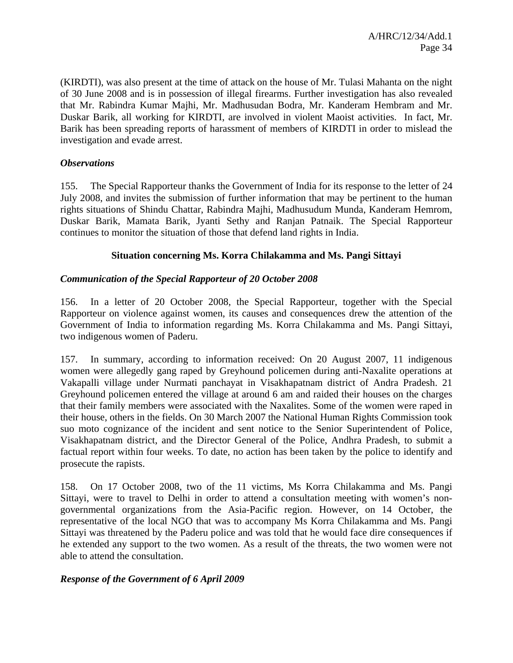(KIRDTI), was also present at the time of attack on the house of Mr. Tulasi Mahanta on the night of 30 June 2008 and is in possession of illegal firearms. Further investigation has also revealed that Mr. Rabindra Kumar Majhi, Mr. Madhusudan Bodra, Mr. Kanderam Hembram and Mr. Duskar Barik, all working for KIRDTI, are involved in violent Maoist activities. In fact, Mr. Barik has been spreading reports of harassment of members of KIRDTI in order to mislead the investigation and evade arrest.

#### *Observations*

155. The Special Rapporteur thanks the Government of India for its response to the letter of 24 July 2008, and invites the submission of further information that may be pertinent to the human rights situations of Shindu Chattar, Rabindra Majhi, Madhusudum Munda, Kanderam Hemrom, Duskar Barik, Mamata Barik, Jyanti Sethy and Ranjan Patnaik. The Special Rapporteur continues to monitor the situation of those that defend land rights in India.

#### **Situation concerning Ms. Korra Chilakamma and Ms. Pangi Sittayi**

#### *Communication of the Special Rapporteur of 20 October 2008*

156. In a letter of 20 October 2008, the Special Rapporteur, together with the Special Rapporteur on violence against women, its causes and consequences drew the attention of the Government of India to information regarding Ms. Korra Chilakamma and Ms. Pangi Sittayi, two indigenous women of Paderu.

157. In summary, according to information received: On 20 August 2007, 11 indigenous women were allegedly gang raped by Greyhound policemen during anti-Naxalite operations at Vakapalli village under Nurmati panchayat in Visakhapatnam district of Andra Pradesh. 21 Greyhound policemen entered the village at around 6 am and raided their houses on the charges that their family members were associated with the Naxalites. Some of the women were raped in their house, others in the fields. On 30 March 2007 the National Human Rights Commission took suo moto cognizance of the incident and sent notice to the Senior Superintendent of Police, Visakhapatnam district, and the Director General of the Police, Andhra Pradesh, to submit a factual report within four weeks. To date, no action has been taken by the police to identify and prosecute the rapists.

158. On 17 October 2008, two of the 11 victims, Ms Korra Chilakamma and Ms. Pangi Sittayi, were to travel to Delhi in order to attend a consultation meeting with women's nongovernmental organizations from the Asia-Pacific region. However, on 14 October, the representative of the local NGO that was to accompany Ms Korra Chilakamma and Ms. Pangi Sittayi was threatened by the Paderu police and was told that he would face dire consequences if he extended any support to the two women. As a result of the threats, the two women were not able to attend the consultation.

#### *Response of the Government of 6 April 2009*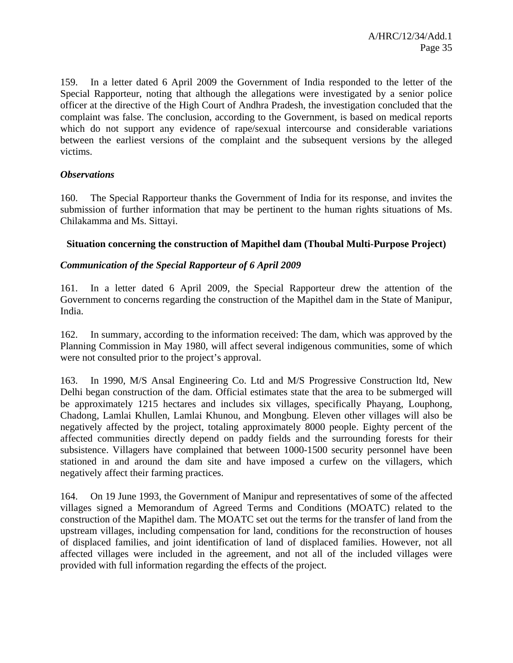159. In a letter dated 6 April 2009 the Government of India responded to the letter of the Special Rapporteur, noting that although the allegations were investigated by a senior police officer at the directive of the High Court of Andhra Pradesh, the investigation concluded that the complaint was false. The conclusion, according to the Government, is based on medical reports which do not support any evidence of rape/sexual intercourse and considerable variations between the earliest versions of the complaint and the subsequent versions by the alleged victims.

#### *Observations*

160. The Special Rapporteur thanks the Government of India for its response, and invites the submission of further information that may be pertinent to the human rights situations of Ms. Chilakamma and Ms. Sittayi.

#### **Situation concerning the construction of Mapithel dam (Thoubal Multi-Purpose Project)**

#### *Communication of the Special Rapporteur of 6 April 2009*

161. In a letter dated 6 April 2009, the Special Rapporteur drew the attention of the Government to concerns regarding the construction of the Mapithel dam in the State of Manipur, India.

162. In summary, according to the information received: The dam, which was approved by the Planning Commission in May 1980, will affect several indigenous communities, some of which were not consulted prior to the project's approval.

163. In 1990, M/S Ansal Engineering Co. Ltd and M/S Progressive Construction ltd, New Delhi began construction of the dam. Official estimates state that the area to be submerged will be approximately 1215 hectares and includes six villages, specifically Phayang, Louphong, Chadong, Lamlai Khullen, Lamlai Khunou, and Mongbung. Eleven other villages will also be negatively affected by the project, totaling approximately 8000 people. Eighty percent of the affected communities directly depend on paddy fields and the surrounding forests for their subsistence. Villagers have complained that between 1000-1500 security personnel have been stationed in and around the dam site and have imposed a curfew on the villagers, which negatively affect their farming practices.

164. On 19 June 1993, the Government of Manipur and representatives of some of the affected villages signed a Memorandum of Agreed Terms and Conditions (MOATC) related to the construction of the Mapithel dam. The MOATC set out the terms for the transfer of land from the upstream villages, including compensation for land, conditions for the reconstruction of houses of displaced families, and joint identification of land of displaced families. However, not all affected villages were included in the agreement, and not all of the included villages were provided with full information regarding the effects of the project.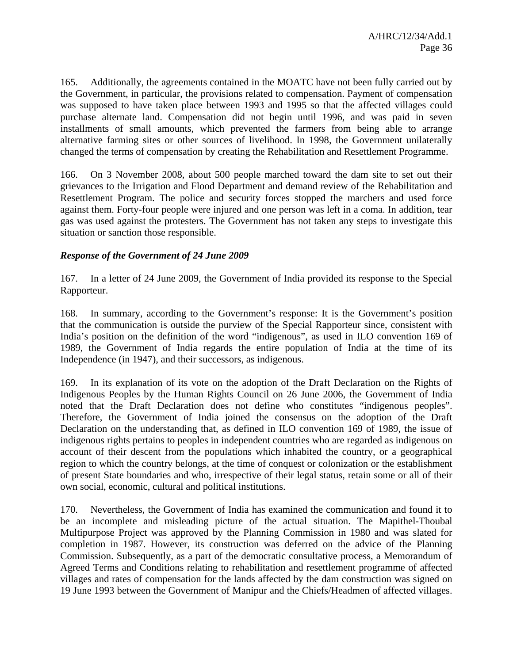165. Additionally, the agreements contained in the MOATC have not been fully carried out by the Government, in particular, the provisions related to compensation. Payment of compensation was supposed to have taken place between 1993 and 1995 so that the affected villages could purchase alternate land. Compensation did not begin until 1996, and was paid in seven installments of small amounts, which prevented the farmers from being able to arrange alternative farming sites or other sources of livelihood. In 1998, the Government unilaterally changed the terms of compensation by creating the Rehabilitation and Resettlement Programme.

166. On 3 November 2008, about 500 people marched toward the dam site to set out their grievances to the Irrigation and Flood Department and demand review of the Rehabilitation and Resettlement Program. The police and security forces stopped the marchers and used force against them. Forty-four people were injured and one person was left in a coma. In addition, tear gas was used against the protesters. The Government has not taken any steps to investigate this situation or sanction those responsible.

#### *Response of the Government of 24 June 2009*

167. In a letter of 24 June 2009, the Government of India provided its response to the Special Rapporteur.

168. In summary, according to the Government's response: It is the Government's position that the communication is outside the purview of the Special Rapporteur since, consistent with India's position on the definition of the word "indigenous", as used in ILO convention 169 of 1989, the Government of India regards the entire population of India at the time of its Independence (in 1947), and their successors, as indigenous.

169. In its explanation of its vote on the adoption of the Draft Declaration on the Rights of Indigenous Peoples by the Human Rights Council on 26 June 2006, the Government of India noted that the Draft Declaration does not define who constitutes "indigenous peoples". Therefore, the Government of India joined the consensus on the adoption of the Draft Declaration on the understanding that, as defined in ILO convention 169 of 1989, the issue of indigenous rights pertains to peoples in independent countries who are regarded as indigenous on account of their descent from the populations which inhabited the country, or a geographical region to which the country belongs, at the time of conquest or colonization or the establishment of present State boundaries and who, irrespective of their legal status, retain some or all of their own social, economic, cultural and political institutions.

170. Nevertheless, the Government of India has examined the communication and found it to be an incomplete and misleading picture of the actual situation. The Mapithel-Thoubal Multipurpose Project was approved by the Planning Commission in 1980 and was slated for completion in 1987. However, its construction was deferred on the advice of the Planning Commission. Subsequently, as a part of the democratic consultative process, a Memorandum of Agreed Terms and Conditions relating to rehabilitation and resettlement programme of affected villages and rates of compensation for the lands affected by the dam construction was signed on 19 June 1993 between the Government of Manipur and the Chiefs/Headmen of affected villages.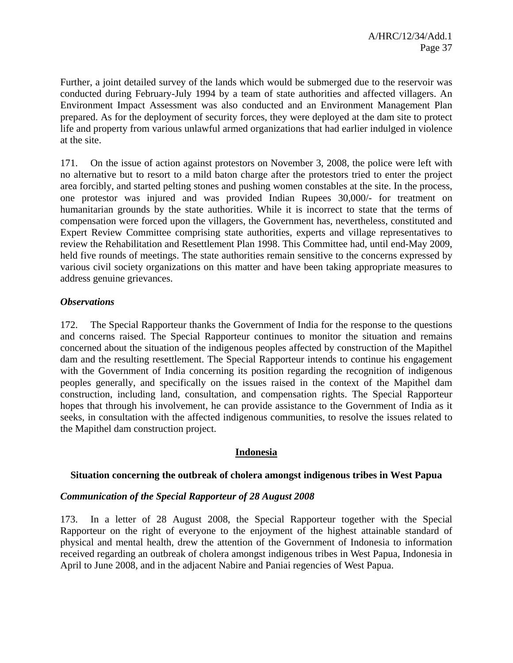Further, a joint detailed survey of the lands which would be submerged due to the reservoir was conducted during February-July 1994 by a team of state authorities and affected villagers. An Environment Impact Assessment was also conducted and an Environment Management Plan prepared. As for the deployment of security forces, they were deployed at the dam site to protect life and property from various unlawful armed organizations that had earlier indulged in violence at the site.

171. On the issue of action against protestors on November 3, 2008, the police were left with no alternative but to resort to a mild baton charge after the protestors tried to enter the project area forcibly, and started pelting stones and pushing women constables at the site. In the process, one protestor was injured and was provided Indian Rupees 30,000/- for treatment on humanitarian grounds by the state authorities. While it is incorrect to state that the terms of compensation were forced upon the villagers, the Government has, nevertheless, constituted and Expert Review Committee comprising state authorities, experts and village representatives to review the Rehabilitation and Resettlement Plan 1998. This Committee had, until end-May 2009, held five rounds of meetings. The state authorities remain sensitive to the concerns expressed by various civil society organizations on this matter and have been taking appropriate measures to address genuine grievances.

### *Observations*

172. The Special Rapporteur thanks the Government of India for the response to the questions and concerns raised. The Special Rapporteur continues to monitor the situation and remains concerned about the situation of the indigenous peoples affected by construction of the Mapithel dam and the resulting resettlement. The Special Rapporteur intends to continue his engagement with the Government of India concerning its position regarding the recognition of indigenous peoples generally, and specifically on the issues raised in the context of the Mapithel dam construction, including land, consultation, and compensation rights. The Special Rapporteur hopes that through his involvement, he can provide assistance to the Government of India as it seeks, in consultation with the affected indigenous communities, to resolve the issues related to the Mapithel dam construction project.

### **Indonesia**

### **Situation concerning the outbreak of cholera amongst indigenous tribes in West Papua**

#### *Communication of the Special Rapporteur of 28 August 2008*

173. In a letter of 28 August 2008, the Special Rapporteur together with the Special Rapporteur on the right of everyone to the enjoyment of the highest attainable standard of physical and mental health, drew the attention of the Government of Indonesia to information received regarding an outbreak of cholera amongst indigenous tribes in West Papua, Indonesia in April to June 2008, and in the adjacent Nabire and Paniai regencies of West Papua.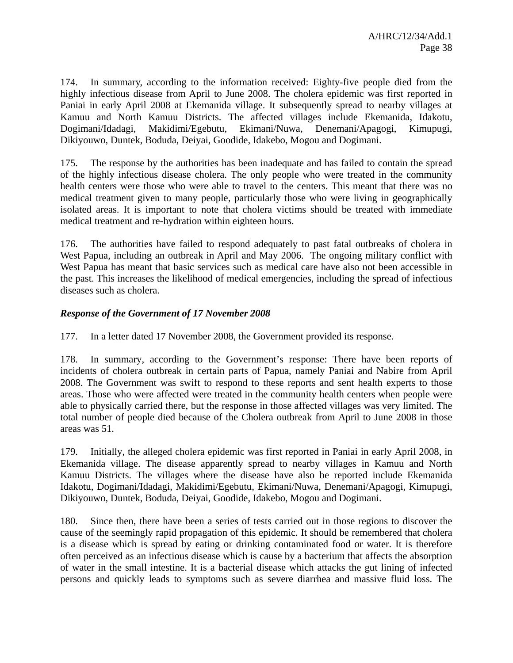174. In summary, according to the information received: Eighty-five people died from the highly infectious disease from April to June 2008. The cholera epidemic was first reported in Paniai in early April 2008 at Ekemanida village. It subsequently spread to nearby villages at Kamuu and North Kamuu Districts. The affected villages include Ekemanida, Idakotu, Dogimani/Idadagi, Makidimi/Egebutu, Ekimani/Nuwa, Denemani/Apagogi, Kimupugi, Dikiyouwo, Duntek, Boduda, Deiyai, Goodide, Idakebo, Mogou and Dogimani.

175. The response by the authorities has been inadequate and has failed to contain the spread of the highly infectious disease cholera. The only people who were treated in the community health centers were those who were able to travel to the centers. This meant that there was no medical treatment given to many people, particularly those who were living in geographically isolated areas. It is important to note that cholera victims should be treated with immediate medical treatment and re-hydration within eighteen hours.

176. The authorities have failed to respond adequately to past fatal outbreaks of cholera in West Papua, including an outbreak in April and May 2006. The ongoing military conflict with West Papua has meant that basic services such as medical care have also not been accessible in the past. This increases the likelihood of medical emergencies, including the spread of infectious diseases such as cholera.

# *Response of the Government of 17 November 2008*

177. In a letter dated 17 November 2008, the Government provided its response.

178. In summary, according to the Government's response: There have been reports of incidents of cholera outbreak in certain parts of Papua, namely Paniai and Nabire from April 2008. The Government was swift to respond to these reports and sent health experts to those areas. Those who were affected were treated in the community health centers when people were able to physically carried there, but the response in those affected villages was very limited. The total number of people died because of the Cholera outbreak from April to June 2008 in those areas was 51.

179. Initially, the alleged cholera epidemic was first reported in Paniai in early April 2008, in Ekemanida village. The disease apparently spread to nearby villages in Kamuu and North Kamuu Districts. The villages where the disease have also be reported include Ekemanida Idakotu, Dogimani/Idadagi, Makidimi/Egebutu, Ekimani/Nuwa, Denemani/Apagogi, Kimupugi, Dikiyouwo, Duntek, Boduda, Deiyai, Goodide, Idakebo, Mogou and Dogimani.

180. Since then, there have been a series of tests carried out in those regions to discover the cause of the seemingly rapid propagation of this epidemic. It should be remembered that cholera is a disease which is spread by eating or drinking contaminated food or water. It is therefore often perceived as an infectious disease which is cause by a bacterium that affects the absorption of water in the small intestine. It is a bacterial disease which attacks the gut lining of infected persons and quickly leads to symptoms such as severe diarrhea and massive fluid loss. The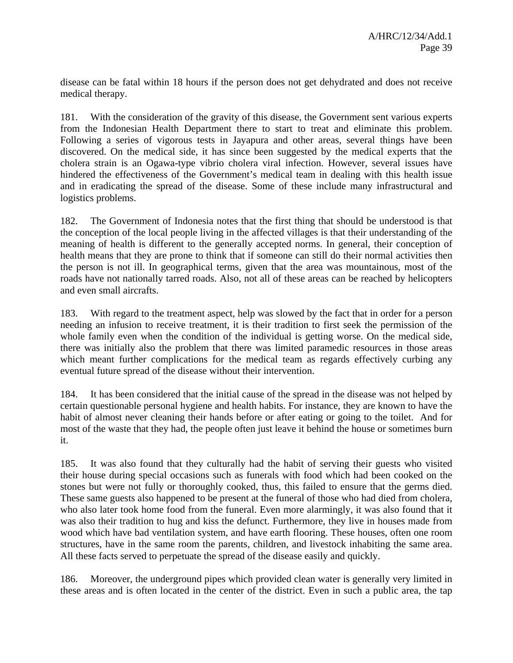disease can be fatal within 18 hours if the person does not get dehydrated and does not receive medical therapy.

181. With the consideration of the gravity of this disease, the Government sent various experts from the Indonesian Health Department there to start to treat and eliminate this problem. Following a series of vigorous tests in Jayapura and other areas, several things have been discovered. On the medical side, it has since been suggested by the medical experts that the cholera strain is an Ogawa-type vibrio cholera viral infection. However, several issues have hindered the effectiveness of the Government's medical team in dealing with this health issue and in eradicating the spread of the disease. Some of these include many infrastructural and logistics problems.

182. The Government of Indonesia notes that the first thing that should be understood is that the conception of the local people living in the affected villages is that their understanding of the meaning of health is different to the generally accepted norms. In general, their conception of health means that they are prone to think that if someone can still do their normal activities then the person is not ill. In geographical terms, given that the area was mountainous, most of the roads have not nationally tarred roads. Also, not all of these areas can be reached by helicopters and even small aircrafts.

183. With regard to the treatment aspect, help was slowed by the fact that in order for a person needing an infusion to receive treatment, it is their tradition to first seek the permission of the whole family even when the condition of the individual is getting worse. On the medical side, there was initially also the problem that there was limited paramedic resources in those areas which meant further complications for the medical team as regards effectively curbing any eventual future spread of the disease without their intervention.

184. It has been considered that the initial cause of the spread in the disease was not helped by certain questionable personal hygiene and health habits. For instance, they are known to have the habit of almost never cleaning their hands before or after eating or going to the toilet. And for most of the waste that they had, the people often just leave it behind the house or sometimes burn it.

185. It was also found that they culturally had the habit of serving their guests who visited their house during special occasions such as funerals with food which had been cooked on the stones but were not fully or thoroughly cooked, thus, this failed to ensure that the germs died. These same guests also happened to be present at the funeral of those who had died from cholera, who also later took home food from the funeral. Even more alarmingly, it was also found that it was also their tradition to hug and kiss the defunct. Furthermore, they live in houses made from wood which have bad ventilation system, and have earth flooring. These houses, often one room structures, have in the same room the parents, children, and livestock inhabiting the same area. All these facts served to perpetuate the spread of the disease easily and quickly.

186. Moreover, the underground pipes which provided clean water is generally very limited in these areas and is often located in the center of the district. Even in such a public area, the tap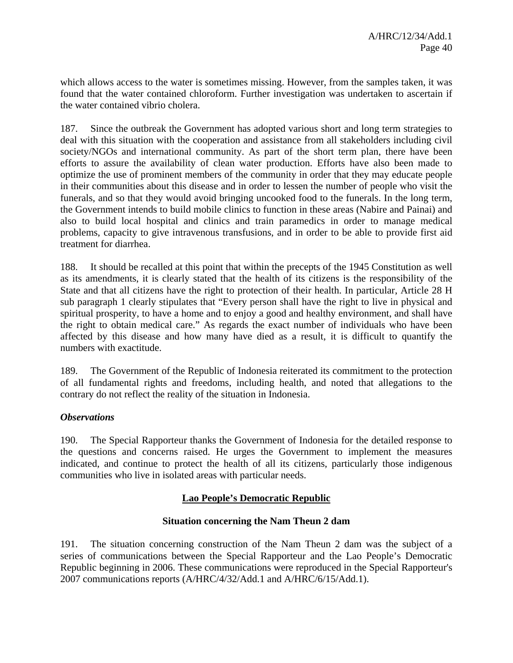which allows access to the water is sometimes missing. However, from the samples taken, it was found that the water contained chloroform. Further investigation was undertaken to ascertain if the water contained vibrio cholera.

187. Since the outbreak the Government has adopted various short and long term strategies to deal with this situation with the cooperation and assistance from all stakeholders including civil society/NGOs and international community. As part of the short term plan, there have been efforts to assure the availability of clean water production. Efforts have also been made to optimize the use of prominent members of the community in order that they may educate people in their communities about this disease and in order to lessen the number of people who visit the funerals, and so that they would avoid bringing uncooked food to the funerals. In the long term, the Government intends to build mobile clinics to function in these areas (Nabire and Painai) and also to build local hospital and clinics and train paramedics in order to manage medical problems, capacity to give intravenous transfusions, and in order to be able to provide first aid treatment for diarrhea.

188. It should be recalled at this point that within the precepts of the 1945 Constitution as well as its amendments, it is clearly stated that the health of its citizens is the responsibility of the State and that all citizens have the right to protection of their health. In particular, Article 28 H sub paragraph 1 clearly stipulates that "Every person shall have the right to live in physical and spiritual prosperity, to have a home and to enjoy a good and healthy environment, and shall have the right to obtain medical care." As regards the exact number of individuals who have been affected by this disease and how many have died as a result, it is difficult to quantify the numbers with exactitude.

189. The Government of the Republic of Indonesia reiterated its commitment to the protection of all fundamental rights and freedoms, including health, and noted that allegations to the contrary do not reflect the reality of the situation in Indonesia.

# *Observations*

190. The Special Rapporteur thanks the Government of Indonesia for the detailed response to the questions and concerns raised. He urges the Government to implement the measures indicated, and continue to protect the health of all its citizens, particularly those indigenous communities who live in isolated areas with particular needs.

# **Lao People's Democratic Republic**

# **Situation concerning the Nam Theun 2 dam**

191. The situation concerning construction of the Nam Theun 2 dam was the subject of a series of communications between the Special Rapporteur and the Lao People's Democratic Republic beginning in 2006. These communications were reproduced in the Special Rapporteur's 2007 communications reports (A/HRC/4/32/Add.1 and A/HRC/6/15/Add.1).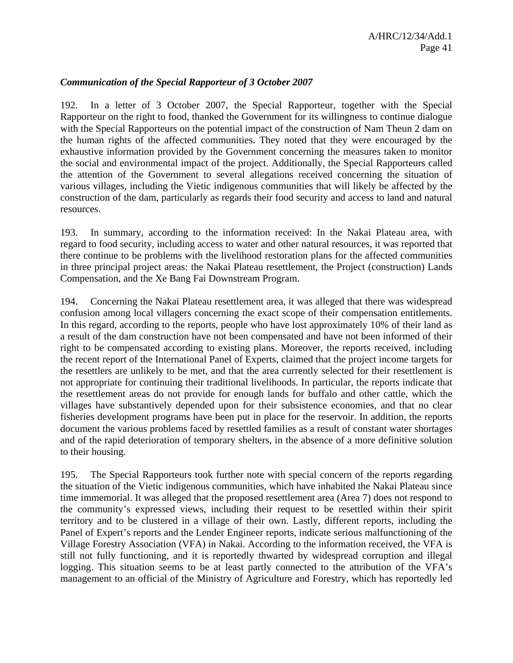### *Communication of the Special Rapporteur of 3 October 2007*

192. In a letter of 3 October 2007, the Special Rapporteur, together with the Special Rapporteur on the right to food, thanked the Government for its willingness to continue dialogue with the Special Rapporteurs on the potential impact of the construction of Nam Theun 2 dam on the human rights of the affected communities. They noted that they were encouraged by the exhaustive information provided by the Government concerning the measures taken to monitor the social and environmental impact of the project. Additionally, the Special Rapporteurs called the attention of the Government to several allegations received concerning the situation of various villages, including the Vietic indigenous communities that will likely be affected by the construction of the dam, particularly as regards their food security and access to land and natural resources.

193. In summary, according to the information received: In the Nakai Plateau area, with regard to food security, including access to water and other natural resources, it was reported that there continue to be problems with the livelihood restoration plans for the affected communities in three principal project areas: the Nakai Plateau resettlement, the Project (construction) Lands Compensation, and the Xe Bang Fai Downstream Program.

194. Concerning the Nakai Plateau resettlement area, it was alleged that there was widespread confusion among local villagers concerning the exact scope of their compensation entitlements. In this regard, according to the reports, people who have lost approximately 10% of their land as a result of the dam construction have not been compensated and have not been informed of their right to be compensated according to existing plans. Moreover, the reports received, including the recent report of the International Panel of Experts, claimed that the project income targets for the resettlers are unlikely to be met, and that the area currently selected for their resettlement is not appropriate for continuing their traditional livelihoods. In particular, the reports indicate that the resettlement areas do not provide for enough lands for buffalo and other cattle, which the villages have substantively depended upon for their subsistence economies, and that no clear fisheries development programs have been put in place for the reservoir. In addition, the reports document the various problems faced by resettled families as a result of constant water shortages and of the rapid deterioration of temporary shelters, in the absence of a more definitive solution to their housing.

195. The Special Rapporteurs took further note with special concern of the reports regarding the situation of the Vietic indigenous communities, which have inhabited the Nakai Plateau since time immemorial. It was alleged that the proposed resettlement area (Area 7) does not respond to the community's expressed views, including their request to be resettled within their spirit territory and to be clustered in a village of their own. Lastly, different reports, including the Panel of Expert's reports and the Lender Engineer reports, indicate serious malfunctioning of the Village Forestry Association (VFA) in Nakai. According to the information received, the VFA is still not fully functioning, and it is reportedly thwarted by widespread corruption and illegal logging. This situation seems to be at least partly connected to the attribution of the VFA's management to an official of the Ministry of Agriculture and Forestry, which has reportedly led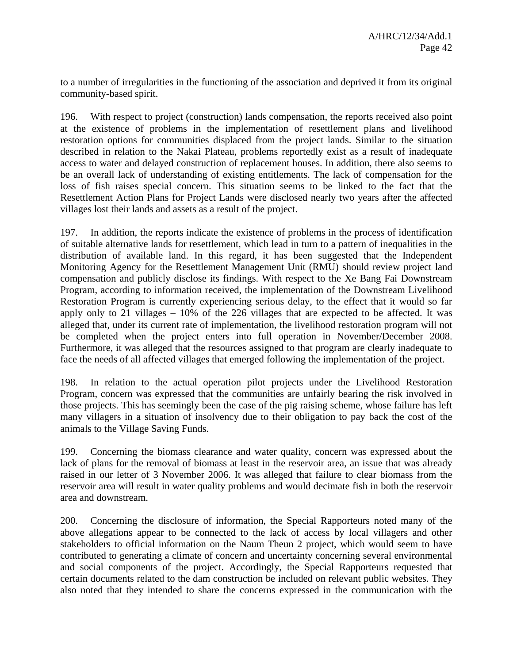to a number of irregularities in the functioning of the association and deprived it from its original community-based spirit.

196. With respect to project (construction) lands compensation, the reports received also point at the existence of problems in the implementation of resettlement plans and livelihood restoration options for communities displaced from the project lands. Similar to the situation described in relation to the Nakai Plateau, problems reportedly exist as a result of inadequate access to water and delayed construction of replacement houses. In addition, there also seems to be an overall lack of understanding of existing entitlements. The lack of compensation for the loss of fish raises special concern. This situation seems to be linked to the fact that the Resettlement Action Plans for Project Lands were disclosed nearly two years after the affected villages lost their lands and assets as a result of the project.

197. In addition, the reports indicate the existence of problems in the process of identification of suitable alternative lands for resettlement, which lead in turn to a pattern of inequalities in the distribution of available land. In this regard, it has been suggested that the Independent Monitoring Agency for the Resettlement Management Unit (RMU) should review project land compensation and publicly disclose its findings. With respect to the Xe Bang Fai Downstream Program, according to information received, the implementation of the Downstream Livelihood Restoration Program is currently experiencing serious delay, to the effect that it would so far apply only to 21 villages – 10% of the 226 villages that are expected to be affected. It was alleged that, under its current rate of implementation, the livelihood restoration program will not be completed when the project enters into full operation in November/December 2008. Furthermore, it was alleged that the resources assigned to that program are clearly inadequate to face the needs of all affected villages that emerged following the implementation of the project.

198. In relation to the actual operation pilot projects under the Livelihood Restoration Program, concern was expressed that the communities are unfairly bearing the risk involved in those projects. This has seemingly been the case of the pig raising scheme, whose failure has left many villagers in a situation of insolvency due to their obligation to pay back the cost of the animals to the Village Saving Funds.

199. Concerning the biomass clearance and water quality, concern was expressed about the lack of plans for the removal of biomass at least in the reservoir area, an issue that was already raised in our letter of 3 November 2006. It was alleged that failure to clear biomass from the reservoir area will result in water quality problems and would decimate fish in both the reservoir area and downstream.

200. Concerning the disclosure of information, the Special Rapporteurs noted many of the above allegations appear to be connected to the lack of access by local villagers and other stakeholders to official information on the Naum Theun 2 project, which would seem to have contributed to generating a climate of concern and uncertainty concerning several environmental and social components of the project. Accordingly, the Special Rapporteurs requested that certain documents related to the dam construction be included on relevant public websites. They also noted that they intended to share the concerns expressed in the communication with the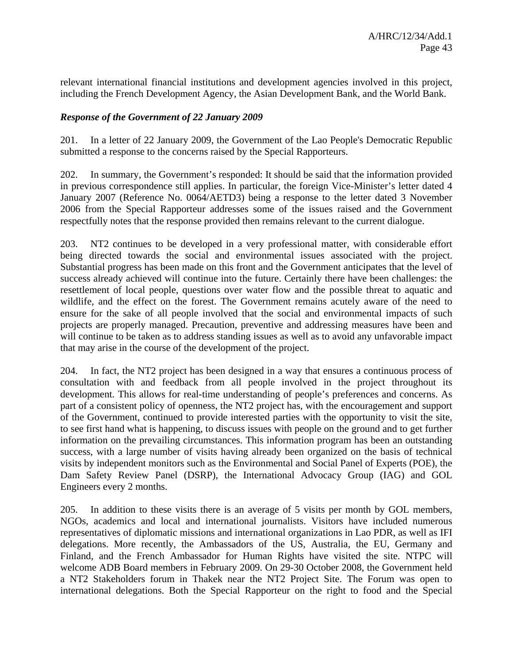relevant international financial institutions and development agencies involved in this project, including the French Development Agency, the Asian Development Bank, and the World Bank.

# *Response of the Government of 22 January 2009*

201. In a letter of 22 January 2009, the Government of the Lao People's Democratic Republic submitted a response to the concerns raised by the Special Rapporteurs.

202. In summary, the Government's responded: It should be said that the information provided in previous correspondence still applies. In particular, the foreign Vice-Minister's letter dated 4 January 2007 (Reference No. 0064/AETD3) being a response to the letter dated 3 November 2006 from the Special Rapporteur addresses some of the issues raised and the Government respectfully notes that the response provided then remains relevant to the current dialogue.

203. NT2 continues to be developed in a very professional matter, with considerable effort being directed towards the social and environmental issues associated with the project. Substantial progress has been made on this front and the Government anticipates that the level of success already achieved will continue into the future. Certainly there have been challenges: the resettlement of local people, questions over water flow and the possible threat to aquatic and wildlife, and the effect on the forest. The Government remains acutely aware of the need to ensure for the sake of all people involved that the social and environmental impacts of such projects are properly managed. Precaution, preventive and addressing measures have been and will continue to be taken as to address standing issues as well as to avoid any unfavorable impact that may arise in the course of the development of the project.

204. In fact, the NT2 project has been designed in a way that ensures a continuous process of consultation with and feedback from all people involved in the project throughout its development. This allows for real-time understanding of people's preferences and concerns. As part of a consistent policy of openness, the NT2 project has, with the encouragement and support of the Government, continued to provide interested parties with the opportunity to visit the site, to see first hand what is happening, to discuss issues with people on the ground and to get further information on the prevailing circumstances. This information program has been an outstanding success, with a large number of visits having already been organized on the basis of technical visits by independent monitors such as the Environmental and Social Panel of Experts (POE), the Dam Safety Review Panel (DSRP), the International Advocacy Group (IAG) and GOL Engineers every 2 months.

205. In addition to these visits there is an average of 5 visits per month by GOL members, NGOs, academics and local and international journalists. Visitors have included numerous representatives of diplomatic missions and international organizations in Lao PDR, as well as IFI delegations. More recently, the Ambassadors of the US, Australia, the EU, Germany and Finland, and the French Ambassador for Human Rights have visited the site. NTPC will welcome ADB Board members in February 2009. On 29-30 October 2008, the Government held a NT2 Stakeholders forum in Thakek near the NT2 Project Site. The Forum was open to international delegations. Both the Special Rapporteur on the right to food and the Special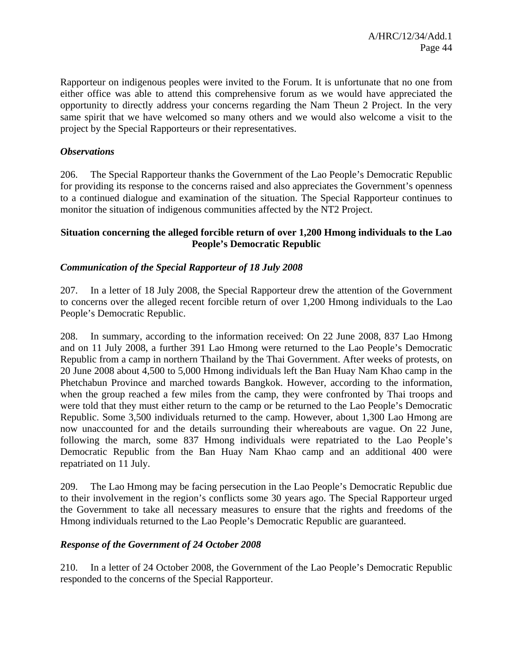Rapporteur on indigenous peoples were invited to the Forum. It is unfortunate that no one from either office was able to attend this comprehensive forum as we would have appreciated the opportunity to directly address your concerns regarding the Nam Theun 2 Project. In the very same spirit that we have welcomed so many others and we would also welcome a visit to the project by the Special Rapporteurs or their representatives.

# *Observations*

206. The Special Rapporteur thanks the Government of the Lao People's Democratic Republic for providing its response to the concerns raised and also appreciates the Government's openness to a continued dialogue and examination of the situation. The Special Rapporteur continues to monitor the situation of indigenous communities affected by the NT2 Project.

# **Situation concerning the alleged forcible return of over 1,200 Hmong individuals to the Lao People's Democratic Republic**

# *Communication of the Special Rapporteur of 18 July 2008*

207. In a letter of 18 July 2008, the Special Rapporteur drew the attention of the Government to concerns over the alleged recent forcible return of over 1,200 Hmong individuals to the Lao People's Democratic Republic.

208. In summary, according to the information received: On 22 June 2008, 837 Lao Hmong and on 11 July 2008, a further 391 Lao Hmong were returned to the Lao People's Democratic Republic from a camp in northern Thailand by the Thai Government. After weeks of protests, on 20 June 2008 about 4,500 to 5,000 Hmong individuals left the Ban Huay Nam Khao camp in the Phetchabun Province and marched towards Bangkok. However, according to the information, when the group reached a few miles from the camp, they were confronted by Thai troops and were told that they must either return to the camp or be returned to the Lao People's Democratic Republic. Some 3,500 individuals returned to the camp. However, about 1,300 Lao Hmong are now unaccounted for and the details surrounding their whereabouts are vague. On 22 June, following the march, some 837 Hmong individuals were repatriated to the Lao People's Democratic Republic from the Ban Huay Nam Khao camp and an additional 400 were repatriated on 11 July.

209. The Lao Hmong may be facing persecution in the Lao People's Democratic Republic due to their involvement in the region's conflicts some 30 years ago. The Special Rapporteur urged the Government to take all necessary measures to ensure that the rights and freedoms of the Hmong individuals returned to the Lao People's Democratic Republic are guaranteed.

### *Response of the Government of 24 October 2008*

210. In a letter of 24 October 2008, the Government of the Lao People's Democratic Republic responded to the concerns of the Special Rapporteur.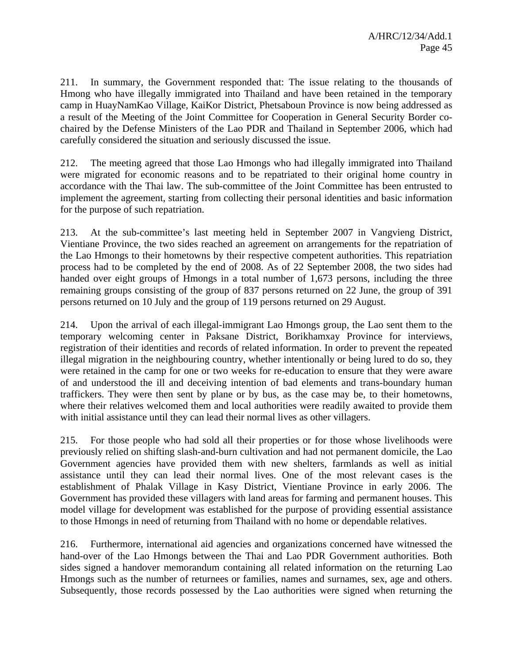211. In summary, the Government responded that: The issue relating to the thousands of Hmong who have illegally immigrated into Thailand and have been retained in the temporary camp in HuayNamKao Village, KaiKor District, Phetsaboun Province is now being addressed as a result of the Meeting of the Joint Committee for Cooperation in General Security Border cochaired by the Defense Ministers of the Lao PDR and Thailand in September 2006, which had carefully considered the situation and seriously discussed the issue.

212. The meeting agreed that those Lao Hmongs who had illegally immigrated into Thailand were migrated for economic reasons and to be repatriated to their original home country in accordance with the Thai law. The sub-committee of the Joint Committee has been entrusted to implement the agreement, starting from collecting their personal identities and basic information for the purpose of such repatriation.

213. At the sub-committee's last meeting held in September 2007 in Vangvieng District, Vientiane Province, the two sides reached an agreement on arrangements for the repatriation of the Lao Hmongs to their hometowns by their respective competent authorities. This repatriation process had to be completed by the end of 2008. As of 22 September 2008, the two sides had handed over eight groups of Hmongs in a total number of 1,673 persons, including the three remaining groups consisting of the group of 837 persons returned on 22 June, the group of 391 persons returned on 10 July and the group of 119 persons returned on 29 August.

214. Upon the arrival of each illegal-immigrant Lao Hmongs group, the Lao sent them to the temporary welcoming center in Paksane District, Borikhamxay Province for interviews, registration of their identities and records of related information. In order to prevent the repeated illegal migration in the neighbouring country, whether intentionally or being lured to do so, they were retained in the camp for one or two weeks for re-education to ensure that they were aware of and understood the ill and deceiving intention of bad elements and trans-boundary human traffickers. They were then sent by plane or by bus, as the case may be, to their hometowns, where their relatives welcomed them and local authorities were readily awaited to provide them with initial assistance until they can lead their normal lives as other villagers.

215. For those people who had sold all their properties or for those whose livelihoods were previously relied on shifting slash-and-burn cultivation and had not permanent domicile, the Lao Government agencies have provided them with new shelters, farmlands as well as initial assistance until they can lead their normal lives. One of the most relevant cases is the establishment of Phalak Village in Kasy District, Vientiane Province in early 2006. The Government has provided these villagers with land areas for farming and permanent houses. This model village for development was established for the purpose of providing essential assistance to those Hmongs in need of returning from Thailand with no home or dependable relatives.

216. Furthermore, international aid agencies and organizations concerned have witnessed the hand-over of the Lao Hmongs between the Thai and Lao PDR Government authorities. Both sides signed a handover memorandum containing all related information on the returning Lao Hmongs such as the number of returnees or families, names and surnames, sex, age and others. Subsequently, those records possessed by the Lao authorities were signed when returning the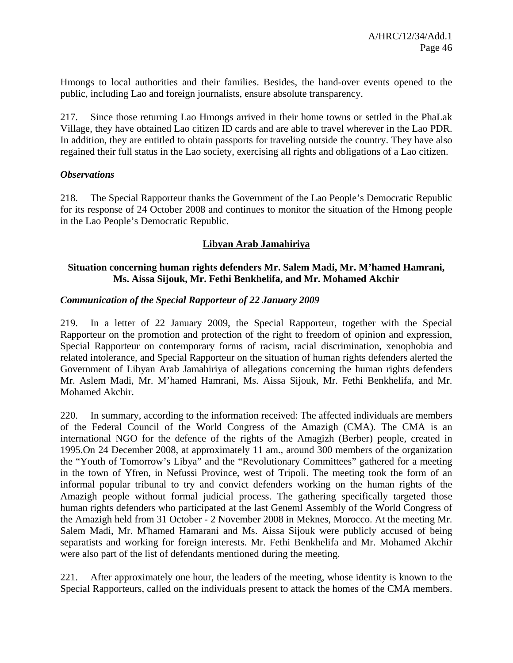Hmongs to local authorities and their families. Besides, the hand-over events opened to the public, including Lao and foreign journalists, ensure absolute transparency.

217. Since those returning Lao Hmongs arrived in their home towns or settled in the PhaLak Village, they have obtained Lao citizen ID cards and are able to travel wherever in the Lao PDR. In addition, they are entitled to obtain passports for traveling outside the country. They have also regained their full status in the Lao society, exercising all rights and obligations of a Lao citizen.

### *Observations*

218. The Special Rapporteur thanks the Government of the Lao People's Democratic Republic for its response of 24 October 2008 and continues to monitor the situation of the Hmong people in the Lao People's Democratic Republic.

# **Libyan Arab Jamahiriya**

# **Situation concerning human rights defenders Mr. Salem Madi, Mr. M'hamed Hamrani, Ms. Aissa Sijouk, Mr. Fethi Benkhelifa, and Mr. Mohamed Akchir**

# *Communication of the Special Rapporteur of 22 January 2009*

219. In a letter of 22 January 2009, the Special Rapporteur, together with the Special Rapporteur on the promotion and protection of the right to freedom of opinion and expression, Special Rapporteur on contemporary forms of racism, racial discrimination, xenophobia and related intolerance, and Special Rapporteur on the situation of human rights defenders alerted the Government of Libyan Arab Jamahiriya of allegations concerning the human rights defenders Mr. Aslem Madi, Mr. M'hamed Hamrani, Ms. Aissa Sijouk, Mr. Fethi Benkhelifa, and Mr. Mohamed Akchir.

220. In summary, according to the information received: The affected individuals are members of the Federal Council of the World Congress of the Amazigh (CMA). The CMA is an international NGO for the defence of the rights of the Amagizh (Berber) people, created in 1995.On 24 December 2008, at approximately 11 am., around 300 members of the organization the "Youth of Tomorrow's Libya" and the "Revolutionary Committees" gathered for a meeting in the town of Yfren, in Nefussi Province, west of Tripoli. The meeting took the form of an informal popular tribunal to try and convict defenders working on the human rights of the Amazigh people without formal judicial process. The gathering specifically targeted those human rights defenders who participated at the last Geneml Assembly of the World Congress of the Amazigh held from 31 October - 2 November 2008 in Meknes, Morocco. At the meeting Mr. Salem Madi, Mr. M'hamed Hamarani and Ms. Aissa Sijouk were publicly accused of being separatists and working for foreign interests. Mr. Fethi Benkhelifa and Mr. Mohamed Akchir were also part of the list of defendants mentioned during the meeting.

221. After approximately one hour, the leaders of the meeting, whose identity is known to the Special Rapporteurs, called on the individuals present to attack the homes of the CMA members.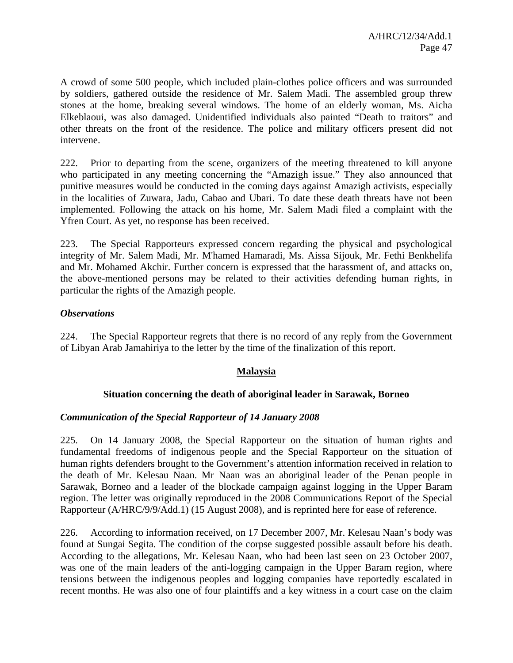A crowd of some 500 people, which included plain-clothes police officers and was surrounded by soldiers, gathered outside the residence of Mr. Salem Madi. The assembled group threw stones at the home, breaking several windows. The home of an elderly woman, Ms. Aicha Elkeblaoui, was also damaged. Unidentified individuals also painted "Death to traitors" and other threats on the front of the residence. The police and military officers present did not intervene.

222. Prior to departing from the scene, organizers of the meeting threatened to kill anyone who participated in any meeting concerning the "Amazigh issue." They also announced that punitive measures would be conducted in the coming days against Amazigh activists, especially in the localities of Zuwara, Jadu, Cabao and Ubari. To date these death threats have not been implemented. Following the attack on his home, Mr. Salem Madi filed a complaint with the Yfren Court. As yet, no response has been received.

223. The Special Rapporteurs expressed concern regarding the physical and psychological integrity of Mr. Salem Madi, Mr. M'hamed Hamaradi, Ms. Aissa Sijouk, Mr. Fethi Benkhelifa and Mr. Mohamed Akchir. Further concern is expressed that the harassment of, and attacks on, the above-mentioned persons may be related to their activities defending human rights, in particular the rights of the Amazigh people.

# *Observations*

224. The Special Rapporteur regrets that there is no record of any reply from the Government of Libyan Arab Jamahiriya to the letter by the time of the finalization of this report.

### **Malaysia**

### **Situation concerning the death of aboriginal leader in Sarawak, Borneo**

### *Communication of the Special Rapporteur of 14 January 2008*

225. On 14 January 2008, the Special Rapporteur on the situation of human rights and fundamental freedoms of indigenous people and the Special Rapporteur on the situation of human rights defenders brought to the Government's attention information received in relation to the death of Mr. Kelesau Naan. Mr Naan was an aboriginal leader of the Penan people in Sarawak, Borneo and a leader of the blockade campaign against logging in the Upper Baram region. The letter was originally reproduced in the 2008 Communications Report of the Special Rapporteur (A/HRC/9/9/Add.1) (15 August 2008), and is reprinted here for ease of reference.

226. According to information received, on 17 December 2007, Mr. Kelesau Naan's body was found at Sungai Segita. The condition of the corpse suggested possible assault before his death. According to the allegations, Mr. Kelesau Naan, who had been last seen on 23 October 2007, was one of the main leaders of the anti-logging campaign in the Upper Baram region, where tensions between the indigenous peoples and logging companies have reportedly escalated in recent months. He was also one of four plaintiffs and a key witness in a court case on the claim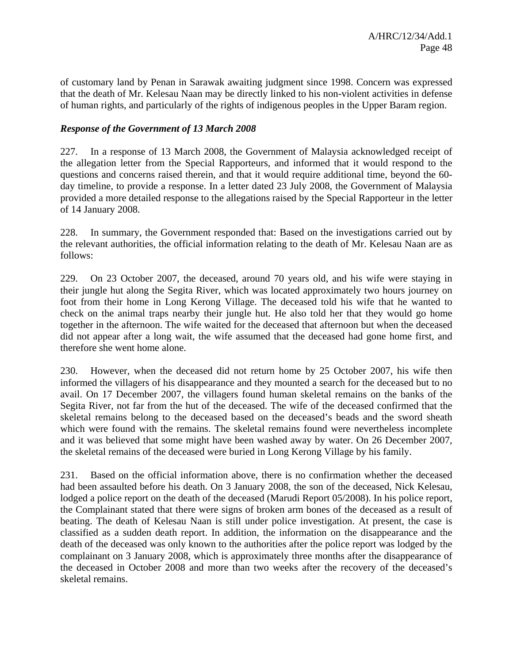of customary land by Penan in Sarawak awaiting judgment since 1998. Concern was expressed that the death of Mr. Kelesau Naan may be directly linked to his non-violent activities in defense of human rights, and particularly of the rights of indigenous peoples in the Upper Baram region.

# *Response of the Government of 13 March 2008*

227. In a response of 13 March 2008, the Government of Malaysia acknowledged receipt of the allegation letter from the Special Rapporteurs, and informed that it would respond to the questions and concerns raised therein, and that it would require additional time, beyond the 60 day timeline, to provide a response. In a letter dated 23 July 2008, the Government of Malaysia provided a more detailed response to the allegations raised by the Special Rapporteur in the letter of 14 January 2008.

228. In summary, the Government responded that: Based on the investigations carried out by the relevant authorities, the official information relating to the death of Mr. Kelesau Naan are as follows:

229. On 23 October 2007, the deceased, around 70 years old, and his wife were staying in their jungle hut along the Segita River, which was located approximately two hours journey on foot from their home in Long Kerong Village. The deceased told his wife that he wanted to check on the animal traps nearby their jungle hut. He also told her that they would go home together in the afternoon. The wife waited for the deceased that afternoon but when the deceased did not appear after a long wait, the wife assumed that the deceased had gone home first, and therefore she went home alone.

230. However, when the deceased did not return home by 25 October 2007, his wife then informed the villagers of his disappearance and they mounted a search for the deceased but to no avail. On 17 December 2007, the villagers found human skeletal remains on the banks of the Segita River, not far from the hut of the deceased. The wife of the deceased confirmed that the skeletal remains belong to the deceased based on the deceased's beads and the sword sheath which were found with the remains. The skeletal remains found were nevertheless incomplete and it was believed that some might have been washed away by water. On 26 December 2007, the skeletal remains of the deceased were buried in Long Kerong Village by his family.

231. Based on the official information above, there is no confirmation whether the deceased had been assaulted before his death. On 3 January 2008, the son of the deceased, Nick Kelesau, lodged a police report on the death of the deceased (Marudi Report 05/2008). In his police report, the Complainant stated that there were signs of broken arm bones of the deceased as a result of beating. The death of Kelesau Naan is still under police investigation. At present, the case is classified as a sudden death report. In addition, the information on the disappearance and the death of the deceased was only known to the authorities after the police report was lodged by the complainant on 3 January 2008, which is approximately three months after the disappearance of the deceased in October 2008 and more than two weeks after the recovery of the deceased's skeletal remains.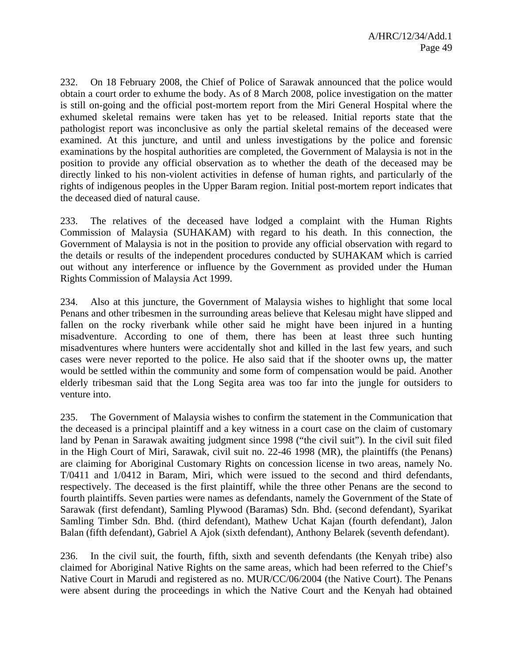232. On 18 February 2008, the Chief of Police of Sarawak announced that the police would obtain a court order to exhume the body. As of 8 March 2008, police investigation on the matter is still on-going and the official post-mortem report from the Miri General Hospital where the exhumed skeletal remains were taken has yet to be released. Initial reports state that the pathologist report was inconclusive as only the partial skeletal remains of the deceased were examined. At this juncture, and until and unless investigations by the police and forensic examinations by the hospital authorities are completed, the Government of Malaysia is not in the position to provide any official observation as to whether the death of the deceased may be directly linked to his non-violent activities in defense of human rights, and particularly of the rights of indigenous peoples in the Upper Baram region. Initial post-mortem report indicates that the deceased died of natural cause.

233. The relatives of the deceased have lodged a complaint with the Human Rights Commission of Malaysia (SUHAKAM) with regard to his death. In this connection, the Government of Malaysia is not in the position to provide any official observation with regard to the details or results of the independent procedures conducted by SUHAKAM which is carried out without any interference or influence by the Government as provided under the Human Rights Commission of Malaysia Act 1999.

234. Also at this juncture, the Government of Malaysia wishes to highlight that some local Penans and other tribesmen in the surrounding areas believe that Kelesau might have slipped and fallen on the rocky riverbank while other said he might have been injured in a hunting misadventure. According to one of them, there has been at least three such hunting misadventures where hunters were accidentally shot and killed in the last few years, and such cases were never reported to the police. He also said that if the shooter owns up, the matter would be settled within the community and some form of compensation would be paid. Another elderly tribesman said that the Long Segita area was too far into the jungle for outsiders to venture into.

235. The Government of Malaysia wishes to confirm the statement in the Communication that the deceased is a principal plaintiff and a key witness in a court case on the claim of customary land by Penan in Sarawak awaiting judgment since 1998 ("the civil suit"). In the civil suit filed in the High Court of Miri, Sarawak, civil suit no. 22-46 1998 (MR), the plaintiffs (the Penans) are claiming for Aboriginal Customary Rights on concession license in two areas, namely No. T/0411 and 1/0412 in Baram, Miri, which were issued to the second and third defendants, respectively. The deceased is the first plaintiff, while the three other Penans are the second to fourth plaintiffs. Seven parties were names as defendants, namely the Government of the State of Sarawak (first defendant), Samling Plywood (Baramas) Sdn. Bhd. (second defendant), Syarikat Samling Timber Sdn. Bhd. (third defendant), Mathew Uchat Kajan (fourth defendant), Jalon Balan (fifth defendant), Gabriel A Ajok (sixth defendant), Anthony Belarek (seventh defendant).

236. In the civil suit, the fourth, fifth, sixth and seventh defendants (the Kenyah tribe) also claimed for Aboriginal Native Rights on the same areas, which had been referred to the Chief's Native Court in Marudi and registered as no. MUR/CC/06/2004 (the Native Court). The Penans were absent during the proceedings in which the Native Court and the Kenyah had obtained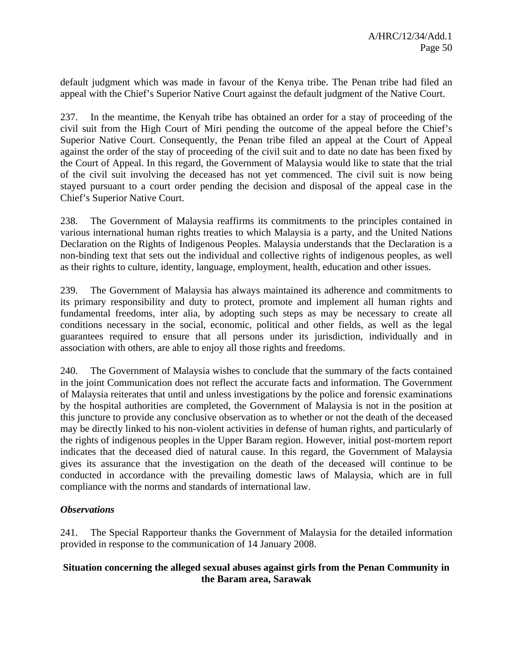default judgment which was made in favour of the Kenya tribe. The Penan tribe had filed an appeal with the Chief's Superior Native Court against the default judgment of the Native Court.

237. In the meantime, the Kenyah tribe has obtained an order for a stay of proceeding of the civil suit from the High Court of Miri pending the outcome of the appeal before the Chief's Superior Native Court. Consequently, the Penan tribe filed an appeal at the Court of Appeal against the order of the stay of proceeding of the civil suit and to date no date has been fixed by the Court of Appeal. In this regard, the Government of Malaysia would like to state that the trial of the civil suit involving the deceased has not yet commenced. The civil suit is now being stayed pursuant to a court order pending the decision and disposal of the appeal case in the Chief's Superior Native Court.

238. The Government of Malaysia reaffirms its commitments to the principles contained in various international human rights treaties to which Malaysia is a party, and the United Nations Declaration on the Rights of Indigenous Peoples. Malaysia understands that the Declaration is a non-binding text that sets out the individual and collective rights of indigenous peoples, as well as their rights to culture, identity, language, employment, health, education and other issues.

239. The Government of Malaysia has always maintained its adherence and commitments to its primary responsibility and duty to protect, promote and implement all human rights and fundamental freedoms, inter alia, by adopting such steps as may be necessary to create all conditions necessary in the social, economic, political and other fields, as well as the legal guarantees required to ensure that all persons under its jurisdiction, individually and in association with others, are able to enjoy all those rights and freedoms.

240. The Government of Malaysia wishes to conclude that the summary of the facts contained in the joint Communication does not reflect the accurate facts and information. The Government of Malaysia reiterates that until and unless investigations by the police and forensic examinations by the hospital authorities are completed, the Government of Malaysia is not in the position at this juncture to provide any conclusive observation as to whether or not the death of the deceased may be directly linked to his non-violent activities in defense of human rights, and particularly of the rights of indigenous peoples in the Upper Baram region. However, initial post-mortem report indicates that the deceased died of natural cause. In this regard, the Government of Malaysia gives its assurance that the investigation on the death of the deceased will continue to be conducted in accordance with the prevailing domestic laws of Malaysia, which are in full compliance with the norms and standards of international law.

### *Observations*

241. The Special Rapporteur thanks the Government of Malaysia for the detailed information provided in response to the communication of 14 January 2008.

# **Situation concerning the alleged sexual abuses against girls from the Penan Community in the Baram area, Sarawak**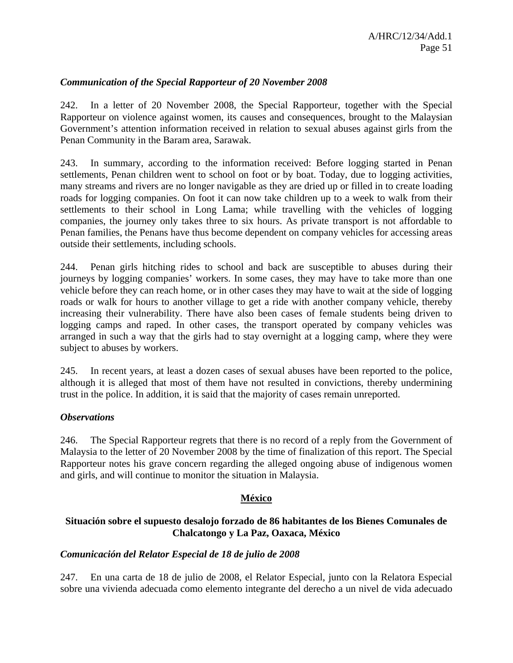# *Communication of the Special Rapporteur of 20 November 2008*

242. In a letter of 20 November 2008, the Special Rapporteur, together with the Special Rapporteur on violence against women, its causes and consequences, brought to the Malaysian Government's attention information received in relation to sexual abuses against girls from the Penan Community in the Baram area, Sarawak.

243. In summary, according to the information received: Before logging started in Penan settlements, Penan children went to school on foot or by boat. Today, due to logging activities, many streams and rivers are no longer navigable as they are dried up or filled in to create loading roads for logging companies. On foot it can now take children up to a week to walk from their settlements to their school in Long Lama; while travelling with the vehicles of logging companies, the journey only takes three to six hours. As private transport is not affordable to Penan families, the Penans have thus become dependent on company vehicles for accessing areas outside their settlements, including schools.

244. Penan girls hitching rides to school and back are susceptible to abuses during their journeys by logging companies' workers. In some cases, they may have to take more than one vehicle before they can reach home, or in other cases they may have to wait at the side of logging roads or walk for hours to another village to get a ride with another company vehicle, thereby increasing their vulnerability. There have also been cases of female students being driven to logging camps and raped. In other cases, the transport operated by company vehicles was arranged in such a way that the girls had to stay overnight at a logging camp, where they were subject to abuses by workers.

245. In recent years, at least a dozen cases of sexual abuses have been reported to the police, although it is alleged that most of them have not resulted in convictions, thereby undermining trust in the police. In addition, it is said that the majority of cases remain unreported.

### *Observations*

246. The Special Rapporteur regrets that there is no record of a reply from the Government of Malaysia to the letter of 20 November 2008 by the time of finalization of this report. The Special Rapporteur notes his grave concern regarding the alleged ongoing abuse of indigenous women and girls, and will continue to monitor the situation in Malaysia.

### **México**

# **Situación sobre el supuesto desalojo forzado de 86 habitantes de los Bienes Comunales de Chalcatongo y La Paz, Oaxaca, México**

#### *Comunicación del Relator Especial de 18 de julio de 2008*

247. En una carta de 18 de julio de 2008, el Relator Especial, junto con la Relatora Especial sobre una vivienda adecuada como elemento integrante del derecho a un nivel de vida adecuado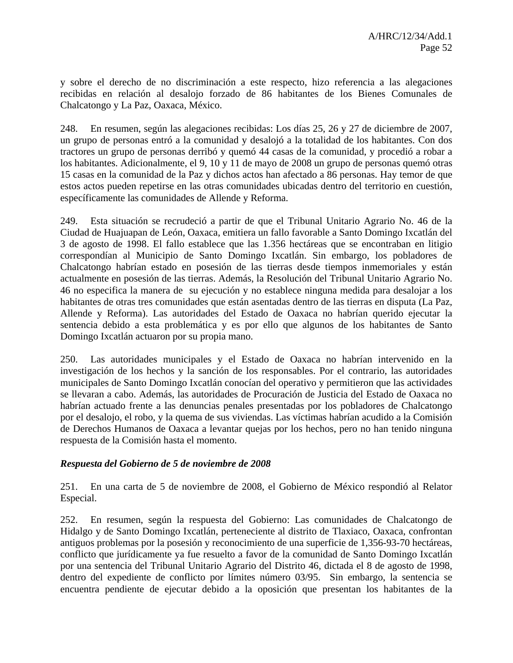y sobre el derecho de no discriminación a este respecto, hizo referencia a las alegaciones recibidas en relación al desalojo forzado de 86 habitantes de los Bienes Comunales de Chalcatongo y La Paz, Oaxaca, México.

248. En resumen, según las alegaciones recibidas: Los días 25, 26 y 27 de diciembre de 2007, un grupo de personas entró a la comunidad y desalojó a la totalidad de los habitantes. Con dos tractores un grupo de personas derribó y quemó 44 casas de la comunidad, y procedió a robar a los habitantes. Adicionalmente, el 9, 10 y 11 de mayo de 2008 un grupo de personas quemó otras 15 casas en la comunidad de la Paz y dichos actos han afectado a 86 personas. Hay temor de que estos actos pueden repetirse en las otras comunidades ubicadas dentro del territorio en cuestión, específicamente las comunidades de Allende y Reforma.

249. Esta situación se recrudeció a partir de que el Tribunal Unitario Agrario No. 46 de la Ciudad de Huajuapan de León, Oaxaca, emitiera un fallo favorable a Santo Domingo Ixcatlán del 3 de agosto de 1998. El fallo establece que las 1.356 hectáreas que se encontraban en litigio correspondían al Municipio de Santo Domingo Ixcatlán. Sin embargo, los pobladores de Chalcatongo habrían estado en posesión de las tierras desde tiempos inmemoriales y están actualmente en posesión de las tierras. Además, la Resolución del Tribunal Unitario Agrario No. 46 no especifica la manera de su ejecución y no establece ninguna medida para desalojar a los habitantes de otras tres comunidades que están asentadas dentro de las tierras en disputa (La Paz, Allende y Reforma). Las autoridades del Estado de Oaxaca no habrían querido ejecutar la sentencia debido a esta problemática y es por ello que algunos de los habitantes de Santo Domingo Ixcatlán actuaron por su propia mano.

250. Las autoridades municipales y el Estado de Oaxaca no habrían intervenido en la investigación de los hechos y la sanción de los responsables. Por el contrario, las autoridades municipales de Santo Domingo Ixcatlán conocían del operativo y permitieron que las actividades se llevaran a cabo. Además, las autoridades de Procuración de Justicia del Estado de Oaxaca no habrían actuado frente a las denuncias penales presentadas por los pobladores de Chalcatongo por el desalojo, el robo, y la quema de sus viviendas. Las víctimas habrían acudido a la Comisión de Derechos Humanos de Oaxaca a levantar quejas por los hechos, pero no han tenido ninguna respuesta de la Comisión hasta el momento.

### *Respuesta del Gobierno de 5 de noviembre de 2008*

251. En una carta de 5 de noviembre de 2008, el Gobierno de México respondió al Relator Especial.

252. En resumen, según la respuesta del Gobierno: Las comunidades de Chalcatongo de Hidalgo y de Santo Domingo Ixcatlán, perteneciente al distrito de Tlaxiaco, Oaxaca, confrontan antiguos problemas por la posesión y reconocimiento de una superficie de 1,356-93-70 hectáreas, conflicto que jurídicamente ya fue resuelto a favor de la comunidad de Santo Domingo Ixcatlán por una sentencia del Tribunal Unitario Agrario del Distrito 46, dictada el 8 de agosto de 1998, dentro del expediente de conflicto por límites número 03/95. Sin embargo, la sentencia se encuentra pendiente de ejecutar debido a la oposición que presentan los habitantes de la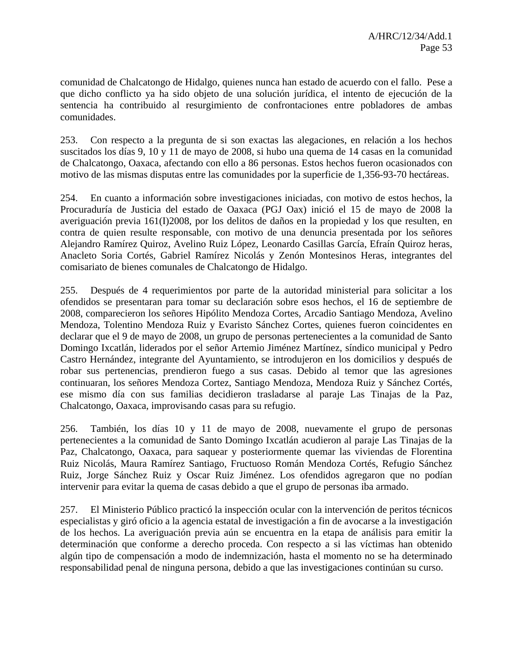comunidad de Chalcatongo de Hidalgo, quienes nunca han estado de acuerdo con el fallo. Pese a que dicho conflicto ya ha sido objeto de una solución jurídica, el intento de ejecución de la sentencia ha contribuido al resurgimiento de confrontaciones entre pobladores de ambas comunidades.

253. Con respecto a la pregunta de si son exactas las alegaciones, en relación a los hechos suscitados los días 9, 10 y 11 de mayo de 2008, si hubo una quema de 14 casas en la comunidad de Chalcatongo, Oaxaca, afectando con ello a 86 personas. Estos hechos fueron ocasionados con motivo de las mismas disputas entre las comunidades por la superficie de 1,356-93-70 hectáreas.

254. En cuanto a información sobre investigaciones iniciadas, con motivo de estos hechos, la Procuraduría de Justicia del estado de Oaxaca (PGJ Oax) inició el 15 de mayo de 2008 la averiguación previa 161(I)2008, por los delitos de daños en la propiedad y los que resulten, en contra de quien resulte responsable, con motivo de una denuncia presentada por los señores Alejandro Ramírez Quiroz, Avelino Ruiz López, Leonardo Casillas García, Efraín Quiroz heras, Anacleto Soria Cortés, Gabriel Ramírez Nicolás y Zenón Montesinos Heras, integrantes del comisariato de bienes comunales de Chalcatongo de Hidalgo.

255. Después de 4 requerimientos por parte de la autoridad ministerial para solicitar a los ofendidos se presentaran para tomar su declaración sobre esos hechos, el 16 de septiembre de 2008, comparecieron los señores Hipólito Mendoza Cortes, Arcadio Santiago Mendoza, Avelino Mendoza, Tolentino Mendoza Ruiz y Evaristo Sánchez Cortes, quienes fueron coincidentes en declarar que el 9 de mayo de 2008, un grupo de personas pertenecientes a la comunidad de Santo Domingo Ixcatlán, liderados por el señor Artemio Jiménez Martínez, síndico municipal y Pedro Castro Hernández, integrante del Ayuntamiento, se introdujeron en los domicilios y después de robar sus pertenencias, prendieron fuego a sus casas. Debido al temor que las agresiones continuaran, los señores Mendoza Cortez, Santiago Mendoza, Mendoza Ruiz y Sánchez Cortés, ese mismo día con sus familias decidieron trasladarse al paraje Las Tinajas de la Paz, Chalcatongo, Oaxaca, improvisando casas para su refugio.

256. También, los días 10 y 11 de mayo de 2008, nuevamente el grupo de personas pertenecientes a la comunidad de Santo Domingo Ixcatlán acudieron al paraje Las Tinajas de la Paz, Chalcatongo, Oaxaca, para saquear y posteriormente quemar las viviendas de Florentina Ruiz Nicolás, Maura Ramírez Santiago, Fructuoso Román Mendoza Cortés, Refugio Sánchez Ruiz, Jorge Sánchez Ruiz y Oscar Ruiz Jiménez. Los ofendidos agregaron que no podían intervenir para evitar la quema de casas debido a que el grupo de personas iba armado.

257. El Ministerio Público practicó la inspección ocular con la intervención de peritos técnicos especialistas y giró oficio a la agencia estatal de investigación a fin de avocarse a la investigación de los hechos. La averiguación previa aún se encuentra en la etapa de análisis para emitir la determinación que conforme a derecho proceda. Con respecto a si las víctimas han obtenido algún tipo de compensación a modo de indemnización, hasta el momento no se ha determinado responsabilidad penal de ninguna persona, debido a que las investigaciones continúan su curso.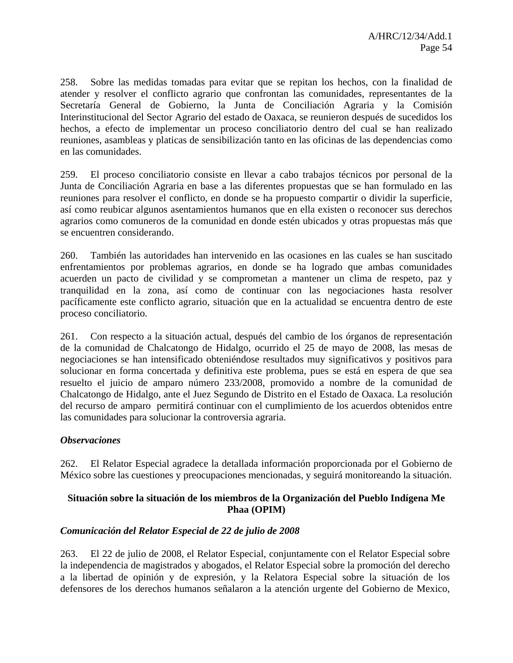258. Sobre las medidas tomadas para evitar que se repitan los hechos, con la finalidad de atender y resolver el conflicto agrario que confrontan las comunidades, representantes de la Secretaría General de Gobierno, la Junta de Conciliación Agraria y la Comisión Interinstitucional del Sector Agrario del estado de Oaxaca, se reunieron después de sucedidos los hechos, a efecto de implementar un proceso conciliatorio dentro del cual se han realizado reuniones, asambleas y platicas de sensibilización tanto en las oficinas de las dependencias como en las comunidades.

259. El proceso conciliatorio consiste en llevar a cabo trabajos técnicos por personal de la Junta de Conciliación Agraria en base a las diferentes propuestas que se han formulado en las reuniones para resolver el conflicto, en donde se ha propuesto compartir o dividir la superficie, así como reubicar algunos asentamientos humanos que en ella existen o reconocer sus derechos agrarios como comuneros de la comunidad en donde estén ubicados y otras propuestas más que se encuentren considerando.

260. También las autoridades han intervenido en las ocasiones en las cuales se han suscitado enfrentamientos por problemas agrarios, en donde se ha logrado que ambas comunidades acuerden un pacto de civilidad y se comprometan a mantener un clima de respeto, paz y tranquilidad en la zona, así como de continuar con las negociaciones hasta resolver pacíficamente este conflicto agrario, situación que en la actualidad se encuentra dentro de este proceso conciliatorio.

261. Con respecto a la situación actual, después del cambio de los órganos de representación de la comunidad de Chalcatongo de Hidalgo, ocurrido el 25 de mayo de 2008, las mesas de negociaciones se han intensificado obteniéndose resultados muy significativos y positivos para solucionar en forma concertada y definitiva este problema, pues se está en espera de que sea resuelto el juicio de amparo número 233/2008, promovido a nombre de la comunidad de Chalcatongo de Hidalgo, ante el Juez Segundo de Distrito en el Estado de Oaxaca. La resolución del recurso de amparo permitirá continuar con el cumplimiento de los acuerdos obtenidos entre las comunidades para solucionar la controversia agraria.

# *Observaciones*

262. El Relator Especial agradece la detallada información proporcionada por el Gobierno de México sobre las cuestiones y preocupaciones mencionadas, y seguirá monitoreando la situación.

# **Situación sobre la situación de los miembros de la Organización del Pueblo Indígena Me Phaa (OPIM)**

# *Comunicación del Relator Especial de 22 de julio de 2008*

263. El 22 de julio de 2008, el Relator Especial, conjuntamente con el Relator Especial sobre la independencia de magistrados y abogados, el Relator Especial sobre la promoción del derecho a la libertad de opinión y de expresión, y la Relatora Especial sobre la situación de los defensores de los derechos humanos señalaron a la atención urgente del Gobierno de Mexico,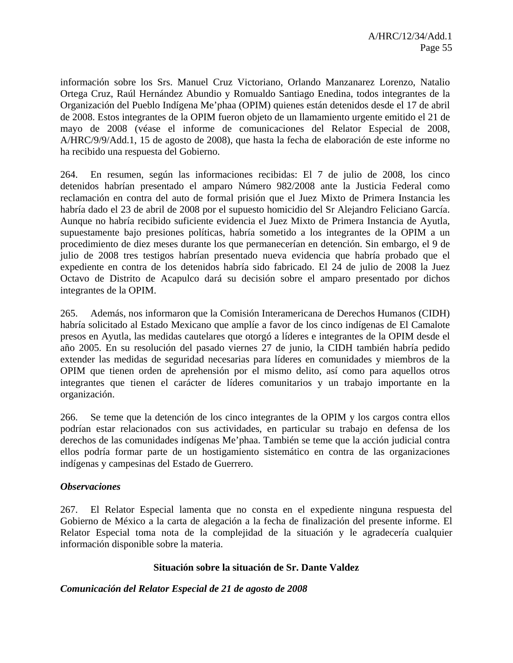información sobre los Srs. Manuel Cruz Victoriano, Orlando Manzanarez Lorenzo, Natalio Ortega Cruz, Raúl Hernández Abundio y Romualdo Santiago Enedina, todos integrantes de la Organización del Pueblo Indígena Me'phaa (OPIM) quienes están detenidos desde el 17 de abril de 2008. Estos integrantes de la OPIM fueron objeto de un llamamiento urgente emitido el 21 de mayo de 2008 (véase el informe de comunicaciones del Relator Especial de 2008, A/HRC/9/9/Add.1, 15 de agosto de 2008), que hasta la fecha de elaboración de este informe no ha recibido una respuesta del Gobierno.

264. En resumen, según las informaciones recibidas: El 7 de julio de 2008, los cinco detenidos habrían presentado el amparo Número 982/2008 ante la Justicia Federal como reclamación en contra del auto de formal prisión que el Juez Mixto de Primera Instancia les habría dado el 23 de abril de 2008 por el supuesto homicidio del Sr Alejandro Feliciano García. Aunque no habría recibido suficiente evidencia el Juez Mixto de Primera Instancia de Ayutla, supuestamente bajo presiones políticas, habría sometido a los integrantes de la OPIM a un procedimiento de diez meses durante los que permanecerían en detención. Sin embargo, el 9 de julio de 2008 tres testigos habrían presentado nueva evidencia que habría probado que el expediente en contra de los detenidos habría sido fabricado. El 24 de julio de 2008 la Juez Octavo de Distrito de Acapulco dará su decisión sobre el amparo presentado por dichos integrantes de la OPIM.

265. Además, nos informaron que la Comisión Interamericana de Derechos Humanos (CIDH) habría solicitado al Estado Mexicano que amplíe a favor de los cinco indígenas de El Camalote presos en Ayutla, las medidas cautelares que otorgó a líderes e integrantes de la OPIM desde el año 2005. En su resolución del pasado viernes 27 de junio, la CIDH también habría pedido extender las medidas de seguridad necesarias para líderes en comunidades y miembros de la OPIM que tienen orden de aprehensión por el mismo delito, así como para aquellos otros integrantes que tienen el carácter de líderes comunitarios y un trabajo importante en la organización.

266. Se teme que la detención de los cinco integrantes de la OPIM y los cargos contra ellos podrían estar relacionados con sus actividades, en particular su trabajo en defensa de los derechos de las comunidades indígenas Me'phaa. También se teme que la acción judicial contra ellos podría formar parte de un hostigamiento sistemático en contra de las organizaciones indígenas y campesinas del Estado de Guerrero.

### *Observaciones*

267. El Relator Especial lamenta que no consta en el expediente ninguna respuesta del Gobierno de México a la carta de alegación a la fecha de finalización del presente informe. El Relator Especial toma nota de la complejidad de la situación y le agradecería cualquier información disponible sobre la materia.

### **Situación sobre la situación de Sr. Dante Valdez**

*Comunicación del Relator Especial de 21 de agosto de 2008*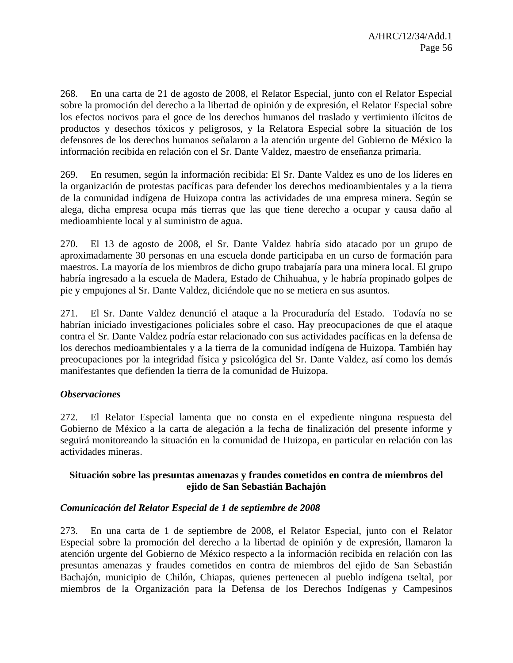268. En una carta de 21 de agosto de 2008, el Relator Especial, junto con el Relator Especial sobre la promoción del derecho a la libertad de opinión y de expresión, el Relator Especial sobre los efectos nocivos para el goce de los derechos humanos del traslado y vertimiento ilícitos de productos y desechos tóxicos y peligrosos, y la Relatora Especial sobre la situación de los defensores de los derechos humanos señalaron a la atención urgente del Gobierno de México la información recibida en relación con el Sr. Dante Valdez, maestro de enseñanza primaria.

269. En resumen, según la información recibida: El Sr. Dante Valdez es uno de los líderes en la organización de protestas pacíficas para defender los derechos medioambientales y a la tierra de la comunidad indígena de Huizopa contra las actividades de una empresa minera. Según se alega, dicha empresa ocupa más tierras que las que tiene derecho a ocupar y causa daño al medioambiente local y al suministro de agua.

270. El 13 de agosto de 2008, el Sr. Dante Valdez habría sido atacado por un grupo de aproximadamente 30 personas en una escuela donde participaba en un curso de formación para maestros. La mayoría de los miembros de dicho grupo trabajaría para una minera local. El grupo habría ingresado a la escuela de Madera, Estado de Chihuahua, y le habría propinado golpes de pie y empujones al Sr. Dante Valdez, diciéndole que no se metiera en sus asuntos.

271. El Sr. Dante Valdez denunció el ataque a la Procuraduría del Estado. Todavía no se habrían iniciado investigaciones policiales sobre el caso. Hay preocupaciones de que el ataque contra el Sr. Dante Valdez podría estar relacionado con sus actividades pacíficas en la defensa de los derechos medioambientales y a la tierra de la comunidad indígena de Huizopa. También hay preocupaciones por la integridad física y psicológica del Sr. Dante Valdez, así como los demás manifestantes que defienden la tierra de la comunidad de Huizopa.

# *Observaciones*

272. El Relator Especial lamenta que no consta en el expediente ninguna respuesta del Gobierno de México a la carta de alegación a la fecha de finalización del presente informe y seguirá monitoreando la situación en la comunidad de Huizopa, en particular en relación con las actividades mineras.

# **Situación sobre las presuntas amenazas y fraudes cometidos en contra de miembros del ejido de San Sebastián Bachajón**

# *Comunicación del Relator Especial de 1 de septiembre de 2008*

273. En una carta de 1 de septiembre de 2008, el Relator Especial, junto con el Relator Especial sobre la promoción del derecho a la libertad de opinión y de expresión, llamaron la atención urgente del Gobierno de México respecto a la información recibida en relación con las presuntas amenazas y fraudes cometidos en contra de miembros del ejido de San Sebastián Bachajón, municipio de Chilón, Chiapas, quienes pertenecen al pueblo indígena tseltal, por miembros de la Organización para la Defensa de los Derechos Indígenas y Campesinos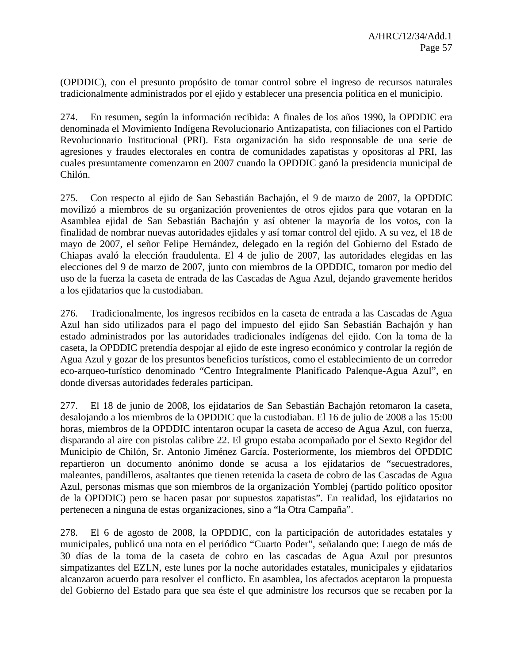(OPDDIC), con el presunto propósito de tomar control sobre el ingreso de recursos naturales tradicionalmente administrados por el ejido y establecer una presencia política en el municipio.

274. En resumen, según la información recibida: A finales de los años 1990, la OPDDIC era denominada el Movimiento Indígena Revolucionario Antizapatista, con filiaciones con el Partido Revolucionario Institucional (PRI). Esta organización ha sido responsable de una serie de agresiones y fraudes electorales en contra de comunidades zapatistas y opositoras al PRI, las cuales presuntamente comenzaron en 2007 cuando la OPDDIC ganó la presidencia municipal de Chilón.

275. Con respecto al ejido de San Sebastián Bachajón, el 9 de marzo de 2007, la OPDDIC movilizó a miembros de su organización provenientes de otros ejidos para que votaran en la Asamblea ejidal de San Sebastián Bachajón y así obtener la mayoría de los votos, con la finalidad de nombrar nuevas autoridades ejidales y así tomar control del ejido. A su vez, el 18 de mayo de 2007, el señor Felipe Hernández, delegado en la región del Gobierno del Estado de Chiapas avaló la elección fraudulenta. El 4 de julio de 2007, las autoridades elegidas en las elecciones del 9 de marzo de 2007, junto con miembros de la OPDDIC, tomaron por medio del uso de la fuerza la caseta de entrada de las Cascadas de Agua Azul, dejando gravemente heridos a los ejidatarios que la custodiaban.

276. Tradicionalmente, los ingresos recibidos en la caseta de entrada a las Cascadas de Agua Azul han sido utilizados para el pago del impuesto del ejido San Sebastián Bachajón y han estado administrados por las autoridades tradicionales indígenas del ejido. Con la toma de la caseta, la OPDDIC pretendía despojar al ejido de este ingreso económico y controlar la región de Agua Azul y gozar de los presuntos beneficios turísticos, como el establecimiento de un corredor eco-arqueo-turístico denominado "Centro Integralmente Planificado Palenque-Agua Azul", en donde diversas autoridades federales participan.

277. El 18 de junio de 2008, los ejidatarios de San Sebastián Bachajón retomaron la caseta, desalojando a los miembros de la OPDDIC que la custodiaban. El 16 de julio de 2008 a las 15:00 horas, miembros de la OPDDIC intentaron ocupar la caseta de acceso de Agua Azul, con fuerza, disparando al aire con pistolas calibre 22. El grupo estaba acompañado por el Sexto Regidor del Municipio de Chilón, Sr. Antonio Jiménez García. Posteriormente, los miembros del OPDDIC repartieron un documento anónimo donde se acusa a los ejidatarios de "secuestradores, maleantes, pandilleros, asaltantes que tienen retenida la caseta de cobro de las Cascadas de Agua Azul, personas mismas que son miembros de la organización Yomblej (partido político opositor de la OPDDIC) pero se hacen pasar por supuestos zapatistas". En realidad, los ejidatarios no pertenecen a ninguna de estas organizaciones, sino a "la Otra Campaña".

278. El 6 de agosto de 2008, la OPDDIC, con la participación de autoridades estatales y municipales, publicó una nota en el periódico "Cuarto Poder", señalando que: Luego de más de 30 días de la toma de la caseta de cobro en las cascadas de Agua Azul por presuntos simpatizantes del EZLN, este lunes por la noche autoridades estatales, municipales y ejidatarios alcanzaron acuerdo para resolver el conflicto. En asamblea, los afectados aceptaron la propuesta del Gobierno del Estado para que sea éste el que administre los recursos que se recaben por la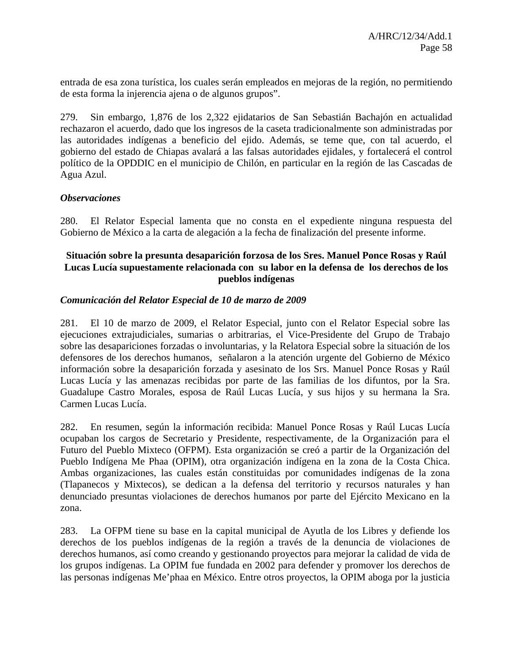entrada de esa zona turística, los cuales serán empleados en mejoras de la región, no permitiendo de esta forma la injerencia ajena o de algunos grupos".

279. Sin embargo, 1,876 de los 2,322 ejidatarios de San Sebastián Bachajón en actualidad rechazaron el acuerdo, dado que los ingresos de la caseta tradicionalmente son administradas por las autoridades indígenas a beneficio del ejido. Además, se teme que, con tal acuerdo, el gobierno del estado de Chiapas avalará a las falsas autoridades ejidales, y fortalecerá el control político de la OPDDIC en el municipio de Chilón, en particular en la región de las Cascadas de Agua Azul.

### *Observaciones*

280. El Relator Especial lamenta que no consta en el expediente ninguna respuesta del Gobierno de México a la carta de alegación a la fecha de finalización del presente informe.

### **Situación sobre la presunta desaparición forzosa de los Sres. Manuel Ponce Rosas y Raúl Lucas Lucía supuestamente relacionada con su labor en la defensa de los derechos de los pueblos indígenas**

### *Comunicación del Relator Especial de 10 de marzo de 2009*

281. El 10 de marzo de 2009, el Relator Especial, junto con el Relator Especial sobre las ejecuciones extrajudiciales, sumarias o arbitrarias, el Vice-Presidente del Grupo de Trabajo sobre las desapariciones forzadas o involuntarias, y la Relatora Especial sobre la situación de los defensores de los derechos humanos, señalaron a la atención urgente del Gobierno de México información sobre la desaparición forzada y asesinato de los Srs. Manuel Ponce Rosas y Raúl Lucas Lucía y las amenazas recibidas por parte de las familias de los difuntos, por la Sra. Guadalupe Castro Morales, esposa de Raúl Lucas Lucía, y sus hijos y su hermana la Sra. Carmen Lucas Lucía.

282. En resumen, según la información recibida: Manuel Ponce Rosas y Raúl Lucas Lucía ocupaban los cargos de Secretario y Presidente, respectivamente, de la Organización para el Futuro del Pueblo Mixteco (OFPM). Esta organización se creó a partir de la Organización del Pueblo Indígena Me Phaa (OPIM), otra organización indígena en la zona de la Costa Chica. Ambas organizaciones, las cuales están constituidas por comunidades indígenas de la zona (Tlapanecos y Mixtecos), se dedican a la defensa del territorio y recursos naturales y han denunciado presuntas violaciones de derechos humanos por parte del Ejército Mexicano en la zona.

283. La OFPM tiene su base en la capital municipal de Ayutla de los Libres y defiende los derechos de los pueblos indígenas de la región a través de la denuncia de violaciones de derechos humanos, así como creando y gestionando proyectos para mejorar la calidad de vida de los grupos indígenas. La OPIM fue fundada en 2002 para defender y promover los derechos de las personas indígenas Me'phaa en México. Entre otros proyectos, la OPIM aboga por la justicia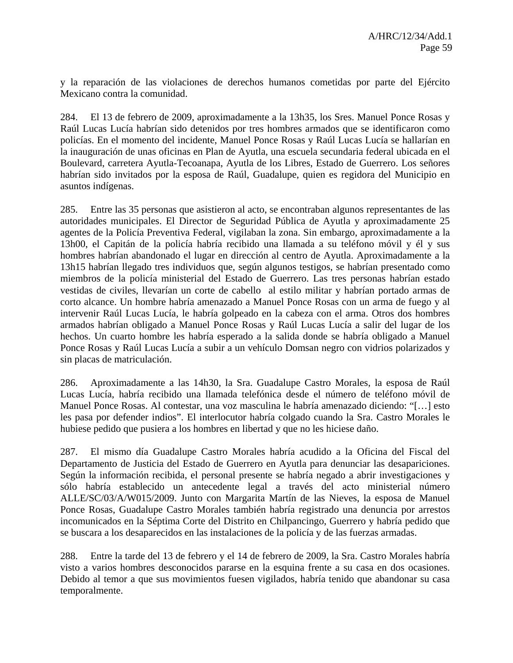y la reparación de las violaciones de derechos humanos cometidas por parte del Ejército Mexicano contra la comunidad.

284. El 13 de febrero de 2009, aproximadamente a la 13h35, los Sres. Manuel Ponce Rosas y Raúl Lucas Lucía habrían sido detenidos por tres hombres armados que se identificaron como policías. En el momento del incidente, Manuel Ponce Rosas y Raúl Lucas Lucía se hallarían en la inauguración de unas oficinas en Plan de Ayutla, una escuela secundaria federal ubicada en el Boulevard, carretera Ayutla-Tecoanapa, Ayutla de los Libres, Estado de Guerrero. Los señores habrían sido invitados por la esposa de Raúl, Guadalupe, quien es regidora del Municipio en asuntos indígenas.

285. Entre las 35 personas que asistieron al acto, se encontraban algunos representantes de las autoridades municipales. El Director de Seguridad Pública de Ayutla y aproximadamente 25 agentes de la Policía Preventiva Federal, vigilaban la zona. Sin embargo, aproximadamente a la 13h00, el Capitán de la policía habría recibido una llamada a su teléfono móvil y él y sus hombres habrían abandonado el lugar en dirección al centro de Ayutla. Aproximadamente a la 13h15 habrían llegado tres individuos que, según algunos testigos, se habrían presentado como miembros de la policía ministerial del Estado de Guerrero. Las tres personas habrían estado vestidas de civiles, llevarían un corte de cabello al estilo militar y habrían portado armas de corto alcance. Un hombre habría amenazado a Manuel Ponce Rosas con un arma de fuego y al intervenir Raúl Lucas Lucía, le habría golpeado en la cabeza con el arma. Otros dos hombres armados habrían obligado a Manuel Ponce Rosas y Raúl Lucas Lucía a salir del lugar de los hechos. Un cuarto hombre les habría esperado a la salida donde se habría obligado a Manuel Ponce Rosas y Raúl Lucas Lucía a subir a un vehículo Domsan negro con vidrios polarizados y sin placas de matriculación.

286. Aproximadamente a las 14h30, la Sra. Guadalupe Castro Morales, la esposa de Raúl Lucas Lucía, habría recibido una llamada telefónica desde el número de teléfono móvil de Manuel Ponce Rosas. Al contestar, una voz masculina le habría amenazado diciendo: "[…] esto les pasa por defender indios". El interlocutor habría colgado cuando la Sra. Castro Morales le hubiese pedido que pusiera a los hombres en libertad y que no les hiciese daño.

287. El mismo día Guadalupe Castro Morales habría acudido a la Oficina del Fiscal del Departamento de Justicia del Estado de Guerrero en Ayutla para denunciar las desapariciones. Según la información recibida, el personal presente se habría negado a abrir investigaciones y sólo habría establecido un antecedente legal a través del acto ministerial número ALLE/SC/03/A/W015/2009. Junto con Margarita Martín de las Nieves, la esposa de Manuel Ponce Rosas, Guadalupe Castro Morales también habría registrado una denuncia por arrestos incomunicados en la Séptima Corte del Distrito en Chilpancingo, Guerrero y habría pedido que se buscara a los desaparecidos en las instalaciones de la policía y de las fuerzas armadas.

288. Entre la tarde del 13 de febrero y el 14 de febrero de 2009, la Sra. Castro Morales habría visto a varios hombres desconocidos pararse en la esquina frente a su casa en dos ocasiones. Debido al temor a que sus movimientos fuesen vigilados, habría tenido que abandonar su casa temporalmente.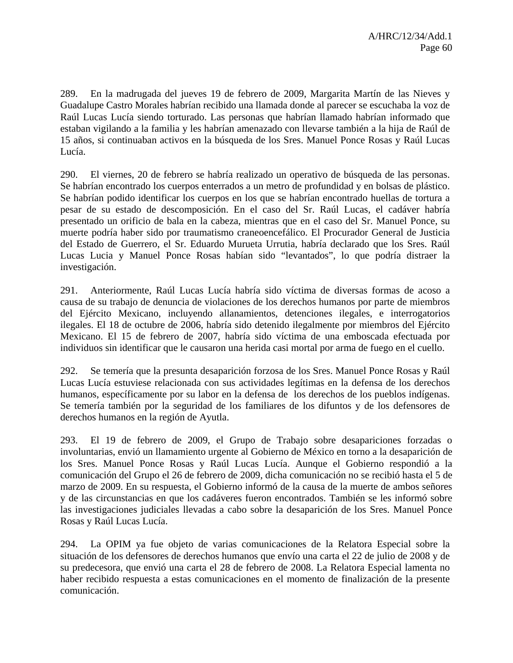289. En la madrugada del jueves 19 de febrero de 2009, Margarita Martín de las Nieves y Guadalupe Castro Morales habrían recibido una llamada donde al parecer se escuchaba la voz de Raúl Lucas Lucía siendo torturado. Las personas que habrían llamado habrían informado que estaban vigilando a la familia y les habrían amenazado con llevarse también a la hija de Raúl de 15 años, si continuaban activos en la búsqueda de los Sres. Manuel Ponce Rosas y Raúl Lucas Lucía.

290. El viernes, 20 de febrero se habría realizado un operativo de búsqueda de las personas. Se habrían encontrado los cuerpos enterrados a un metro de profundidad y en bolsas de plástico. Se habrían podido identificar los cuerpos en los que se habrían encontrado huellas de tortura a pesar de su estado de descomposición. En el caso del Sr. Raúl Lucas, el cadáver habría presentado un orificio de bala en la cabeza, mientras que en el caso del Sr. Manuel Ponce, su muerte podría haber sido por traumatismo craneoencefálico. El Procurador General de Justicia del Estado de Guerrero, el Sr. Eduardo Murueta Urrutia, habría declarado que los Sres. Raúl Lucas Lucia y Manuel Ponce Rosas habían sido "levantados", lo que podría distraer la investigación.

291. Anteriormente, Raúl Lucas Lucía habría sido víctima de diversas formas de acoso a causa de su trabajo de denuncia de violaciones de los derechos humanos por parte de miembros del Ejército Mexicano, incluyendo allanamientos, detenciones ilegales, e interrogatorios ilegales. El 18 de octubre de 2006, habría sido detenido ilegalmente por miembros del Ejército Mexicano. El 15 de febrero de 2007, habría sido víctima de una emboscada efectuada por individuos sin identificar que le causaron una herida casi mortal por arma de fuego en el cuello.

292. Se temería que la presunta desaparición forzosa de los Sres. Manuel Ponce Rosas y Raúl Lucas Lucía estuviese relacionada con sus actividades legítimas en la defensa de los derechos humanos, específicamente por su labor en la defensa de los derechos de los pueblos indígenas. Se temería también por la seguridad de los familiares de los difuntos y de los defensores de derechos humanos en la región de Ayutla.

293. El 19 de febrero de 2009, el Grupo de Trabajo sobre desapariciones forzadas o involuntarias, envió un llamamiento urgente al Gobierno de México en torno a la desaparición de los Sres. Manuel Ponce Rosas y Raúl Lucas Lucía. Aunque el Gobierno respondió a la comunicación del Grupo el 26 de febrero de 2009, dicha comunicación no se recibió hasta el 5 de marzo de 2009. En su respuesta, el Gobierno informó de la causa de la muerte de ambos señores y de las circunstancias en que los cadáveres fueron encontrados. También se les informó sobre las investigaciones judiciales llevadas a cabo sobre la desaparición de los Sres. Manuel Ponce Rosas y Raúl Lucas Lucía.

294. La OPIM ya fue objeto de varias comunicaciones de la Relatora Especial sobre la situación de los defensores de derechos humanos que envío una carta el 22 de julio de 2008 y de su predecesora, que envió una carta el 28 de febrero de 2008. La Relatora Especial lamenta no haber recibido respuesta a estas comunicaciones en el momento de finalización de la presente comunicación.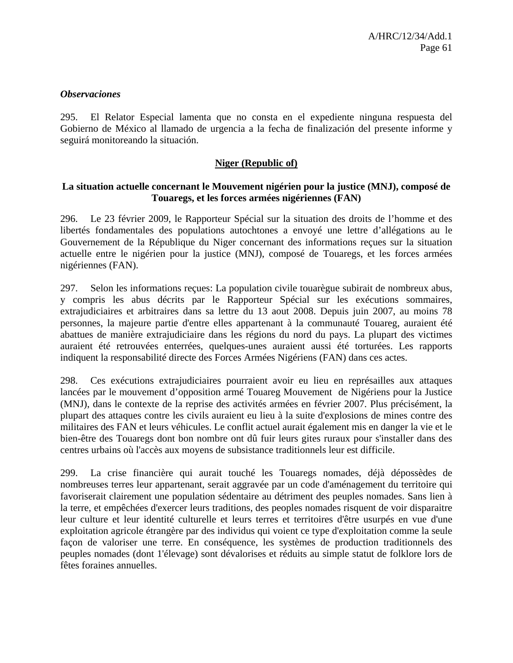#### *Observaciones*

295. El Relator Especial lamenta que no consta en el expediente ninguna respuesta del Gobierno de México al llamado de urgencia a la fecha de finalización del presente informe y seguirá monitoreando la situación.

### **Niger (Republic of)**

### **La situation actuelle concernant le Mouvement nigérien pour la justice (MNJ), composé de Touaregs, et les forces armées nigériennes (FAN)**

296. Le 23 février 2009, le Rapporteur Spécial sur la situation des droits de l'homme et des libertés fondamentales des populations autochtones a envoyé une lettre d'allégations au le Gouvernement de la République du Niger concernant des informations reçues sur la situation actuelle entre le nigérien pour la justice (MNJ), composé de Touaregs, et les forces armées nigériennes (FAN).

297. Selon les informations reçues: La population civile touarègue subirait de nombreux abus, y compris les abus décrits par le Rapporteur Spécial sur les exécutions sommaires, extrajudiciaires et arbitraires dans sa lettre du 13 aout 2008. Depuis juin 2007, au moins 78 personnes, la majeure partie d'entre elles appartenant à la communauté Touareg, auraient été abattues de manière extrajudiciaire dans les régions du nord du pays. La plupart des victimes auraient été retrouvées enterrées, quelques-unes auraient aussi été torturées. Les rapports indiquent la responsabilité directe des Forces Armées Nigériens (FAN) dans ces actes.

298. Ces exécutions extrajudiciaires pourraient avoir eu lieu en représailles aux attaques lancées par le mouvement d'opposition armé Touareg Mouvement de Nigériens pour la Justice (MNJ), dans le contexte de la reprise des activités armées en février 2007. Plus précisément, la plupart des attaques contre les civils auraient eu lieu à la suite d'explosions de mines contre des militaires des FAN et leurs véhicules. Le conflit actuel aurait également mis en danger la vie et le bien-être des Touaregs dont bon nombre ont dû fuir leurs gites ruraux pour s'installer dans des centres urbains où l'accès aux moyens de subsistance traditionnels leur est difficile.

299. La crise financière qui aurait touché les Touaregs nomades, déjà dépossèdes de nombreuses terres leur appartenant, serait aggravée par un code d'aménagement du territoire qui favoriserait clairement une population sédentaire au détriment des peuples nomades. Sans lien à la terre, et empêchées d'exercer leurs traditions, des peoples nomades risquent de voir disparaitre leur culture et leur identité culturelle et leurs terres et territoires d'être usurpés en vue d'une exploitation agricole étrangère par des individus qui voient ce type d'exploitation comme la seule façon de valoriser une terre. En conséquence, les systèmes de production traditionnels des peuples nomades (dont 1'élevage) sont dévalorises et réduits au simple statut de folklore lors de fêtes foraines annuelles.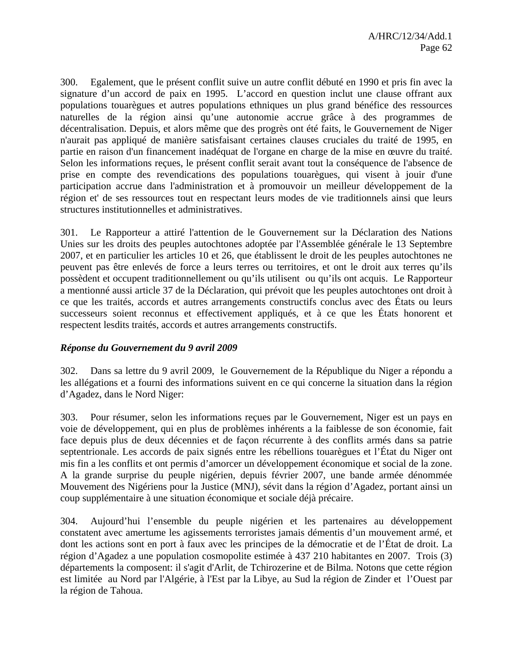300. Egalement, que le présent conflit suive un autre conflit débuté en 1990 et pris fin avec la signature d'un accord de paix en 1995. L'accord en question inclut une clause offrant aux populations touarègues et autres populations ethniques un plus grand bénéfice des ressources naturelles de la région ainsi qu'une autonomie accrue grâce à des programmes de décentralisation. Depuis, et alors même que des progrès ont été faits, le Gouvernement de Niger n'aurait pas appliqué de manière satisfaisant certaines clauses cruciales du traité de 1995, en partie en raison d'un financement inadéquat de l'organe en charge de la mise en œuvre du traité. Selon les informations reçues, le présent conflit serait avant tout la conséquence de l'absence de prise en compte des revendications des populations touarègues, qui visent à jouir d'une participation accrue dans l'administration et à promouvoir un meilleur développement de la région et' de ses ressources tout en respectant leurs modes de vie traditionnels ainsi que leurs structures institutionnelles et administratives.

301. Le Rapporteur a attiré l'attention de le Gouvernement sur la Déclaration des Nations Unies sur les droits des peuples autochtones adoptée par l'Assemblée générale le 13 Septembre 2007, et en particulier les articles 10 et 26, que établissent le droit de les peuples autochtones ne peuvent pas être enlevés de force a leurs terres ou territoires, et ont le droit aux terres qu'ils possèdent et occupent traditionnellement ou qu'ils utilisent ou qu'ils ont acquis. Le Rapporteur a mentionné aussi article 37 de la Déclaration, qui prévoit que les peuples autochtones ont droit à ce que les traités, accords et autres arrangements constructifs conclus avec des États ou leurs successeurs soient reconnus et effectivement appliqués, et à ce que les États honorent et respectent lesdits traités, accords et autres arrangements constructifs.

# *Réponse du Gouvernement du 9 avril 2009*

302. Dans sa lettre du 9 avril 2009, le Gouvernement de la République du Niger a répondu a les allégations et a fourni des informations suivent en ce qui concerne la situation dans la région d'Agadez, dans le Nord Niger:

303. Pour résumer, selon les informations reçues par le Gouvernement, Niger est un pays en voie de développement, qui en plus de problèmes inhérents a la faiblesse de son économie, fait face depuis plus de deux décennies et de façon récurrente à des conflits armés dans sa patrie septentrionale. Les accords de paix signés entre les rébellions touarègues et l'État du Niger ont mis fin a les conflits et ont permis d'amorcer un développement économique et social de la zone. A la grande surprise du peuple nigérien, depuis février 2007, une bande armée dénommée Mouvement des Nigériens pour la Justice (MNJ), sévit dans la région d'Agadez, portant ainsi un coup supplémentaire à une situation économique et sociale déjà précaire.

304. Aujourd'hui l'ensemble du peuple nigérien et les partenaires au développement constatent avec amertume les agissements terroristes jamais démentis d'un mouvement armé, et dont les actions sont en port à faux avec les principes de la démocratie et de l'État de droit. La région d'Agadez a une population cosmopolite estimée à 437 210 habitantes en 2007. Trois (3) départements la composent: il s'agit d'Arlit, de Tchirozerine et de Bilma. Notons que cette région est limitée au Nord par l'Algérie, à l'Est par la Libye, au Sud la région de Zinder et l'Ouest par la région de Tahoua.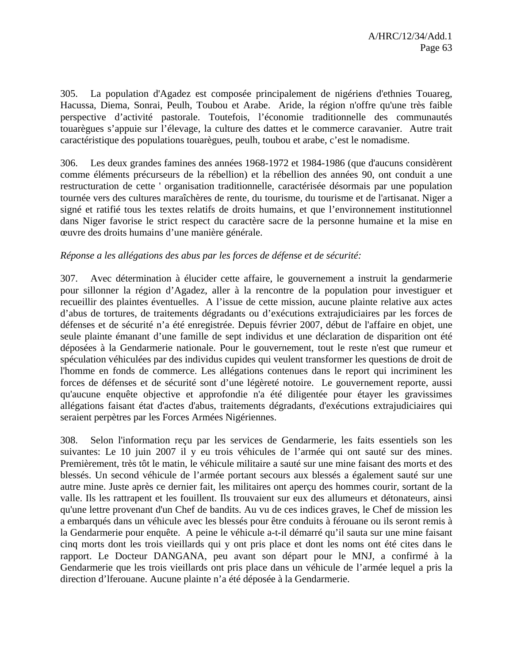305. La population d'Agadez est composée principalement de nigériens d'ethnies Touareg, Hacussa, Diema, Sonrai, Peulh, Toubou et Arabe. Aride, la région n'offre qu'une très faible perspective d'activité pastorale. Toutefois, l'économie traditionnelle des communautés touarègues s'appuie sur l'élevage, la culture des dattes et le commerce caravanier. Autre trait caractéristique des populations touarègues, peulh, toubou et arabe, c'est le nomadisme.

306. Les deux grandes famines des années 1968-1972 et 1984-1986 (que d'aucuns considèrent comme éléments précurseurs de la rébellion) et la rébellion des années 90, ont conduit a une restructuration de cette ' organisation traditionnelle, caractérisée désormais par une population tournée vers des cultures maraîchères de rente, du tourisme, du tourisme et de l'artisanat. Niger a signé et ratifié tous les textes relatifs de droits humains, et que l'environnement institutionnel dans Niger favorise le strict respect du caractère sacre de la personne humaine et la mise en œuvre des droits humains d'une manière générale.

# *Réponse a les allégations des abus par les forces de défense et de sécurité:*

307. Avec détermination à élucider cette affaire, le gouvernement a instruit la gendarmerie pour sillonner la région d'Agadez, aller à la rencontre de la population pour investiguer et recueillir des plaintes éventuelles. A l'issue de cette mission, aucune plainte relative aux actes d'abus de tortures, de traitements dégradants ou d'exécutions extrajudiciaires par les forces de défenses et de sécurité n'a été enregistrée. Depuis février 2007, début de l'affaire en objet, une seule plainte émanant d'une famille de sept individus et une déclaration de disparition ont été déposées à la Gendarmerie nationale. Pour le gouvernement, tout le reste n'est que rumeur et spéculation véhiculées par des individus cupides qui veulent transformer les questions de droit de l'homme en fonds de commerce. Les allégations contenues dans le report qui incriminent les forces de défenses et de sécurité sont d'une légèreté notoire. Le gouvernement reporte, aussi qu'aucune enquête objective et approfondie n'a été diligentée pour étayer les gravissimes allégations faisant état d'actes d'abus, traitements dégradants, d'exécutions extrajudiciaires qui seraient perpètres par les Forces Armées Nigériennes.

308. Selon l'information reçu par les services de Gendarmerie, les faits essentiels son les suivantes: Le 10 juin 2007 il y eu trois véhicules de l'armée qui ont sauté sur des mines. Premièrement, très tôt le matin, le véhicule militaire a sauté sur une mine faisant des morts et des blessés. Un second véhicule de l'armée portant secours aux blessés a également sauté sur une autre mine. Juste après ce dernier fait, les militaires ont aperçu des hommes courir, sortant de la valle. Ils les rattrapent et les fouillent. Ils trouvaient sur eux des allumeurs et détonateurs, ainsi qu'une lettre provenant d'un Chef de bandits. Au vu de ces indices graves, le Chef de mission les a embarqués dans un véhicule avec les blessés pour être conduits à férouane ou ils seront remis à la Gendarmerie pour enquête. A peine le véhicule a-t-il démarré qu'il sauta sur une mine faisant cinq morts dont les trois vieillards qui y ont pris place et dont les noms ont été cites dans le rapport. Le Docteur DANGANA, peu avant son départ pour le MNJ, a confirmé à la Gendarmerie que les trois vieillards ont pris place dans un véhicule de l'armée lequel a pris la direction d'lferouane. Aucune plainte n'a été déposée à la Gendarmerie.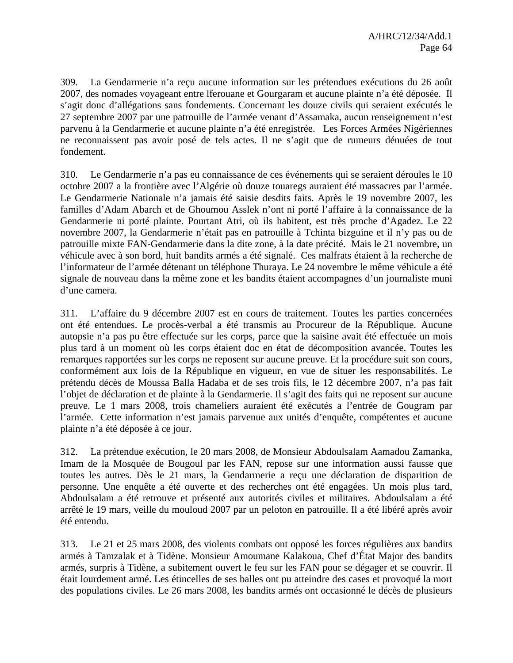309. La Gendarmerie n'a reçu aucune information sur les prétendues exécutions du 26 août 2007, des nomades voyageant entre lferouane et Gourgaram et aucune plainte n'a été déposée. Il s'agit donc d'allégations sans fondements. Concernant les douze civils qui seraient exécutés le 27 septembre 2007 par une patrouille de l'armée venant d'Assamaka, aucun renseignement n'est parvenu à la Gendarmerie et aucune plainte n'a été enregistrée. Les Forces Armées Nigériennes ne reconnaissent pas avoir posé de tels actes. Il ne s'agit que de rumeurs dénuées de tout fondement.

310. Le Gendarmerie n'a pas eu connaissance de ces événements qui se seraient déroules le 10 octobre 2007 a la frontière avec l'Algérie où douze touaregs auraient été massacres par l'armée. Le Gendarmerie Nationale n'a jamais été saisie desdits faits. Après le 19 novembre 2007, les familles d'Adam Abarch et de Ghoumou Asslek n'ont ni porté l'affaire à la connaissance de la Gendarmerie ni porté plainte. Pourtant Atri, où ils habitent, est très proche d'Agadez. Le 22 novembre 2007, la Gendarmerie n'était pas en patrouille à Tchinta bizguine et il n'y pas ou de patrouille mixte FAN-Gendarmerie dans la dite zone, à la date précité. Mais le 21 novembre, un véhicule avec à son bord, huit bandits armés a été signalé. Ces malfrats étaient à la recherche de l'informateur de l'armée détenant un téléphone Thuraya. Le 24 novembre le même véhicule a été signale de nouveau dans la même zone et les bandits étaient accompagnes d'un journaliste muni d'une camera.

311. L'affaire du 9 décembre 2007 est en cours de traitement. Toutes les parties concernées ont été entendues. Le procès-verbal a été transmis au Procureur de la République. Aucune autopsie n'a pas pu être effectuée sur les corps, parce que la saisine avait été effectuée un mois plus tard à un moment où les corps étaient doc en état de décomposition avancée. Toutes les remarques rapportées sur les corps ne reposent sur aucune preuve. Et la procédure suit son cours, conformément aux lois de la République en vigueur, en vue de situer les responsabilités. Le prétendu décès de Moussa Balla Hadaba et de ses trois fils, le 12 décembre 2007, n'a pas fait l'objet de déclaration et de plainte à la Gendarmerie. Il s'agit des faits qui ne reposent sur aucune preuve. Le 1 mars 2008, trois chameliers auraient été exécutés a l'entrée de Gougram par l'armée. Cette information n'est jamais parvenue aux unités d'enquête, compétentes et aucune plainte n'a été déposée à ce jour.

312. La prétendue exécution, le 20 mars 2008*,* de Monsieur Abdoulsalam Aamadou Zamanka, Imam de la Mosquée de Bougoul par les FAN, repose sur une information aussi fausse que toutes les autres. Dès le 21 mars, la Gendarmerie a reçu une déclaration de disparition de personne. Une enquête a été ouverte et des recherches ont été engagées. Un mois plus tard, Abdoulsalam a été retrouve et présenté aux autorités civiles et militaires. Abdoulsalam a été arrêté le 19 mars, veille du mouloud 2007 par un peloton en patrouille. Il a été libéré après avoir été entendu.

313. Le 21 et 25 mars 2008, des violents combats ont opposé les forces régulières aux bandits armés à Tamzalak et à Tidène. Monsieur Amoumane Kalakoua, Chef d'État Major des bandits armés, surpris à Tidène, a subitement ouvert le feu sur les FAN pour se dégager et se couvrir. Il était lourdement armé. Les étincelles de ses balles ont pu atteindre des cases et provoqué la mort des populations civiles. Le 26 mars 2008, les bandits armés ont occasionné le décès de plusieurs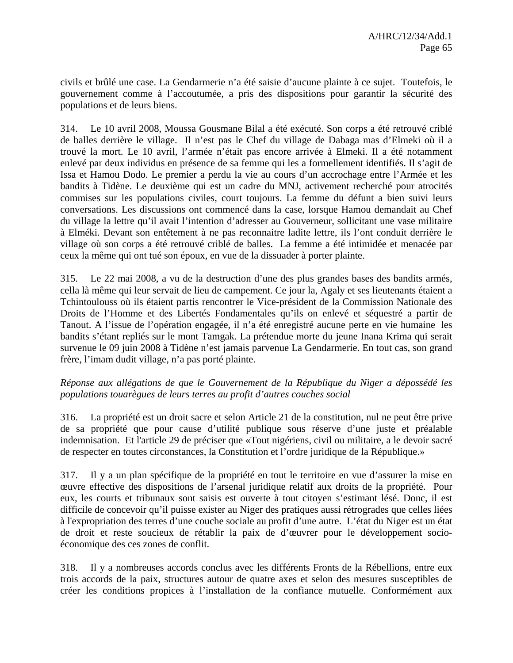civils et brûlé une case. La Gendarmerie n'a été saisie d'aucune plainte à ce sujet. Toutefois, le gouvernement comme à l'accoutumée, a pris des dispositions pour garantir la sécurité des populations et de leurs biens.

314. Le 10 avril 2008, Moussa Gousmane Bilal a été exécuté. Son corps a été retrouvé criblé de balles derrière le village. Il n'est pas le Chef du village de Dabaga mas d'Elmeki où il a trouvé la mort. Le 10 avril, l'armée n'était pas encore arrivée à Elmeki. Il a été notamment enlevé par deux individus en présence de sa femme qui les a formellement identifiés. Il s'agit de Issa et Hamou Dodo. Le premier a perdu la vie au cours d'un accrochage entre l'Armée et les bandits à Tidène. Le deuxième qui est un cadre du MNJ, activement recherché pour atrocités commises sur les populations civiles, court toujours. La femme du défunt a bien suivi leurs conversations. Les discussions ont commencé dans la case, lorsque Hamou demandait au Chef du village la lettre qu'il avait l'intention d'adresser au Gouverneur, sollicitant une vase militaire à Elméki. Devant son entêtement à ne pas reconnaitre ladite lettre, ils l'ont conduit derrière le village où son corps a été retrouvé criblé de balles. La femme a été intimidée et menacée par ceux la même qui ont tué son époux, en vue de la dissuader à porter plainte.

315. Le 22 mai 2008, a vu de la destruction d'une des plus grandes bases des bandits armés, cella là même qui leur servait de lieu de campement. Ce jour la, Agaly et ses lieutenants étaient a Tchintoulouss où ils étaient partis rencontrer le Vice-président de la Commission Nationale des Droits de l'Homme et des Libertés Fondamentales qu'ils on enlevé et séquestré a partir de Tanout. A l'issue de l'opération engagée, il n'a été enregistré aucune perte en vie humaine les bandits s'étant repliés sur le mont Tamgak. La prétendue morte du jeune Inana Krima qui serait survenue le 09 juin 2008 à Tidène n'est jamais parvenue La Gendarmerie. En tout cas, son grand frère, l'imam dudit village, n'a pas porté plainte.

# *Réponse aux allégations de que le Gouvernement de la République du Niger a dépossédé les populations touarègues de leurs terres au profit d'autres couches social*

316. La propriété est un droit sacre et selon Article 21 de la constitution, nul ne peut être prive de sa propriété que pour cause d'utilité publique sous réserve d'une juste et préalable indemnisation. Et l'article 29 de préciser que «Tout nigériens, civil ou militaire, a le devoir sacré de respecter en toutes circonstances, la Constitution et l'ordre juridique de la République.»

317. Il y a un plan spécifique de la propriété en tout le territoire en vue d'assurer la mise en œuvre effective des dispositions de l'arsenal juridique relatif aux droits de la propriété. Pour eux, les courts et tribunaux sont saisis est ouverte à tout citoyen s'estimant lésé. Donc, il est difficile de concevoir qu'il puisse exister au Niger des pratiques aussi rétrogrades que celles liées à l'expropriation des terres d'une couche sociale au profit d'une autre. L'état du Niger est un état de droit et reste soucieux de rétablir la paix de d'œuvrer pour le développement socioéconomique des ces zones de conflit.

318. Il y a nombreuses accords conclus avec les différents Fronts de la Rébellions, entre eux trois accords de la paix, structures autour de quatre axes et selon des mesures susceptibles de créer les conditions propices à l'installation de la confiance mutuelle. Conformément aux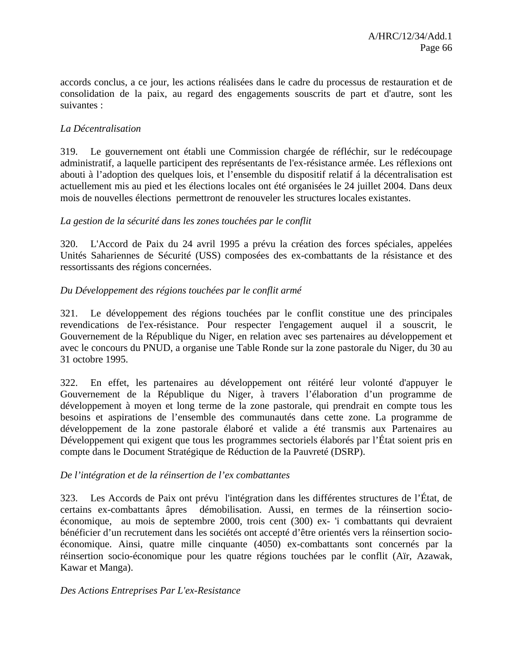accords conclus, a ce jour, les actions réalisées dans le cadre du processus de restauration et de consolidation de la paix, au regard des engagements souscrits de part et d'autre, sont les suivantes :

# *La Décentralisation*

319. Le gouvernement ont établi une Commission chargée de réfléchir, sur le redécoupage administratif, a laquelle participent des représentants de l'ex-résistance armée. Les réflexions ont abouti à l'adoption des quelques lois, et l'ensemble du dispositif relatif á la décentralisation est actuellement mis au pied et les élections locales ont été organisées le 24 juillet 2004. Dans deux mois de nouvelles élections permettront de renouveler les structures locales existantes.

### *La gestion de la sécurité dans les zones touchées par le conflit*

320. L'Accord de Paix du 24 avril 1995 a prévu la création des forces spéciales, appelées Unités Sahariennes de Sécurité (USS) composées des ex-combattants de la résistance et des ressortissants des régions concernées.

# *Du Développement des régions touchées par le conflit armé*

321. Le développement des régions touchées par le conflit constitue une des principales revendications de l'ex-résistance. Pour respecter l'engagement auquel il a souscrit, le Gouvernement de la République du Niger, en relation avec ses partenaires au développement et avec le concours du PNUD, a organise une Table Ronde sur la zone pastorale du Niger, du 30 au 31 octobre 1995.

322. En effet, les partenaires au développement ont réitéré leur volonté d'appuyer le Gouvernement de la République du Niger, à travers l'élaboration d'un programme de développement à moyen et long terme de la zone pastorale, qui prendrait en compte tous les besoins et aspirations de l'ensemble des communautés dans cette zone. La programme de développement de la zone pastorale élaboré et valide a été transmis aux Partenaires au Développement qui exigent que tous les programmes sectoriels élaborés par l'État soient pris en compte dans le Document Stratégique de Réduction de la Pauvreté (DSRP).

### *De l'intégration et de la réinsertion de l'ex combattantes*

323. Les Accords de Paix ont prévu l'intégration dans les différentes structures de l'État, de certains ex-combattants âpres démobilisation. Aussi, en termes de la réinsertion socioéconomique, au mois de septembre 2000, trois cent (300) ex- 'i combattants qui devraient bénéficier d'un recrutement dans les sociétés ont accepté d'être orientés vers la réinsertion socioéconomique. Ainsi, quatre mille cinquante (4050) ex-combattants sont concernés par la réinsertion socio-économique pour les quatre régions touchées par le conflit (Aïr, Azawak, Kawar et Manga).

### *Des Actions Entreprises Par L'ex-Resistance*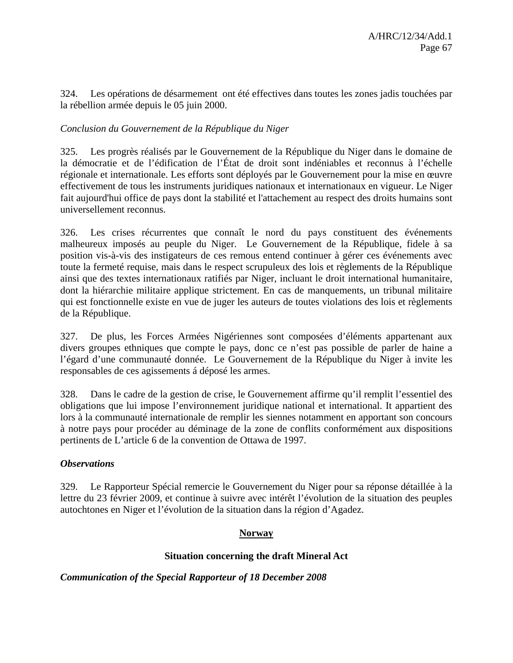324. Les opérations de désarmement ont été effectives dans toutes les zones jadis touchées par la rébellion armée depuis le 05 juin 2000.

# *Conclusion du Gouvernement de la République du Niger*

325. Les progrès réalisés par le Gouvernement de la République du Niger dans le domaine de la démocratie et de l'édification de l'État de droit sont indéniables et reconnus à l'échelle régionale et internationale. Les efforts sont déployés par le Gouvernement pour la mise en œuvre effectivement de tous les instruments juridiques nationaux et internationaux en vigueur. Le Niger fait aujourd'hui office de pays dont la stabilité et l'attachement au respect des droits humains sont universellement reconnus.

326. Les crises récurrentes que connaît le nord du pays constituent des événements malheureux imposés au peuple du Niger. Le Gouvernement de la République, fidele à sa position vis-à-vis des instigateurs de ces remous entend continuer à gérer ces événements avec toute la fermeté requise, mais dans le respect scrupuleux des lois et règlements de la République ainsi que des textes internationaux ratifiés par Niger, incluant le droit international humanitaire, dont la hiérarchie militaire applique strictement. En cas de manquements, un tribunal militaire qui est fonctionnelle existe en vue de juger les auteurs de toutes violations des lois et règlements de la République.

327. De plus, les Forces Armées Nigériennes sont composées d'éléments appartenant aux divers groupes ethniques que compte le pays, donc ce n'est pas possible de parler de haine a l'égard d'une communauté donnée. Le Gouvernement de la République du Niger à invite les responsables de ces agissements á déposé les armes.

328. Dans le cadre de la gestion de crise, le Gouvernement affirme qu'il remplit l'essentiel des obligations que lui impose l'environnement juridique national et international. It appartient des lors à la communauté internationale de remplir les siennes notamment en apportant son concours à notre pays pour procéder au déminage de la zone de conflits conformément aux dispositions pertinents de L'article 6 de la convention de Ottawa de 1997.

# *Observations*

329. Le Rapporteur Spécial remercie le Gouvernement du Niger pour sa réponse détaillée à la lettre du 23 février 2009, et continue à suivre avec intérêt l'évolution de la situation des peuples autochtones en Niger et l'évolution de la situation dans la région d'Agadez.

# **Norway**

# **Situation concerning the draft Mineral Act**

# *Communication of the Special Rapporteur of 18 December 2008*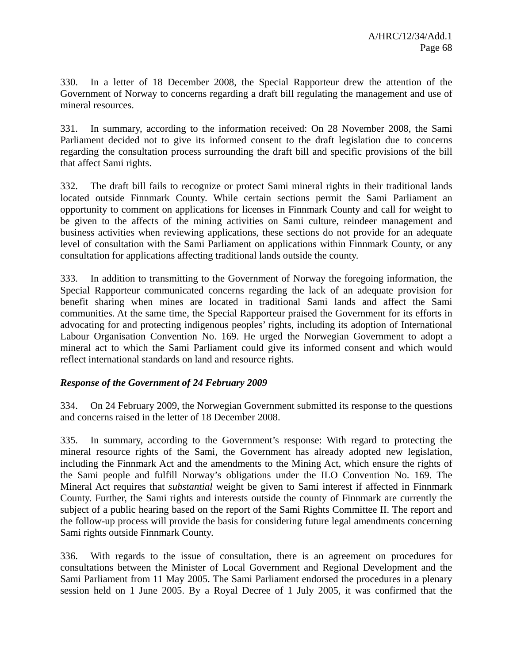330. In a letter of 18 December 2008, the Special Rapporteur drew the attention of the Government of Norway to concerns regarding a draft bill regulating the management and use of mineral resources.

331. In summary, according to the information received: On 28 November 2008, the Sami Parliament decided not to give its informed consent to the draft legislation due to concerns regarding the consultation process surrounding the draft bill and specific provisions of the bill that affect Sami rights.

332. The draft bill fails to recognize or protect Sami mineral rights in their traditional lands located outside Finnmark County. While certain sections permit the Sami Parliament an opportunity to comment on applications for licenses in Finnmark County and call for weight to be given to the affects of the mining activities on Sami culture, reindeer management and business activities when reviewing applications, these sections do not provide for an adequate level of consultation with the Sami Parliament on applications within Finnmark County, or any consultation for applications affecting traditional lands outside the county.

333. In addition to transmitting to the Government of Norway the foregoing information, the Special Rapporteur communicated concerns regarding the lack of an adequate provision for benefit sharing when mines are located in traditional Sami lands and affect the Sami communities. At the same time, the Special Rapporteur praised the Government for its efforts in advocating for and protecting indigenous peoples' rights, including its adoption of International Labour Organisation Convention No. 169. He urged the Norwegian Government to adopt a mineral act to which the Sami Parliament could give its informed consent and which would reflect international standards on land and resource rights.

# *Response of the Government of 24 February 2009*

334. On 24 February 2009, the Norwegian Government submitted its response to the questions and concerns raised in the letter of 18 December 2008.

335. In summary, according to the Government's response: With regard to protecting the mineral resource rights of the Sami, the Government has already adopted new legislation, including the Finnmark Act and the amendments to the Mining Act, which ensure the rights of the Sami people and fulfill Norway's obligations under the ILO Convention No. 169. The Mineral Act requires that *substantial* weight be given to Sami interest if affected in Finnmark County. Further, the Sami rights and interests outside the county of Finnmark are currently the subject of a public hearing based on the report of the Sami Rights Committee II. The report and the follow-up process will provide the basis for considering future legal amendments concerning Sami rights outside Finnmark County.

336. With regards to the issue of consultation, there is an agreement on procedures for consultations between the Minister of Local Government and Regional Development and the Sami Parliament from 11 May 2005. The Sami Parliament endorsed the procedures in a plenary session held on 1 June 2005. By a Royal Decree of 1 July 2005, it was confirmed that the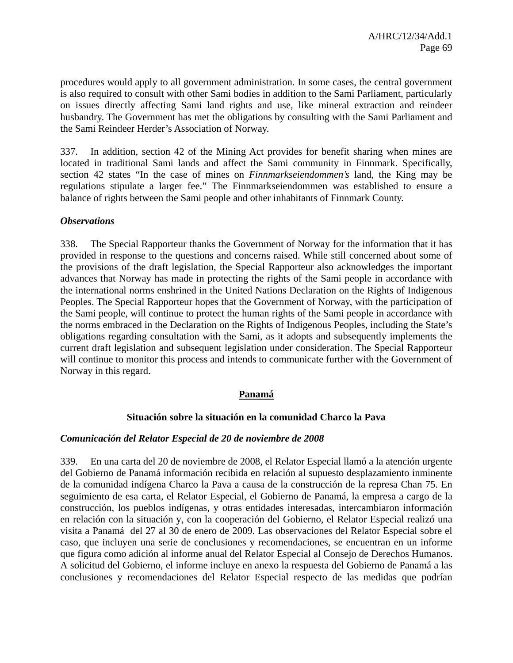procedures would apply to all government administration. In some cases, the central government is also required to consult with other Sami bodies in addition to the Sami Parliament, particularly on issues directly affecting Sami land rights and use, like mineral extraction and reindeer husbandry. The Government has met the obligations by consulting with the Sami Parliament and the Sami Reindeer Herder's Association of Norway.

337. In addition, section 42 of the Mining Act provides for benefit sharing when mines are located in traditional Sami lands and affect the Sami community in Finnmark. Specifically, section 42 states "In the case of mines on *Finnmarkseiendommen's* land, the King may be regulations stipulate a larger fee." The Finnmarkseiendommen was established to ensure a balance of rights between the Sami people and other inhabitants of Finnmark County.

### *Observations*

338. The Special Rapporteur thanks the Government of Norway for the information that it has provided in response to the questions and concerns raised. While still concerned about some of the provisions of the draft legislation, the Special Rapporteur also acknowledges the important advances that Norway has made in protecting the rights of the Sami people in accordance with the international norms enshrined in the United Nations Declaration on the Rights of Indigenous Peoples. The Special Rapporteur hopes that the Government of Norway, with the participation of the Sami people, will continue to protect the human rights of the Sami people in accordance with the norms embraced in the Declaration on the Rights of Indigenous Peoples, including the State's obligations regarding consultation with the Sami, as it adopts and subsequently implements the current draft legislation and subsequent legislation under consideration. The Special Rapporteur will continue to monitor this process and intends to communicate further with the Government of Norway in this regard.

### **Panamá**

### **Situación sobre la situación en la comunidad Charco la Pava**

### *Comunicación del Relator Especial de 20 de noviembre de 2008*

339. En una carta del 20 de noviembre de 2008, el Relator Especial llamó a la atención urgente del Gobierno de Panamá información recibida en relación al supuesto desplazamiento inminente de la comunidad indígena Charco la Pava a causa de la construcción de la represa Chan 75. En seguimiento de esa carta, el Relator Especial, el Gobierno de Panamá, la empresa a cargo de la construcción, los pueblos indígenas, y otras entidades interesadas, intercambiaron información en relación con la situación y, con la cooperación del Gobierno, el Relator Especial realizó una visita a Panamá del 27 al 30 de enero de 2009. Las observaciones del Relator Especial sobre el caso, que incluyen una serie de conclusiones y recomendaciones, se encuentran en un informe que figura como adición al informe anual del Relator Especial al Consejo de Derechos Humanos. A solicitud del Gobierno, el informe incluye en anexo la respuesta del Gobierno de Panamá a las conclusiones y recomendaciones del Relator Especial respecto de las medidas que podrían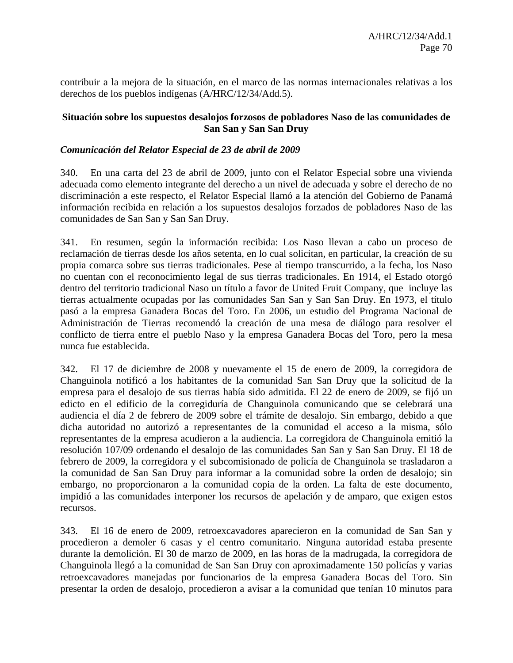contribuir a la mejora de la situación, en el marco de las normas internacionales relativas a los derechos de los pueblos indígenas (A/HRC/12/34/Add.5).

### **Situación sobre los supuestos desalojos forzosos de pobladores Naso de las comunidades de San San y San San Druy**

### *Comunicación del Relator Especial de 23 de abril de 2009*

340. En una carta del 23 de abril de 2009, junto con el Relator Especial sobre una vivienda adecuada como elemento integrante del derecho a un nivel de adecuada y sobre el derecho de no discriminación a este respecto, el Relator Especial llamó a la atención del Gobierno de Panamá información recibida en relación a los supuestos desalojos forzados de pobladores Naso de las comunidades de San San y San San Druy.

341. En resumen, según la información recibida: Los Naso llevan a cabo un proceso de reclamación de tierras desde los años setenta, en lo cual solicitan, en particular, la creación de su propia comarca sobre sus tierras tradicionales. Pese al tiempo transcurrido, a la fecha, los Naso no cuentan con el reconocimiento legal de sus tierras tradicionales. En 1914, el Estado otorgó dentro del territorio tradicional Naso un título a favor de United Fruit Company, que incluye las tierras actualmente ocupadas por las comunidades San San y San San Druy. En 1973, el título pasó a la empresa Ganadera Bocas del Toro. En 2006, un estudio del Programa Nacional de Administración de Tierras recomendó la creación de una mesa de diálogo para resolver el conflicto de tierra entre el pueblo Naso y la empresa Ganadera Bocas del Toro, pero la mesa nunca fue establecida.

342. El 17 de diciembre de 2008 y nuevamente el 15 de enero de 2009, la corregidora de Changuinola notificó a los habitantes de la comunidad San San Druy que la solicitud de la empresa para el desalojo de sus tierras había sido admitida. El 22 de enero de 2009, se fijó un edicto en el edificio de la corregiduría de Changuinola comunicando que se celebrará una audiencia el día 2 de febrero de 2009 sobre el trámite de desalojo. Sin embargo, debido a que dicha autoridad no autorizó a representantes de la comunidad el acceso a la misma, sólo representantes de la empresa acudieron a la audiencia. La corregidora de Changuinola emitió la resolución 107/09 ordenando el desalojo de las comunidades San San y San San Druy. El 18 de febrero de 2009, la corregidora y el subcomisionado de policía de Changuinola se trasladaron a la comunidad de San San Druy para informar a la comunidad sobre la orden de desalojo; sin embargo, no proporcionaron a la comunidad copia de la orden. La falta de este documento, impidió a las comunidades interponer los recursos de apelación y de amparo, que exigen estos recursos.

343. El 16 de enero de 2009, retroexcavadores aparecieron en la comunidad de San San y procedieron a demoler 6 casas y el centro comunitario. Ninguna autoridad estaba presente durante la demolición. El 30 de marzo de 2009, en las horas de la madrugada, la corregidora de Changuinola llegó a la comunidad de San San Druy con aproximadamente 150 policías y varias retroexcavadores manejadas por funcionarios de la empresa Ganadera Bocas del Toro. Sin presentar la orden de desalojo, procedieron a avisar a la comunidad que tenían 10 minutos para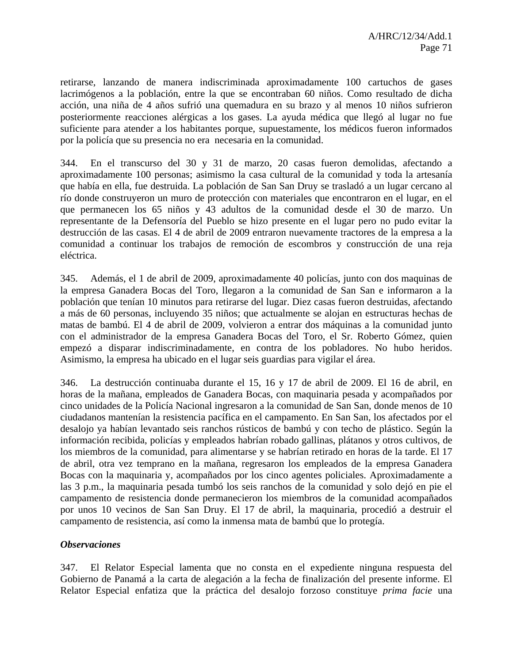retirarse, lanzando de manera indiscriminada aproximadamente 100 cartuchos de gases lacrimógenos a la población, entre la que se encontraban 60 niños. Como resultado de dicha acción, una niña de 4 años sufrió una quemadura en su brazo y al menos 10 niños sufrieron posteriormente reacciones alérgicas a los gases. La ayuda médica que llegó al lugar no fue suficiente para atender a los habitantes porque, supuestamente, los médicos fueron informados por la policía que su presencia no era necesaria en la comunidad.

344. En el transcurso del 30 y 31 de marzo, 20 casas fueron demolidas, afectando a aproximadamente 100 personas; asimismo la casa cultural de la comunidad y toda la artesanía que había en ella, fue destruida. La población de San San Druy se trasladó a un lugar cercano al río donde construyeron un muro de protección con materiales que encontraron en el lugar, en el que permanecen los 65 niños y 43 adultos de la comunidad desde el 30 de marzo. Un representante de la Defensoría del Pueblo se hizo presente en el lugar pero no pudo evitar la destrucción de las casas. El 4 de abril de 2009 entraron nuevamente tractores de la empresa a la comunidad a continuar los trabajos de remoción de escombros y construcción de una reja eléctrica.

345. Además, el 1 de abril de 2009, aproximadamente 40 policías, junto con dos maquinas de la empresa Ganadera Bocas del Toro, llegaron a la comunidad de San San e informaron a la población que tenían 10 minutos para retirarse del lugar. Diez casas fueron destruidas, afectando a más de 60 personas, incluyendo 35 niños; que actualmente se alojan en estructuras hechas de matas de bambú. El 4 de abril de 2009, volvieron a entrar dos máquinas a la comunidad junto con el administrador de la empresa Ganadera Bocas del Toro, el Sr. Roberto Gómez, quien empezó a disparar indiscriminadamente, en contra de los pobladores. No hubo heridos. Asimismo, la empresa ha ubicado en el lugar seis guardias para vigilar el área.

346. La destrucción continuaba durante el 15, 16 y 17 de abril de 2009. El 16 de abril, en horas de la mañana, empleados de Ganadera Bocas, con maquinaria pesada y acompañados por cinco unidades de la Policía Nacional ingresaron a la comunidad de San San, donde menos de 10 ciudadanos mantenían la resistencia pacífica en el campamento. En San San, los afectados por el desalojo ya habían levantado seis ranchos rústicos de bambú y con techo de plástico. Según la información recibida, policías y empleados habrían robado gallinas, plátanos y otros cultivos, de los miembros de la comunidad, para alimentarse y se habrían retirado en horas de la tarde. El 17 de abril, otra vez temprano en la mañana, regresaron los empleados de la empresa Ganadera Bocas con la maquinaria y, acompañados por los cinco agentes policiales. Aproximadamente a las 3 p.m., la maquinaria pesada tumbó los seis ranchos de la comunidad y solo dejó en pie el campamento de resistencia donde permanecieron los miembros de la comunidad acompañados por unos 10 vecinos de San San Druy. El 17 de abril, la maquinaria, procedió a destruir el campamento de resistencia, así como la inmensa mata de bambú que lo protegía.

### *Observaciones*

347. El Relator Especial lamenta que no consta en el expediente ninguna respuesta del Gobierno de Panamá a la carta de alegación a la fecha de finalización del presente informe. El Relator Especial enfatiza que la práctica del desalojo forzoso constituye *prima facie* una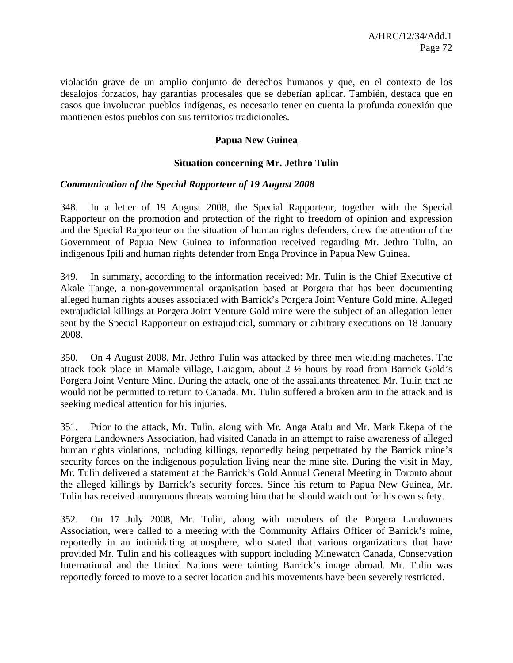violación grave de un amplio conjunto de derechos humanos y que, en el contexto de los desalojos forzados, hay garantías procesales que se deberían aplicar. También, destaca que en casos que involucran pueblos indígenas, es necesario tener en cuenta la profunda conexión que mantienen estos pueblos con sus territorios tradicionales.

# **Papua New Guinea**

### **Situation concerning Mr. Jethro Tulin**

#### *Communication of the Special Rapporteur of 19 August 2008*

348. In a letter of 19 August 2008, the Special Rapporteur, together with the Special Rapporteur on the promotion and protection of the right to freedom of opinion and expression and the Special Rapporteur on the situation of human rights defenders, drew the attention of the Government of Papua New Guinea to information received regarding Mr. Jethro Tulin, an indigenous Ipili and human rights defender from Enga Province in Papua New Guinea.

349. In summary, according to the information received: Mr. Tulin is the Chief Executive of Akale Tange, a non-governmental organisation based at Porgera that has been documenting alleged human rights abuses associated with Barrick's Porgera Joint Venture Gold mine. Alleged extrajudicial killings at Porgera Joint Venture Gold mine were the subject of an allegation letter sent by the Special Rapporteur on extrajudicial, summary or arbitrary executions on 18 January 2008.

350. On 4 August 2008, Mr. Jethro Tulin was attacked by three men wielding machetes. The attack took place in Mamale village, Laiagam, about 2 ½ hours by road from Barrick Gold's Porgera Joint Venture Mine. During the attack, one of the assailants threatened Mr. Tulin that he would not be permitted to return to Canada. Mr. Tulin suffered a broken arm in the attack and is seeking medical attention for his injuries.

351. Prior to the attack, Mr. Tulin, along with Mr. Anga Atalu and Mr. Mark Ekepa of the Porgera Landowners Association, had visited Canada in an attempt to raise awareness of alleged human rights violations, including killings, reportedly being perpetrated by the Barrick mine's security forces on the indigenous population living near the mine site. During the visit in May, Mr. Tulin delivered a statement at the Barrick's Gold Annual General Meeting in Toronto about the alleged killings by Barrick's security forces. Since his return to Papua New Guinea, Mr. Tulin has received anonymous threats warning him that he should watch out for his own safety.

352. On 17 July 2008, Mr. Tulin, along with members of the Porgera Landowners Association, were called to a meeting with the Community Affairs Officer of Barrick's mine, reportedly in an intimidating atmosphere, who stated that various organizations that have provided Mr. Tulin and his colleagues with support including Minewatch Canada, Conservation International and the United Nations were tainting Barrick's image abroad. Mr. Tulin was reportedly forced to move to a secret location and his movements have been severely restricted.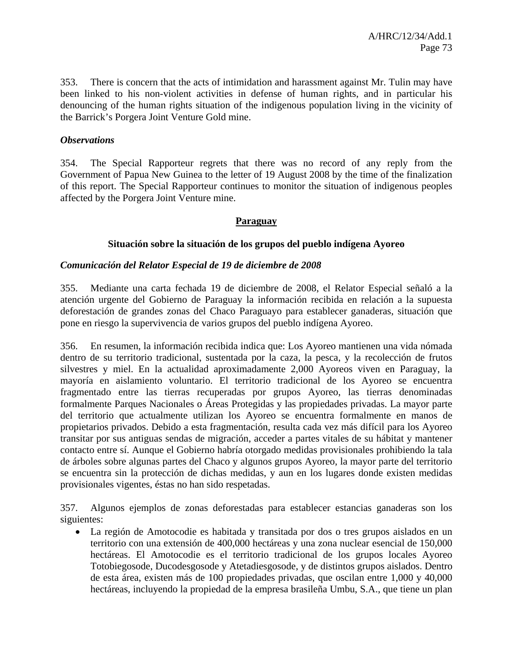353. There is concern that the acts of intimidation and harassment against Mr. Tulin may have been linked to his non-violent activities in defense of human rights, and in particular his denouncing of the human rights situation of the indigenous population living in the vicinity of the Barrick's Porgera Joint Venture Gold mine.

### *Observations*

354. The Special Rapporteur regrets that there was no record of any reply from the Government of Papua New Guinea to the letter of 19 August 2008 by the time of the finalization of this report. The Special Rapporteur continues to monitor the situation of indigenous peoples affected by the Porgera Joint Venture mine.

### **Paraguay**

### **Situación sobre la situación de los grupos del pueblo indígena Ayoreo**

### *Comunicación del Relator Especial de 19 de diciembre de 2008*

355. Mediante una carta fechada 19 de diciembre de 2008, el Relator Especial señaló a la atención urgente del Gobierno de Paraguay la información recibida en relación a la supuesta deforestación de grandes zonas del Chaco Paraguayo para establecer ganaderas, situación que pone en riesgo la supervivencia de varios grupos del pueblo indígena Ayoreo.

356. En resumen, la información recibida indica que: Los Ayoreo mantienen una vida nómada dentro de su territorio tradicional, sustentada por la caza, la pesca, y la recolección de frutos silvestres y miel. En la actualidad aproximadamente 2,000 Ayoreos viven en Paraguay, la mayoría en aislamiento voluntario. El territorio tradicional de los Ayoreo se encuentra fragmentado entre las tierras recuperadas por grupos Ayoreo, las tierras denominadas formalmente Parques Nacionales o Áreas Protegidas y las propiedades privadas. La mayor parte del territorio que actualmente utilizan los Ayoreo se encuentra formalmente en manos de propietarios privados. Debido a esta fragmentación, resulta cada vez más difícil para los Ayoreo transitar por sus antiguas sendas de migración, acceder a partes vitales de su hábitat y mantener contacto entre sí. Aunque el Gobierno habría otorgado medidas provisionales prohibiendo la tala de árboles sobre algunas partes del Chaco y algunos grupos Ayoreo, la mayor parte del territorio se encuentra sin la protección de dichas medidas, y aun en los lugares donde existen medidas provisionales vigentes, éstas no han sido respetadas.

357. Algunos ejemplos de zonas deforestadas para establecer estancias ganaderas son los siguientes:

• La región de Amotocodie es habitada y transitada por dos o tres grupos aislados en un territorio con una extensión de 400,000 hectáreas y una zona nuclear esencial de 150,000 hectáreas. El Amotocodie es el territorio tradicional de los grupos locales Ayoreo Totobiegosode, Ducodesgosode y Atetadiesgosode, y de distintos grupos aislados. Dentro de esta área, existen más de 100 propiedades privadas, que oscilan entre 1,000 y 40,000 hectáreas, incluyendo la propiedad de la empresa brasileña Umbu, S.A., que tiene un plan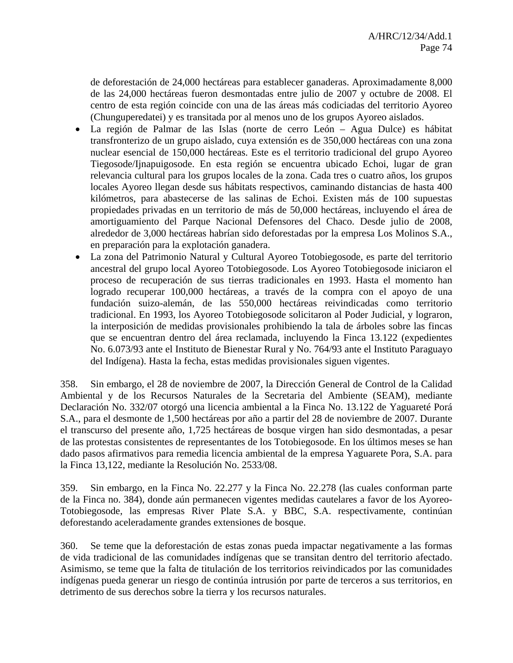de deforestación de 24,000 hectáreas para establecer ganaderas. Aproximadamente 8,000 de las 24,000 hectáreas fueron desmontadas entre julio de 2007 y octubre de 2008. El centro de esta región coincide con una de las áreas más codiciadas del territorio Ayoreo (Chunguperedatei) y es transitada por al menos uno de los grupos Ayoreo aislados.

- La región de Palmar de las Islas (norte de cerro León Agua Dulce) es hábitat transfronterizo de un grupo aislado, cuya extensión es de 350,000 hectáreas con una zona nuclear esencial de 150,000 hectáreas. Este es el territorio tradicional del grupo Ayoreo Tiegosode/Ijnapuigosode. En esta región se encuentra ubicado Echoi, lugar de gran relevancia cultural para los grupos locales de la zona. Cada tres o cuatro años, los grupos locales Ayoreo llegan desde sus hábitats respectivos, caminando distancias de hasta 400 kilómetros, para abastecerse de las salinas de Echoi. Existen más de 100 supuestas propiedades privadas en un territorio de más de 50,000 hectáreas, incluyendo el área de amortiguamiento del Parque Nacional Defensores del Chaco. Desde julio de 2008, alrededor de 3,000 hectáreas habrían sido deforestadas por la empresa Los Molinos S.A., en preparación para la explotación ganadera.
- La zona del Patrimonio Natural y Cultural Ayoreo Totobiegosode, es parte del territorio ancestral del grupo local Ayoreo Totobiegosode. Los Ayoreo Totobiegosode iniciaron el proceso de recuperación de sus tierras tradicionales en 1993. Hasta el momento han logrado recuperar 100,000 hectáreas, a través de la compra con el apoyo de una fundación suizo-alemán, de las 550,000 hectáreas reivindicadas como territorio tradicional. En 1993, los Ayoreo Totobiegosode solicitaron al Poder Judicial, y lograron, la interposición de medidas provisionales prohibiendo la tala de árboles sobre las fincas que se encuentran dentro del área reclamada, incluyendo la Finca 13.122 (expedientes No. 6.073/93 ante el Instituto de Bienestar Rural y No. 764/93 ante el Instituto Paraguayo del Indígena). Hasta la fecha, estas medidas provisionales siguen vigentes.

358. Sin embargo, el 28 de noviembre de 2007, la Dirección General de Control de la Calidad Ambiental y de los Recursos Naturales de la Secretaria del Ambiente (SEAM), mediante Declaración No. 332/07 otorgó una licencia ambiental a la Finca No. 13.122 de Yaguareté Porá S.A., para el desmonte de 1,500 hectáreas por año a partir del 28 de noviembre de 2007. Durante el transcurso del presente año, 1,725 hectáreas de bosque virgen han sido desmontadas, a pesar de las protestas consistentes de representantes de los Totobiegosode. En los últimos meses se han dado pasos afirmativos para remedia licencia ambiental de la empresa Yaguarete Pora, S.A. para la Finca 13,122, mediante la Resolución No. 2533/08.

359. Sin embargo, en la Finca No. 22.277 y la Finca No. 22.278 (las cuales conforman parte de la Finca no. 384), donde aún permanecen vigentes medidas cautelares a favor de los Ayoreo-Totobiegosode, las empresas River Plate S.A. y BBC, S.A. respectivamente, continúan deforestando aceleradamente grandes extensiones de bosque.

360. Se teme que la deforestación de estas zonas pueda impactar negativamente a las formas de vida tradicional de las comunidades indígenas que se transitan dentro del territorio afectado. Asimismo, se teme que la falta de titulación de los territorios reivindicados por las comunidades indígenas pueda generar un riesgo de continúa intrusión por parte de terceros a sus territorios, en detrimento de sus derechos sobre la tierra y los recursos naturales.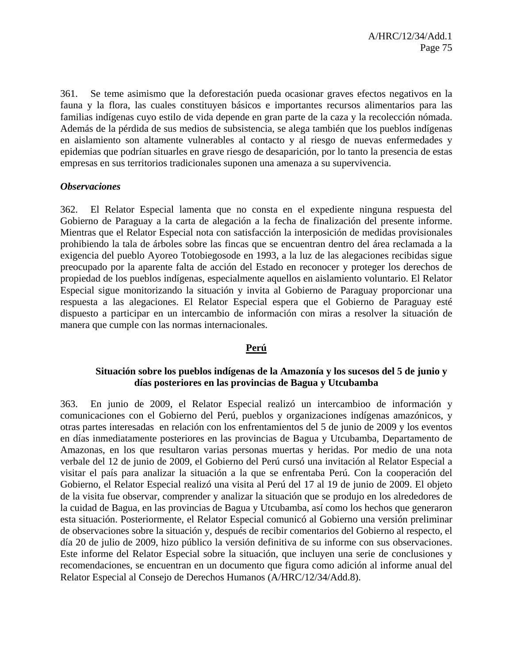361. Se teme asimismo que la deforestación pueda ocasionar graves efectos negativos en la fauna y la flora, las cuales constituyen básicos e importantes recursos alimentarios para las familias indígenas cuyo estilo de vida depende en gran parte de la caza y la recolección nómada. Además de la pérdida de sus medios de subsistencia, se alega también que los pueblos indígenas en aislamiento son altamente vulnerables al contacto y al riesgo de nuevas enfermedades y epidemias que podrían situarles en grave riesgo de desaparición, por lo tanto la presencia de estas empresas en sus territorios tradicionales suponen una amenaza a su supervivencia.

#### *Observaciones*

362. El Relator Especial lamenta que no consta en el expediente ninguna respuesta del Gobierno de Paraguay a la carta de alegación a la fecha de finalización del presente informe. Mientras que el Relator Especial nota con satisfacción la interposición de medidas provisionales prohibiendo la tala de árboles sobre las fincas que se encuentran dentro del área reclamada a la exigencia del pueblo Ayoreo Totobiegosode en 1993, a la luz de las alegaciones recibidas sigue preocupado por la aparente falta de acción del Estado en reconocer y proteger los derechos de propiedad de los pueblos indígenas, especialmente aquellos en aislamiento voluntario. El Relator Especial sigue monitorizando la situación y invita al Gobierno de Paraguay proporcionar una respuesta a las alegaciones. El Relator Especial espera que el Gobierno de Paraguay esté dispuesto a participar en un intercambio de información con miras a resolver la situación de manera que cumple con las normas internacionales.

### **Perú**

## **Situación sobre los pueblos indígenas de la Amazonía y los sucesos del 5 de junio y días posteriores en las provincias de Bagua y Utcubamba**

363. En junio de 2009, el Relator Especial realizó un intercambioo de información y comunicaciones con el Gobierno del Perú, pueblos y organizaciones indígenas amazónicos, y otras partes interesadas en relación con los enfrentamientos del 5 de junio de 2009 y los eventos en días inmediatamente posteriores en las provincias de Bagua y Utcubamba, Departamento de Amazonas, en los que resultaron varias personas muertas y heridas. Por medio de una nota verbale del 12 de junio de 2009, el Gobierno del Perú cursó una invitación al Relator Especial a visitar el país para analizar la situación a la que se enfrentaba Perú. Con la cooperación del Gobierno, el Relator Especial realizó una visita al Perú del 17 al 19 de junio de 2009. El objeto de la visita fue observar, comprender y analizar la situación que se produjo en los alrededores de la cuidad de Bagua, en las provincias de Bagua y Utcubamba, así como los hechos que generaron esta situación. Posteriormente, el Relator Especial comunicó al Gobierno una versión preliminar de observaciones sobre la situación y, después de recibir comentarios del Gobierno al respecto, el día 20 de julio de 2009, hizo público la versión definitiva de su informe con sus observaciones. Este informe del Relator Especial sobre la situación, que incluyen una serie de conclusiones y recomendaciones, se encuentran en un documento que figura como adición al informe anual del Relator Especial al Consejo de Derechos Humanos (A/HRC/12/34/Add.8).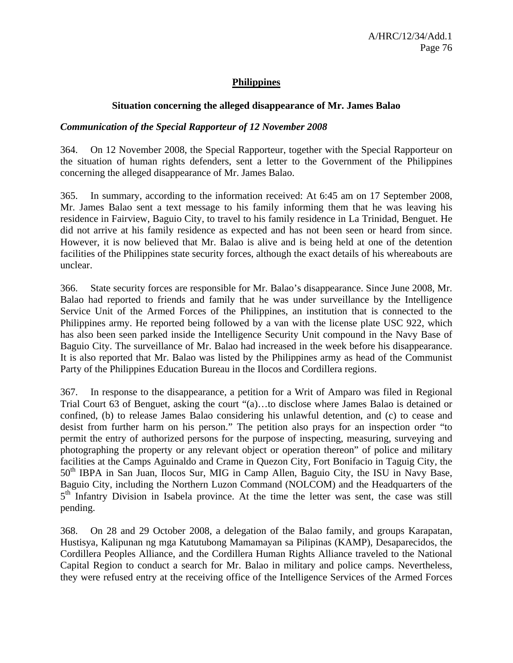## **Philippines**

### **Situation concerning the alleged disappearance of Mr. James Balao**

### *Communication of the Special Rapporteur of 12 November 2008*

364. On 12 November 2008, the Special Rapporteur, together with the Special Rapporteur on the situation of human rights defenders, sent a letter to the Government of the Philippines concerning the alleged disappearance of Mr. James Balao.

365. In summary, according to the information received: At 6:45 am on 17 September 2008, Mr. James Balao sent a text message to his family informing them that he was leaving his residence in Fairview, Baguio City, to travel to his family residence in La Trinidad, Benguet. He did not arrive at his family residence as expected and has not been seen or heard from since. However, it is now believed that Mr. Balao is alive and is being held at one of the detention facilities of the Philippines state security forces, although the exact details of his whereabouts are unclear.

366. State security forces are responsible for Mr. Balao's disappearance. Since June 2008, Mr. Balao had reported to friends and family that he was under surveillance by the Intelligence Service Unit of the Armed Forces of the Philippines, an institution that is connected to the Philippines army. He reported being followed by a van with the license plate USC 922, which has also been seen parked inside the Intelligence Security Unit compound in the Navy Base of Baguio City. The surveillance of Mr. Balao had increased in the week before his disappearance. It is also reported that Mr. Balao was listed by the Philippines army as head of the Communist Party of the Philippines Education Bureau in the Ilocos and Cordillera regions.

367. In response to the disappearance, a petition for a Writ of Amparo was filed in Regional Trial Court 63 of Benguet, asking the court "(a)…to disclose where James Balao is detained or confined, (b) to release James Balao considering his unlawful detention, and (c) to cease and desist from further harm on his person." The petition also prays for an inspection order "to permit the entry of authorized persons for the purpose of inspecting, measuring, surveying and photographing the property or any relevant object or operation thereon" of police and military facilities at the Camps Aguinaldo and Crame in Quezon City, Fort Bonifacio in Taguig City, the 50<sup>th</sup> IBPA in San Juan, Ilocos Sur, MIG in Camp Allen, Baguio City, the ISU in Navy Base, Baguio City, including the Northern Luzon Command (NOLCOM) and the Headquarters of the 5<sup>th</sup> Infantry Division in Isabela province. At the time the letter was sent, the case was still pending.

368. On 28 and 29 October 2008, a delegation of the Balao family, and groups Karapatan, Hustisya, Kalipunan ng mga Katutubong Mamamayan sa Pilipinas (KAMP), Desaparecidos, the Cordillera Peoples Alliance, and the Cordillera Human Rights Alliance traveled to the National Capital Region to conduct a search for Mr. Balao in military and police camps. Nevertheless, they were refused entry at the receiving office of the Intelligence Services of the Armed Forces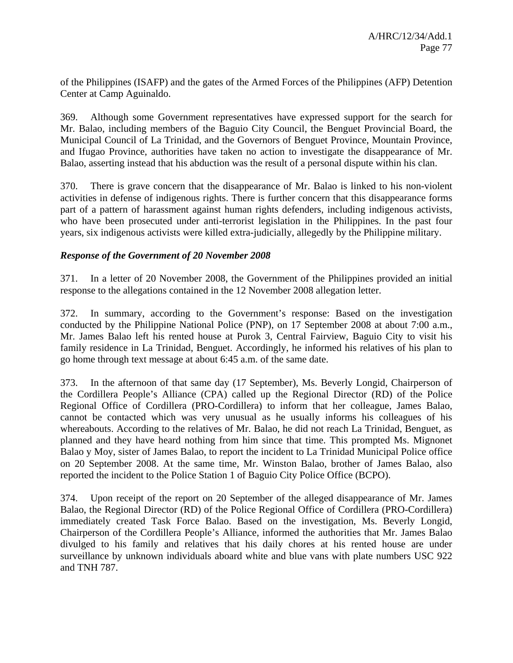of the Philippines (ISAFP) and the gates of the Armed Forces of the Philippines (AFP) Detention Center at Camp Aguinaldo.

369. Although some Government representatives have expressed support for the search for Mr. Balao, including members of the Baguio City Council, the Benguet Provincial Board, the Municipal Council of La Trinidad, and the Governors of Benguet Province, Mountain Province, and Ifugao Province, authorities have taken no action to investigate the disappearance of Mr. Balao, asserting instead that his abduction was the result of a personal dispute within his clan.

370. There is grave concern that the disappearance of Mr. Balao is linked to his non-violent activities in defense of indigenous rights. There is further concern that this disappearance forms part of a pattern of harassment against human rights defenders, including indigenous activists, who have been prosecuted under anti-terrorist legislation in the Philippines. In the past four years, six indigenous activists were killed extra-judicially, allegedly by the Philippine military.

## *Response of the Government of 20 November 2008*

371. In a letter of 20 November 2008, the Government of the Philippines provided an initial response to the allegations contained in the 12 November 2008 allegation letter.

372. In summary, according to the Government's response: Based on the investigation conducted by the Philippine National Police (PNP), on 17 September 2008 at about 7:00 a.m., Mr. James Balao left his rented house at Purok 3, Central Fairview, Baguio City to visit his family residence in La Trinidad, Benguet. Accordingly, he informed his relatives of his plan to go home through text message at about 6:45 a.m. of the same date.

373. In the afternoon of that same day (17 September), Ms. Beverly Longid, Chairperson of the Cordillera People's Alliance (CPA) called up the Regional Director (RD) of the Police Regional Office of Cordillera (PRO-Cordillera) to inform that her colleague, James Balao, cannot be contacted which was very unusual as he usually informs his colleagues of his whereabouts. According to the relatives of Mr. Balao, he did not reach La Trinidad, Benguet, as planned and they have heard nothing from him since that time. This prompted Ms. Mignonet Balao y Moy, sister of James Balao, to report the incident to La Trinidad Municipal Police office on 20 September 2008. At the same time, Mr. Winston Balao, brother of James Balao, also reported the incident to the Police Station 1 of Baguio City Police Office (BCPO).

374. Upon receipt of the report on 20 September of the alleged disappearance of Mr. James Balao, the Regional Director (RD) of the Police Regional Office of Cordillera (PRO-Cordillera) immediately created Task Force Balao. Based on the investigation, Ms. Beverly Longid, Chairperson of the Cordillera People's Alliance, informed the authorities that Mr. James Balao divulged to his family and relatives that his daily chores at his rented house are under surveillance by unknown individuals aboard white and blue vans with plate numbers USC 922 and TNH 787.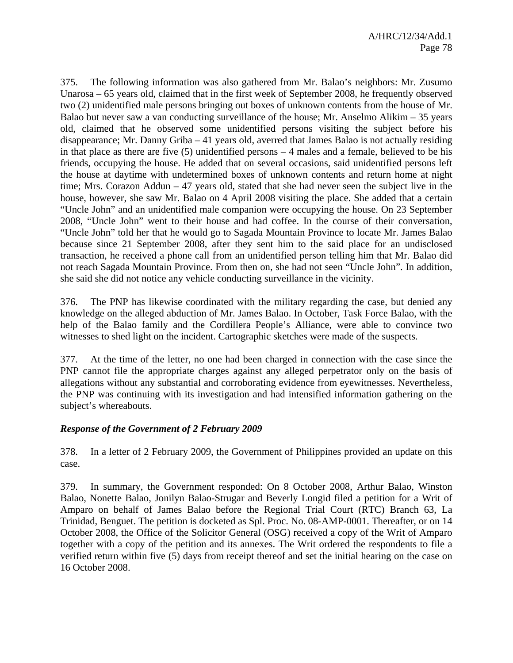375. The following information was also gathered from Mr. Balao's neighbors: Mr. Zusumo Unarosa – 65 years old, claimed that in the first week of September 2008, he frequently observed two (2) unidentified male persons bringing out boxes of unknown contents from the house of Mr. Balao but never saw a van conducting surveillance of the house; Mr. Anselmo Alikim – 35 years old, claimed that he observed some unidentified persons visiting the subject before his disappearance; Mr. Danny Griba – 41 years old, averred that James Balao is not actually residing in that place as there are five  $(5)$  unidentified persons  $-4$  males and a female, believed to be his friends, occupying the house. He added that on several occasions, said unidentified persons left the house at daytime with undetermined boxes of unknown contents and return home at night time; Mrs. Corazon Addun – 47 years old, stated that she had never seen the subject live in the house, however, she saw Mr. Balao on 4 April 2008 visiting the place. She added that a certain "Uncle John" and an unidentified male companion were occupying the house. On 23 September 2008, "Uncle John" went to their house and had coffee. In the course of their conversation, "Uncle John" told her that he would go to Sagada Mountain Province to locate Mr. James Balao because since 21 September 2008, after they sent him to the said place for an undisclosed transaction, he received a phone call from an unidentified person telling him that Mr. Balao did not reach Sagada Mountain Province. From then on, she had not seen "Uncle John". In addition, she said she did not notice any vehicle conducting surveillance in the vicinity.

376. The PNP has likewise coordinated with the military regarding the case, but denied any knowledge on the alleged abduction of Mr. James Balao. In October, Task Force Balao, with the help of the Balao family and the Cordillera People's Alliance, were able to convince two witnesses to shed light on the incident. Cartographic sketches were made of the suspects.

377. At the time of the letter, no one had been charged in connection with the case since the PNP cannot file the appropriate charges against any alleged perpetrator only on the basis of allegations without any substantial and corroborating evidence from eyewitnesses. Nevertheless, the PNP was continuing with its investigation and had intensified information gathering on the subject's whereabouts.

## *Response of the Government of 2 February 2009*

378. In a letter of 2 February 2009, the Government of Philippines provided an update on this case.

379. In summary, the Government responded: On 8 October 2008, Arthur Balao, Winston Balao, Nonette Balao, Jonilyn Balao-Strugar and Beverly Longid filed a petition for a Writ of Amparo on behalf of James Balao before the Regional Trial Court (RTC) Branch 63, La Trinidad, Benguet. The petition is docketed as Spl. Proc. No. 08-AMP-0001. Thereafter, or on 14 October 2008, the Office of the Solicitor General (OSG) received a copy of the Writ of Amparo together with a copy of the petition and its annexes. The Writ ordered the respondents to file a verified return within five (5) days from receipt thereof and set the initial hearing on the case on 16 October 2008.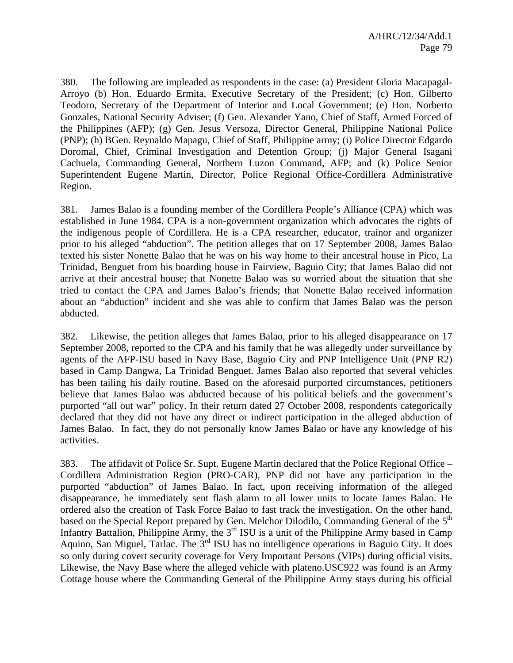380. The following are impleaded as respondents in the case: (a) President Gloria Macapagal-Arroyo (b) Hon. Eduardo Ermita, Executive Secretary of the President; (c) Hon. Gilberto Teodoro, Secretary of the Department of Interior and Local Government; (e) Hon. Norberto Gonzales, National Security Adviser; (f) Gen. Alexander Yano, Chief of Staff, Armed Forced of the Philippines (AFP); (g) Gen. Jesus Versoza, Director General, Philippine National Police (PNP); (h) BGen. Reynaldo Mapagu, Chief of Staff, Philippine army; (i) Police Director Edgardo Doromal, Chief, Criminal Investigation and Detention Group; (j) Major General Isagani Cachuela, Commanding General, Northern Luzon Command, AFP; and (k) Police Senior Superintendent Eugene Martin, Director, Police Regional Office-Cordillera Administrative Region.

381. James Balao is a founding member of the Cordillera People's Alliance (CPA) which was established in June 1984. CPA is a non-government organization which advocates the rights of the indigenous people of Cordillera. He is a CPA researcher, educator, trainor and organizer prior to his alleged "abduction". The petition alleges that on 17 September 2008, James Balao texted his sister Nonette Balao that he was on his way home to their ancestral house in Pico, La Trinidad, Benguet from his boarding house in Fairview, Baguio City; that James Balao did not arrive at their ancestral house; that Nonette Balao was so worried about the situation that she tried to contact the CPA and James Balao's friends; that Nonette Balao received information about an "abduction" incident and she was able to confirm that James Balao was the person abducted.

382. Likewise, the petition alleges that James Balao, prior to his alleged disappearance on 17 September 2008, reported to the CPA and his family that he was allegedly under surveillance by agents of the AFP-ISU based in Navy Base, Baguio City and PNP Intelligence Unit (PNP R2) based in Camp Dangwa, La Trinidad Benguet. James Balao also reported that several vehicles has been tailing his daily routine. Based on the aforesaid purported circumstances, petitioners believe that James Balao was abducted because of his political beliefs and the government's purported "all out war" policy. In their return dated 27 October 2008, respondents categorically declared that they did not have any direct or indirect participation in the alleged abduction of James Balao. In fact, they do not personally know James Balao or have any knowledge of his activities.

383. The affidavit of Police Sr. Supt. Eugene Martin declared that the Police Regional Office – Cordillera Administration Region (PRO-CAR), PNP did not have any participation in the purported "abduction" of James Balao. In fact, upon receiving information of the alleged disappearance, he immediately sent flash alarm to all lower units to locate James Balao. He ordered also the creation of Task Force Balao to fast track the investigation. On the other hand, based on the Special Report prepared by Gen. Melchor Dilodilo, Commanding General of the 5<sup>th</sup> Infantry Battalion, Philippine Army, the  $3<sup>rd</sup>$  ISU is a unit of the Philippine Army based in Camp Aquino, San Miguel, Tarlac. The 3<sup>rd</sup> ISU has no intelligence operations in Baguio City. It does so only during covert security coverage for Very Important Persons (VIPs) during official visits. Likewise, the Navy Base where the alleged vehicle with plateno.USC922 was found is an Army Cottage house where the Commanding General of the Philippine Army stays during his official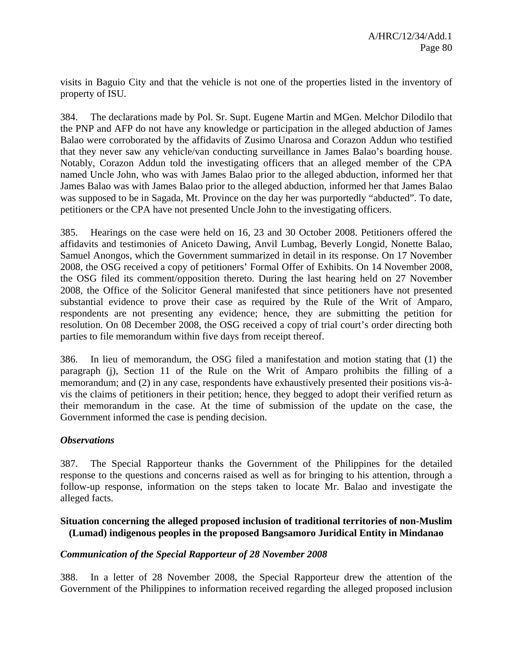visits in Baguio City and that the vehicle is not one of the properties listed in the inventory of property of ISU.

384. The declarations made by Pol. Sr. Supt. Eugene Martin and MGen. Melchor Dilodilo that the PNP and AFP do not have any knowledge or participation in the alleged abduction of James Balao were corroborated by the affidavits of Zusimo Unarosa and Corazon Addun who testified that they never saw any vehicle/van conducting surveillance in James Balao's boarding house. Notably, Corazon Addun told the investigating officers that an alleged member of the CPA named Uncle John, who was with James Balao prior to the alleged abduction, informed her that James Balao was with James Balao prior to the alleged abduction, informed her that James Balao was supposed to be in Sagada, Mt. Province on the day her was purportedly "abducted". To date, petitioners or the CPA have not presented Uncle John to the investigating officers.

385. Hearings on the case were held on 16, 23 and 30 October 2008. Petitioners offered the affidavits and testimonies of Aniceto Dawing, Anvil Lumbag, Beverly Longid, Nonette Balao, Samuel Anongos, which the Government summarized in detail in its response. On 17 November 2008, the OSG received a copy of petitioners' Formal Offer of Exhibits. On 14 November 2008, the OSG filed its comment/opposition thereto. During the last hearing held on 27 November 2008, the Office of the Solicitor General manifested that since petitioners have not presented substantial evidence to prove their case as required by the Rule of the Writ of Amparo, respondents are not presenting any evidence; hence, they are submitting the petition for resolution. On 08 December 2008, the OSG received a copy of trial court's order directing both parties to file memorandum within five days from receipt thereof.

386. In lieu of memorandum, the OSG filed a manifestation and motion stating that (1) the paragraph (j), Section 11 of the Rule on the Writ of Amparo prohibits the filling of a memorandum; and (2) in any case, respondents have exhaustively presented their positions vis-àvis the claims of petitioners in their petition; hence, they begged to adopt their verified return as their memorandum in the case. At the time of submission of the update on the case, the Government informed the case is pending decision.

### *Observations*

387. The Special Rapporteur thanks the Government of the Philippines for the detailed response to the questions and concerns raised as well as for bringing to his attention, through a follow-up response, information on the steps taken to locate Mr. Balao and investigate the alleged facts.

## **Situation concerning the alleged proposed inclusion of traditional territories of non-Muslim (Lumad) indigenous peoples in the proposed Bangsamoro Juridical Entity in Mindanao**

### *Communication of the Special Rapporteur of 28 November 2008*

388. In a letter of 28 November 2008, the Special Rapporteur drew the attention of the Government of the Philippines to information received regarding the alleged proposed inclusion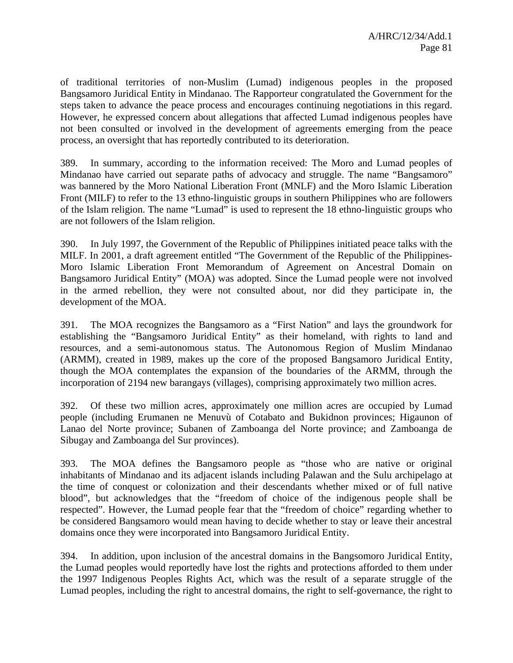of traditional territories of non-Muslim (Lumad) indigenous peoples in the proposed Bangsamoro Juridical Entity in Mindanao. The Rapporteur congratulated the Government for the steps taken to advance the peace process and encourages continuing negotiations in this regard. However, he expressed concern about allegations that affected Lumad indigenous peoples have not been consulted or involved in the development of agreements emerging from the peace process, an oversight that has reportedly contributed to its deterioration.

389. In summary, according to the information received: The Moro and Lumad peoples of Mindanao have carried out separate paths of advocacy and struggle. The name "Bangsamoro" was bannered by the Moro National Liberation Front (MNLF) and the Moro Islamic Liberation Front (MILF) to refer to the 13 ethno-linguistic groups in southern Philippines who are followers of the Islam religion. The name "Lumad" is used to represent the 18 ethno-linguistic groups who are not followers of the Islam religion.

390. In July 1997, the Government of the Republic of Philippines initiated peace talks with the MILF. In 2001, a draft agreement entitled "The Government of the Republic of the Philippines-Moro Islamic Liberation Front Memorandum of Agreement on Ancestral Domain on Bangsamoro Juridical Entity" (MOA) was adopted. Since the Lumad people were not involved in the armed rebellion, they were not consulted about, nor did they participate in, the development of the MOA.

391. The MOA recognizes the Bangsamoro as a "First Nation" and lays the groundwork for establishing the "Bangsamoro Juridical Entity" as their homeland, with rights to land and resources, and a semi-autonomous status. The Autonomous Region of Muslim Mindanao (ARMM), created in 1989, makes up the core of the proposed Bangsamoro Juridical Entity, though the MOA contemplates the expansion of the boundaries of the ARMM, through the incorporation of 2194 new barangays (villages), comprising approximately two million acres.

392. Of these two million acres, approximately one million acres are occupied by Lumad people (including Erumanen ne Menuvù of Cotabato and Bukidnon provinces; Higaunon of Lanao del Norte province; Subanen of Zamboanga del Norte province; and Zamboanga de Sibugay and Zamboanga del Sur provinces).

393. The MOA defines the Bangsamoro people as "those who are native or original inhabitants of Mindanao and its adjacent islands including Palawan and the Sulu archipelago at the time of conquest or colonization and their descendants whether mixed or of full native blood", but acknowledges that the "freedom of choice of the indigenous people shall be respected". However, the Lumad people fear that the "freedom of choice" regarding whether to be considered Bangsamoro would mean having to decide whether to stay or leave their ancestral domains once they were incorporated into Bangsamoro Juridical Entity.

394. In addition, upon inclusion of the ancestral domains in the Bangsomoro Juridical Entity, the Lumad peoples would reportedly have lost the rights and protections afforded to them under the 1997 Indigenous Peoples Rights Act, which was the result of a separate struggle of the Lumad peoples, including the right to ancestral domains, the right to self-governance, the right to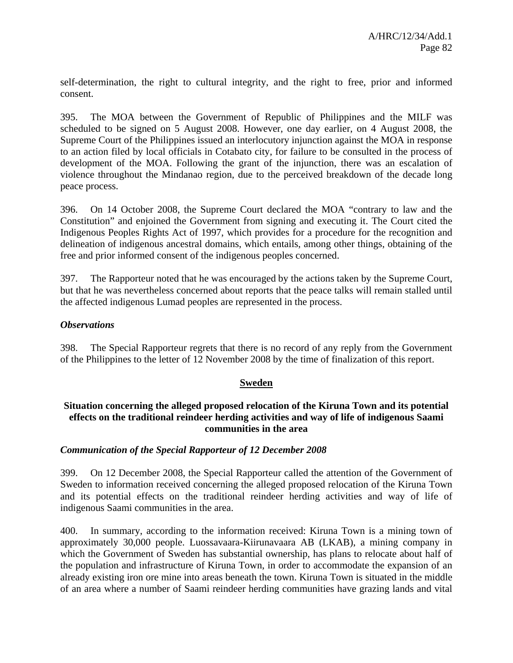self-determination, the right to cultural integrity, and the right to free, prior and informed consent.

395. The MOA between the Government of Republic of Philippines and the MILF was scheduled to be signed on 5 August 2008. However, one day earlier, on 4 August 2008, the Supreme Court of the Philippines issued an interlocutory injunction against the MOA in response to an action filed by local officials in Cotabato city, for failure to be consulted in the process of development of the MOA. Following the grant of the injunction, there was an escalation of violence throughout the Mindanao region, due to the perceived breakdown of the decade long peace process.

396. On 14 October 2008, the Supreme Court declared the MOA "contrary to law and the Constitution" and enjoined the Government from signing and executing it. The Court cited the Indigenous Peoples Rights Act of 1997, which provides for a procedure for the recognition and delineation of indigenous ancestral domains, which entails, among other things, obtaining of the free and prior informed consent of the indigenous peoples concerned.

397. The Rapporteur noted that he was encouraged by the actions taken by the Supreme Court, but that he was nevertheless concerned about reports that the peace talks will remain stalled until the affected indigenous Lumad peoples are represented in the process.

## *Observations*

398. The Special Rapporteur regrets that there is no record of any reply from the Government of the Philippines to the letter of 12 November 2008 by the time of finalization of this report.

### **Sweden**

## **Situation concerning the alleged proposed relocation of the Kiruna Town and its potential effects on the traditional reindeer herding activities and way of life of indigenous Saami communities in the area**

### *Communication of the Special Rapporteur of 12 December 2008*

399. On 12 December 2008, the Special Rapporteur called the attention of the Government of Sweden to information received concerning the alleged proposed relocation of the Kiruna Town and its potential effects on the traditional reindeer herding activities and way of life of indigenous Saami communities in the area.

400. In summary, according to the information received: Kiruna Town is a mining town of approximately 30,000 people. Luossavaara-Kiirunavaara AB (LKAB), a mining company in which the Government of Sweden has substantial ownership, has plans to relocate about half of the population and infrastructure of Kiruna Town, in order to accommodate the expansion of an already existing iron ore mine into areas beneath the town. Kiruna Town is situated in the middle of an area where a number of Saami reindeer herding communities have grazing lands and vital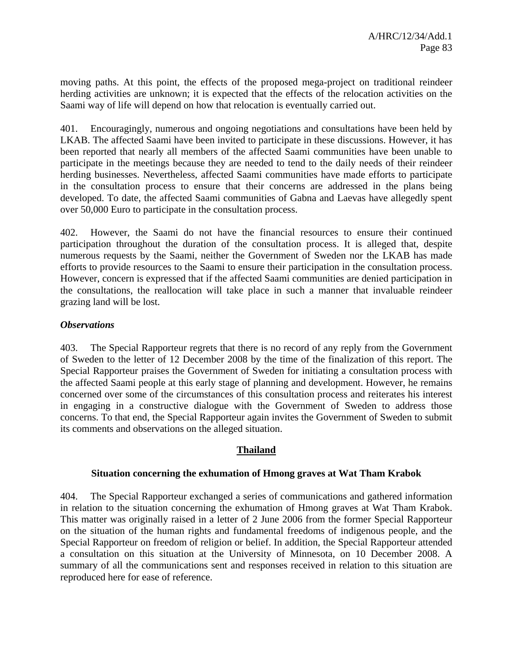moving paths. At this point, the effects of the proposed mega-project on traditional reindeer herding activities are unknown; it is expected that the effects of the relocation activities on the Saami way of life will depend on how that relocation is eventually carried out.

401. Encouragingly, numerous and ongoing negotiations and consultations have been held by LKAB. The affected Saami have been invited to participate in these discussions. However, it has been reported that nearly all members of the affected Saami communities have been unable to participate in the meetings because they are needed to tend to the daily needs of their reindeer herding businesses. Nevertheless, affected Saami communities have made efforts to participate in the consultation process to ensure that their concerns are addressed in the plans being developed. To date, the affected Saami communities of Gabna and Laevas have allegedly spent over 50,000 Euro to participate in the consultation process.

402. However, the Saami do not have the financial resources to ensure their continued participation throughout the duration of the consultation process. It is alleged that, despite numerous requests by the Saami, neither the Government of Sweden nor the LKAB has made efforts to provide resources to the Saami to ensure their participation in the consultation process. However, concern is expressed that if the affected Saami communities are denied participation in the consultations, the reallocation will take place in such a manner that invaluable reindeer grazing land will be lost.

## *Observations*

403. The Special Rapporteur regrets that there is no record of any reply from the Government of Sweden to the letter of 12 December 2008 by the time of the finalization of this report. The Special Rapporteur praises the Government of Sweden for initiating a consultation process with the affected Saami people at this early stage of planning and development. However, he remains concerned over some of the circumstances of this consultation process and reiterates his interest in engaging in a constructive dialogue with the Government of Sweden to address those concerns. To that end, the Special Rapporteur again invites the Government of Sweden to submit its comments and observations on the alleged situation.

## **Thailand**

### **Situation concerning the exhumation of Hmong graves at Wat Tham Krabok**

404. The Special Rapporteur exchanged a series of communications and gathered information in relation to the situation concerning the exhumation of Hmong graves at Wat Tham Krabok. This matter was originally raised in a letter of 2 June 2006 from the former Special Rapporteur on the situation of the human rights and fundamental freedoms of indigenous people, and the Special Rapporteur on freedom of religion or belief. In addition, the Special Rapporteur attended a consultation on this situation at the University of Minnesota, on 10 December 2008. A summary of all the communications sent and responses received in relation to this situation are reproduced here for ease of reference.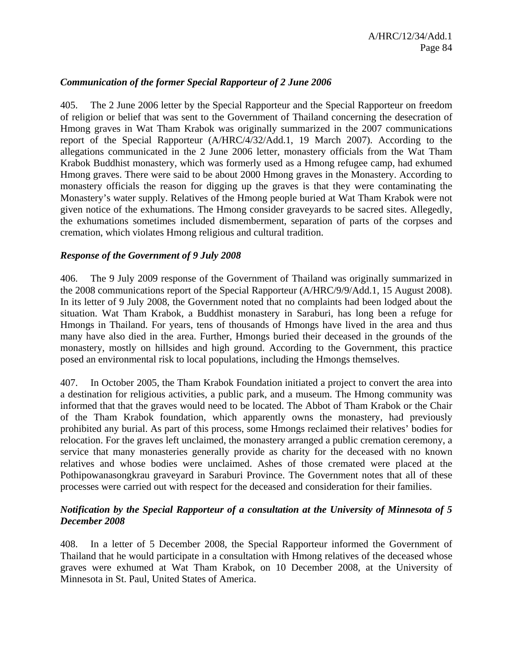### *Communication of the former Special Rapporteur of 2 June 2006*

405. The 2 June 2006 letter by the Special Rapporteur and the Special Rapporteur on freedom of religion or belief that was sent to the Government of Thailand concerning the desecration of Hmong graves in Wat Tham Krabok was originally summarized in the 2007 communications report of the Special Rapporteur (A/HRC/4/32/Add.1, 19 March 2007). According to the allegations communicated in the 2 June 2006 letter, monastery officials from the Wat Tham Krabok Buddhist monastery, which was formerly used as a Hmong refugee camp, had exhumed Hmong graves. There were said to be about 2000 Hmong graves in the Monastery. According to monastery officials the reason for digging up the graves is that they were contaminating the Monastery's water supply. Relatives of the Hmong people buried at Wat Tham Krabok were not given notice of the exhumations. The Hmong consider graveyards to be sacred sites. Allegedly, the exhumations sometimes included dismemberment, separation of parts of the corpses and cremation, which violates Hmong religious and cultural tradition.

### *Response of the Government of 9 July 2008*

406. The 9 July 2009 response of the Government of Thailand was originally summarized in the 2008 communications report of the Special Rapporteur (A/HRC/9/9/Add.1, 15 August 2008). In its letter of 9 July 2008, the Government noted that no complaints had been lodged about the situation. Wat Tham Krabok, a Buddhist monastery in Saraburi, has long been a refuge for Hmongs in Thailand. For years, tens of thousands of Hmongs have lived in the area and thus many have also died in the area. Further, Hmongs buried their deceased in the grounds of the monastery, mostly on hillsides and high ground. According to the Government, this practice posed an environmental risk to local populations, including the Hmongs themselves.

407. In October 2005, the Tham Krabok Foundation initiated a project to convert the area into a destination for religious activities, a public park, and a museum. The Hmong community was informed that that the graves would need to be located. The Abbot of Tham Krabok or the Chair of the Tham Krabok foundation, which apparently owns the monastery, had previously prohibited any burial. As part of this process, some Hmongs reclaimed their relatives' bodies for relocation. For the graves left unclaimed, the monastery arranged a public cremation ceremony, a service that many monasteries generally provide as charity for the deceased with no known relatives and whose bodies were unclaimed. Ashes of those cremated were placed at the Pothipowanasongkrau graveyard in Saraburi Province. The Government notes that all of these processes were carried out with respect for the deceased and consideration for their families.

## *Notification by the Special Rapporteur of a consultation at the University of Minnesota of 5 December 2008*

408. In a letter of 5 December 2008, the Special Rapporteur informed the Government of Thailand that he would participate in a consultation with Hmong relatives of the deceased whose graves were exhumed at Wat Tham Krabok, on 10 December 2008, at the University of Minnesota in St. Paul, United States of America.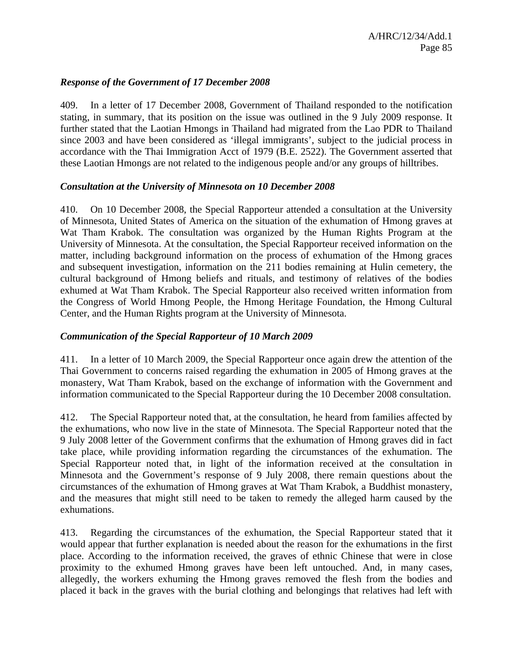### *Response of the Government of 17 December 2008*

409. In a letter of 17 December 2008, Government of Thailand responded to the notification stating, in summary, that its position on the issue was outlined in the 9 July 2009 response. It further stated that the Laotian Hmongs in Thailand had migrated from the Lao PDR to Thailand since 2003 and have been considered as 'illegal immigrants', subject to the judicial process in accordance with the Thai Immigration Acct of 1979 (B.E. 2522). The Government asserted that these Laotian Hmongs are not related to the indigenous people and/or any groups of hilltribes.

### *Consultation at the University of Minnesota on 10 December 2008*

410. On 10 December 2008, the Special Rapporteur attended a consultation at the University of Minnesota, United States of America on the situation of the exhumation of Hmong graves at Wat Tham Krabok. The consultation was organized by the Human Rights Program at the University of Minnesota. At the consultation, the Special Rapporteur received information on the matter, including background information on the process of exhumation of the Hmong graces and subsequent investigation, information on the 211 bodies remaining at Hulin cemetery, the cultural background of Hmong beliefs and rituals, and testimony of relatives of the bodies exhumed at Wat Tham Krabok. The Special Rapporteur also received written information from the Congress of World Hmong People, the Hmong Heritage Foundation, the Hmong Cultural Center, and the Human Rights program at the University of Minnesota.

## *Communication of the Special Rapporteur of 10 March 2009*

411. In a letter of 10 March 2009, the Special Rapporteur once again drew the attention of the Thai Government to concerns raised regarding the exhumation in 2005 of Hmong graves at the monastery, Wat Tham Krabok, based on the exchange of information with the Government and information communicated to the Special Rapporteur during the 10 December 2008 consultation.

412. The Special Rapporteur noted that, at the consultation, he heard from families affected by the exhumations, who now live in the state of Minnesota. The Special Rapporteur noted that the 9 July 2008 letter of the Government confirms that the exhumation of Hmong graves did in fact take place, while providing information regarding the circumstances of the exhumation. The Special Rapporteur noted that, in light of the information received at the consultation in Minnesota and the Government's response of 9 July 2008, there remain questions about the circumstances of the exhumation of Hmong graves at Wat Tham Krabok, a Buddhist monastery, and the measures that might still need to be taken to remedy the alleged harm caused by the exhumations.

413. Regarding the circumstances of the exhumation, the Special Rapporteur stated that it would appear that further explanation is needed about the reason for the exhumations in the first place. According to the information received, the graves of ethnic Chinese that were in close proximity to the exhumed Hmong graves have been left untouched. And, in many cases, allegedly, the workers exhuming the Hmong graves removed the flesh from the bodies and placed it back in the graves with the burial clothing and belongings that relatives had left with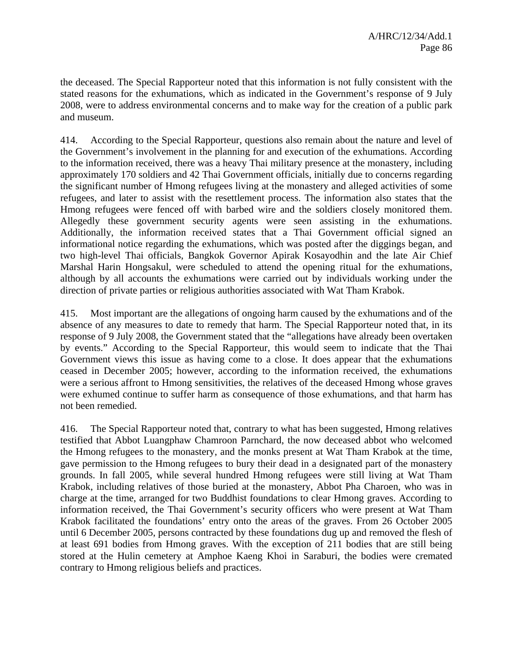the deceased. The Special Rapporteur noted that this information is not fully consistent with the stated reasons for the exhumations, which as indicated in the Government's response of 9 July 2008, were to address environmental concerns and to make way for the creation of a public park and museum.

414. According to the Special Rapporteur, questions also remain about the nature and level of the Government's involvement in the planning for and execution of the exhumations. According to the information received, there was a heavy Thai military presence at the monastery, including approximately 170 soldiers and 42 Thai Government officials, initially due to concerns regarding the significant number of Hmong refugees living at the monastery and alleged activities of some refugees, and later to assist with the resettlement process. The information also states that the Hmong refugees were fenced off with barbed wire and the soldiers closely monitored them. Allegedly these government security agents were seen assisting in the exhumations. Additionally, the information received states that a Thai Government official signed an informational notice regarding the exhumations, which was posted after the diggings began, and two high-level Thai officials, Bangkok Governor Apirak Kosayodhin and the late Air Chief Marshal Harin Hongsakul, were scheduled to attend the opening ritual for the exhumations, although by all accounts the exhumations were carried out by individuals working under the direction of private parties or religious authorities associated with Wat Tham Krabok.

415. Most important are the allegations of ongoing harm caused by the exhumations and of the absence of any measures to date to remedy that harm. The Special Rapporteur noted that, in its response of 9 July 2008, the Government stated that the "allegations have already been overtaken by events." According to the Special Rapporteur, this would seem to indicate that the Thai Government views this issue as having come to a close. It does appear that the exhumations ceased in December 2005; however, according to the information received, the exhumations were a serious affront to Hmong sensitivities, the relatives of the deceased Hmong whose graves were exhumed continue to suffer harm as consequence of those exhumations, and that harm has not been remedied.

416. The Special Rapporteur noted that, contrary to what has been suggested, Hmong relatives testified that Abbot Luangphaw Chamroon Parnchard, the now deceased abbot who welcomed the Hmong refugees to the monastery, and the monks present at Wat Tham Krabok at the time, gave permission to the Hmong refugees to bury their dead in a designated part of the monastery grounds. In fall 2005, while several hundred Hmong refugees were still living at Wat Tham Krabok, including relatives of those buried at the monastery, Abbot Pha Charoen, who was in charge at the time, arranged for two Buddhist foundations to clear Hmong graves. According to information received, the Thai Government's security officers who were present at Wat Tham Krabok facilitated the foundations' entry onto the areas of the graves. From 26 October 2005 until 6 December 2005, persons contracted by these foundations dug up and removed the flesh of at least 691 bodies from Hmong graves. With the exception of 211 bodies that are still being stored at the Hulin cemetery at Amphoe Kaeng Khoi in Saraburi, the bodies were cremated contrary to Hmong religious beliefs and practices.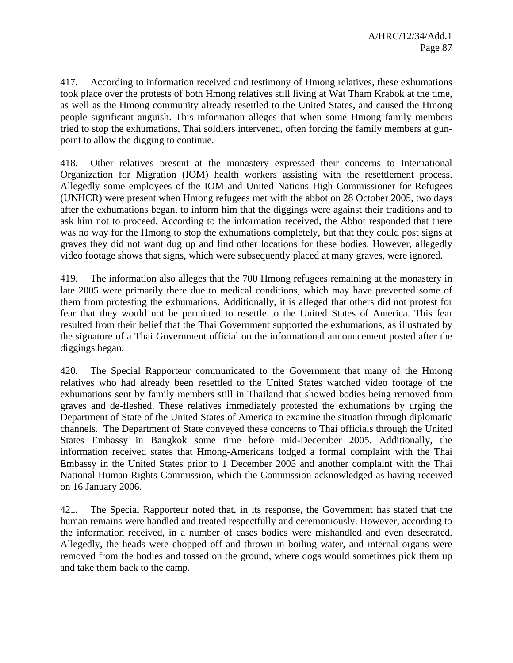417. According to information received and testimony of Hmong relatives, these exhumations took place over the protests of both Hmong relatives still living at Wat Tham Krabok at the time, as well as the Hmong community already resettled to the United States, and caused the Hmong people significant anguish. This information alleges that when some Hmong family members tried to stop the exhumations, Thai soldiers intervened, often forcing the family members at gunpoint to allow the digging to continue.

418. Other relatives present at the monastery expressed their concerns to International Organization for Migration (IOM) health workers assisting with the resettlement process. Allegedly some employees of the IOM and United Nations High Commissioner for Refugees (UNHCR) were present when Hmong refugees met with the abbot on 28 October 2005, two days after the exhumations began, to inform him that the diggings were against their traditions and to ask him not to proceed. According to the information received, the Abbot responded that there was no way for the Hmong to stop the exhumations completely, but that they could post signs at graves they did not want dug up and find other locations for these bodies. However, allegedly video footage shows that signs, which were subsequently placed at many graves, were ignored.

419. The information also alleges that the 700 Hmong refugees remaining at the monastery in late 2005 were primarily there due to medical conditions, which may have prevented some of them from protesting the exhumations. Additionally, it is alleged that others did not protest for fear that they would not be permitted to resettle to the United States of America. This fear resulted from their belief that the Thai Government supported the exhumations, as illustrated by the signature of a Thai Government official on the informational announcement posted after the diggings began.

420. The Special Rapporteur communicated to the Government that many of the Hmong relatives who had already been resettled to the United States watched video footage of the exhumations sent by family members still in Thailand that showed bodies being removed from graves and de-fleshed. These relatives immediately protested the exhumations by urging the Department of State of the United States of America to examine the situation through diplomatic channels. The Department of State conveyed these concerns to Thai officials through the United States Embassy in Bangkok some time before mid-December 2005. Additionally, the information received states that Hmong-Americans lodged a formal complaint with the Thai Embassy in the United States prior to 1 December 2005 and another complaint with the Thai National Human Rights Commission, which the Commission acknowledged as having received on 16 January 2006.

421. The Special Rapporteur noted that, in its response, the Government has stated that the human remains were handled and treated respectfully and ceremoniously. However, according to the information received, in a number of cases bodies were mishandled and even desecrated. Allegedly, the heads were chopped off and thrown in boiling water, and internal organs were removed from the bodies and tossed on the ground, where dogs would sometimes pick them up and take them back to the camp.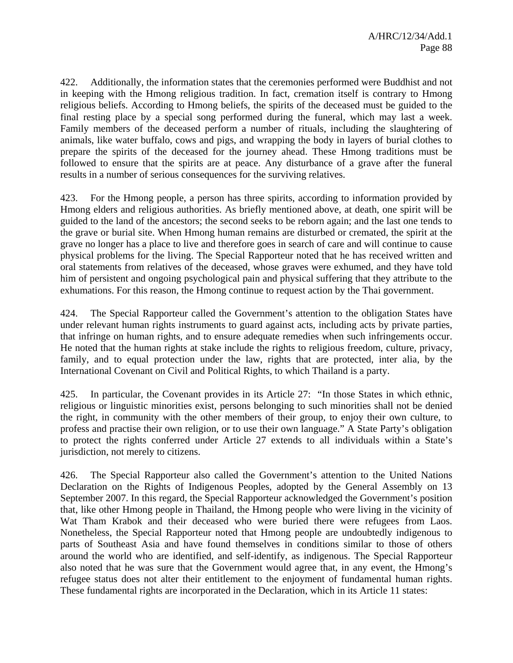422. Additionally, the information states that the ceremonies performed were Buddhist and not in keeping with the Hmong religious tradition. In fact, cremation itself is contrary to Hmong religious beliefs. According to Hmong beliefs, the spirits of the deceased must be guided to the final resting place by a special song performed during the funeral, which may last a week. Family members of the deceased perform a number of rituals, including the slaughtering of animals, like water buffalo, cows and pigs, and wrapping the body in layers of burial clothes to prepare the spirits of the deceased for the journey ahead. These Hmong traditions must be followed to ensure that the spirits are at peace. Any disturbance of a grave after the funeral results in a number of serious consequences for the surviving relatives.

423. For the Hmong people, a person has three spirits, according to information provided by Hmong elders and religious authorities. As briefly mentioned above, at death, one spirit will be guided to the land of the ancestors; the second seeks to be reborn again; and the last one tends to the grave or burial site. When Hmong human remains are disturbed or cremated, the spirit at the grave no longer has a place to live and therefore goes in search of care and will continue to cause physical problems for the living. The Special Rapporteur noted that he has received written and oral statements from relatives of the deceased, whose graves were exhumed, and they have told him of persistent and ongoing psychological pain and physical suffering that they attribute to the exhumations. For this reason, the Hmong continue to request action by the Thai government.

424. The Special Rapporteur called the Government's attention to the obligation States have under relevant human rights instruments to guard against acts, including acts by private parties, that infringe on human rights, and to ensure adequate remedies when such infringements occur. He noted that the human rights at stake include the rights to religious freedom, culture, privacy, family, and to equal protection under the law, rights that are protected, inter alia, by the International Covenant on Civil and Political Rights, to which Thailand is a party.

425. In particular, the Covenant provides in its Article 27: "In those States in which ethnic, religious or linguistic minorities exist, persons belonging to such minorities shall not be denied the right, in community with the other members of their group, to enjoy their own culture, to profess and practise their own religion, or to use their own language." A State Party's obligation to protect the rights conferred under Article 27 extends to all individuals within a State's jurisdiction, not merely to citizens.

426. The Special Rapporteur also called the Government's attention to the United Nations Declaration on the Rights of Indigenous Peoples, adopted by the General Assembly on 13 September 2007. In this regard, the Special Rapporteur acknowledged the Government's position that, like other Hmong people in Thailand, the Hmong people who were living in the vicinity of Wat Tham Krabok and their deceased who were buried there were refugees from Laos. Nonetheless, the Special Rapporteur noted that Hmong people are undoubtedly indigenous to parts of Southeast Asia and have found themselves in conditions similar to those of others around the world who are identified, and self-identify, as indigenous. The Special Rapporteur also noted that he was sure that the Government would agree that, in any event, the Hmong's refugee status does not alter their entitlement to the enjoyment of fundamental human rights. These fundamental rights are incorporated in the Declaration, which in its Article 11 states: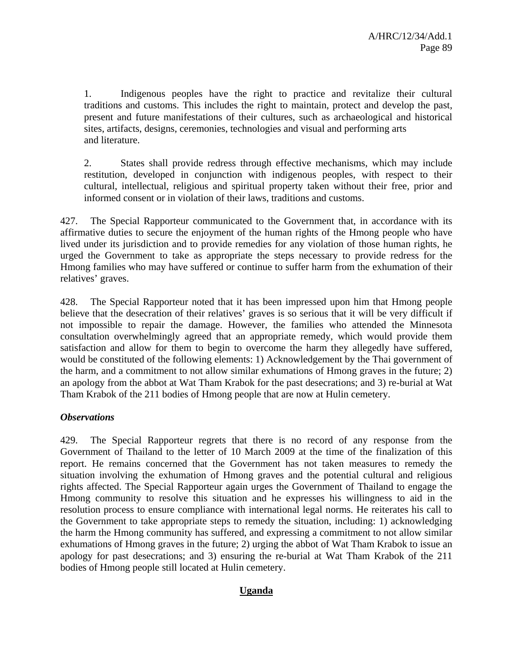1. Indigenous peoples have the right to practice and revitalize their cultural traditions and customs. This includes the right to maintain, protect and develop the past, present and future manifestations of their cultures, such as archaeological and historical sites, artifacts, designs, ceremonies, technologies and visual and performing arts and literature.

2. States shall provide redress through effective mechanisms, which may include restitution, developed in conjunction with indigenous peoples, with respect to their cultural, intellectual, religious and spiritual property taken without their free, prior and informed consent or in violation of their laws, traditions and customs.

427. The Special Rapporteur communicated to the Government that, in accordance with its affirmative duties to secure the enjoyment of the human rights of the Hmong people who have lived under its jurisdiction and to provide remedies for any violation of those human rights, he urged the Government to take as appropriate the steps necessary to provide redress for the Hmong families who may have suffered or continue to suffer harm from the exhumation of their relatives' graves.

428. The Special Rapporteur noted that it has been impressed upon him that Hmong people believe that the desecration of their relatives' graves is so serious that it will be very difficult if not impossible to repair the damage. However, the families who attended the Minnesota consultation overwhelmingly agreed that an appropriate remedy, which would provide them satisfaction and allow for them to begin to overcome the harm they allegedly have suffered, would be constituted of the following elements: 1) Acknowledgement by the Thai government of the harm, and a commitment to not allow similar exhumations of Hmong graves in the future; 2) an apology from the abbot at Wat Tham Krabok for the past desecrations; and 3) re-burial at Wat Tham Krabok of the 211 bodies of Hmong people that are now at Hulin cemetery.

## *Observations*

429. The Special Rapporteur regrets that there is no record of any response from the Government of Thailand to the letter of 10 March 2009 at the time of the finalization of this report. He remains concerned that the Government has not taken measures to remedy the situation involving the exhumation of Hmong graves and the potential cultural and religious rights affected. The Special Rapporteur again urges the Government of Thailand to engage the Hmong community to resolve this situation and he expresses his willingness to aid in the resolution process to ensure compliance with international legal norms. He reiterates his call to the Government to take appropriate steps to remedy the situation, including: 1) acknowledging the harm the Hmong community has suffered, and expressing a commitment to not allow similar exhumations of Hmong graves in the future; 2) urging the abbot of Wat Tham Krabok to issue an apology for past desecrations; and 3) ensuring the re-burial at Wat Tham Krabok of the 211 bodies of Hmong people still located at Hulin cemetery.

### **Uganda**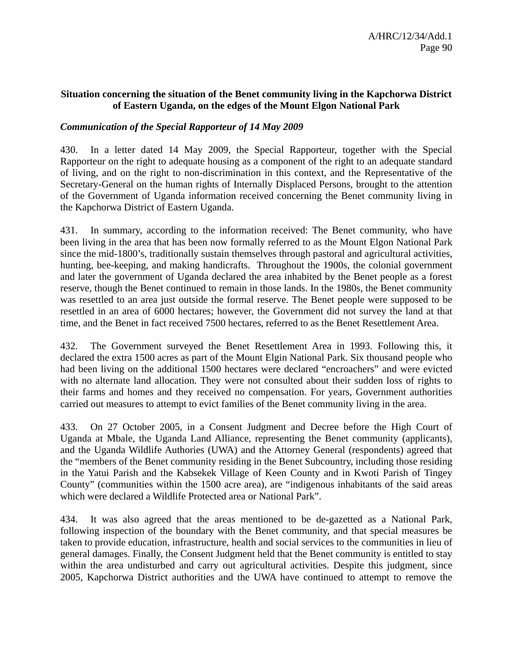### **Situation concerning the situation of the Benet community living in the Kapchorwa District of Eastern Uganda, on the edges of the Mount Elgon National Park**

### *Communication of the Special Rapporteur of 14 May 2009*

430. In a letter dated 14 May 2009, the Special Rapporteur, together with the Special Rapporteur on the right to adequate housing as a component of the right to an adequate standard of living, and on the right to non-discrimination in this context, and the Representative of the Secretary-General on the human rights of Internally Displaced Persons, brought to the attention of the Government of Uganda information received concerning the Benet community living in the Kapchorwa District of Eastern Uganda.

431. In summary, according to the information received: The Benet community, who have been living in the area that has been now formally referred to as the Mount Elgon National Park since the mid-1800's, traditionally sustain themselves through pastoral and agricultural activities, hunting, bee-keeping, and making handicrafts. Throughout the 1900s, the colonial government and later the government of Uganda declared the area inhabited by the Benet people as a forest reserve, though the Benet continued to remain in those lands. In the 1980s, the Benet community was resettled to an area just outside the formal reserve. The Benet people were supposed to be resettled in an area of 6000 hectares; however, the Government did not survey the land at that time, and the Benet in fact received 7500 hectares, referred to as the Benet Resettlement Area.

432. The Government surveyed the Benet Resettlement Area in 1993. Following this, it declared the extra 1500 acres as part of the Mount Elgin National Park. Six thousand people who had been living on the additional 1500 hectares were declared "encroachers" and were evicted with no alternate land allocation. They were not consulted about their sudden loss of rights to their farms and homes and they received no compensation. For years, Government authorities carried out measures to attempt to evict families of the Benet community living in the area.

433. On 27 October 2005, in a Consent Judgment and Decree before the High Court of Uganda at Mbale, the Uganda Land Alliance, representing the Benet community (applicants), and the Uganda Wildlife Authories (UWA) and the Attorney General (respondents) agreed that the "members of the Benet community residing in the Benet Subcountry, including those residing in the Yatui Parish and the Kabsekek Village of Keen County and in Kwoti Parish of Tingey County" (communities within the 1500 acre area), are "indigenous inhabitants of the said areas which were declared a Wildlife Protected area or National Park".

434. It was also agreed that the areas mentioned to be de-gazetted as a National Park, following inspection of the boundary with the Benet community, and that special measures be taken to provide education, infrastructure, health and social services to the communities in lieu of general damages. Finally, the Consent Judgment held that the Benet community is entitled to stay within the area undisturbed and carry out agricultural activities. Despite this judgment, since 2005, Kapchorwa District authorities and the UWA have continued to attempt to remove the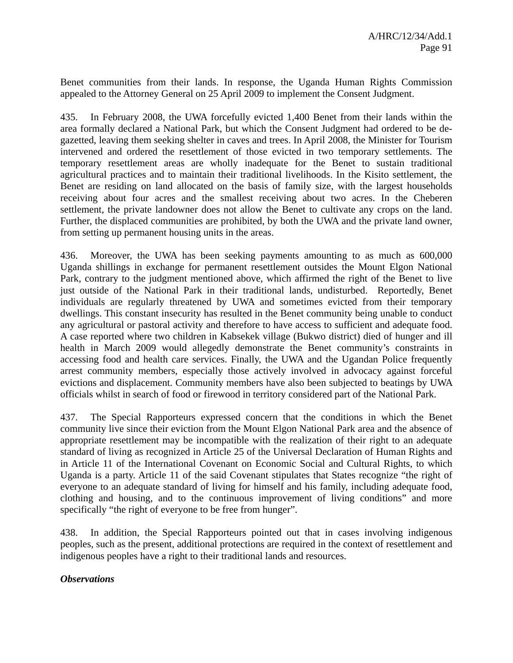Benet communities from their lands. In response, the Uganda Human Rights Commission appealed to the Attorney General on 25 April 2009 to implement the Consent Judgment.

435. In February 2008, the UWA forcefully evicted 1,400 Benet from their lands within the area formally declared a National Park, but which the Consent Judgment had ordered to be degazetted, leaving them seeking shelter in caves and trees. In April 2008, the Minister for Tourism intervened and ordered the resettlement of those evicted in two temporary settlements. The temporary resettlement areas are wholly inadequate for the Benet to sustain traditional agricultural practices and to maintain their traditional livelihoods. In the Kisito settlement, the Benet are residing on land allocated on the basis of family size, with the largest households receiving about four acres and the smallest receiving about two acres. In the Cheberen settlement, the private landowner does not allow the Benet to cultivate any crops on the land. Further, the displaced communities are prohibited, by both the UWA and the private land owner, from setting up permanent housing units in the areas.

436. Moreover, the UWA has been seeking payments amounting to as much as 600,000 Uganda shillings in exchange for permanent resettlement outsides the Mount Elgon National Park, contrary to the judgment mentioned above, which affirmed the right of the Benet to live just outside of the National Park in their traditional lands, undisturbed. Reportedly, Benet individuals are regularly threatened by UWA and sometimes evicted from their temporary dwellings. This constant insecurity has resulted in the Benet community being unable to conduct any agricultural or pastoral activity and therefore to have access to sufficient and adequate food. A case reported where two children in Kabsekek village (Bukwo district) died of hunger and ill health in March 2009 would allegedly demonstrate the Benet community's constraints in accessing food and health care services. Finally, the UWA and the Ugandan Police frequently arrest community members, especially those actively involved in advocacy against forceful evictions and displacement. Community members have also been subjected to beatings by UWA officials whilst in search of food or firewood in territory considered part of the National Park.

437. The Special Rapporteurs expressed concern that the conditions in which the Benet community live since their eviction from the Mount Elgon National Park area and the absence of appropriate resettlement may be incompatible with the realization of their right to an adequate standard of living as recognized in Article 25 of the Universal Declaration of Human Rights and in Article 11 of the International Covenant on Economic Social and Cultural Rights, to which Uganda is a party. Article 11 of the said Covenant stipulates that States recognize "the right of everyone to an adequate standard of living for himself and his family, including adequate food, clothing and housing, and to the continuous improvement of living conditions" and more specifically "the right of everyone to be free from hunger".

438. In addition, the Special Rapporteurs pointed out that in cases involving indigenous peoples, such as the present, additional protections are required in the context of resettlement and indigenous peoples have a right to their traditional lands and resources.

### *Observations*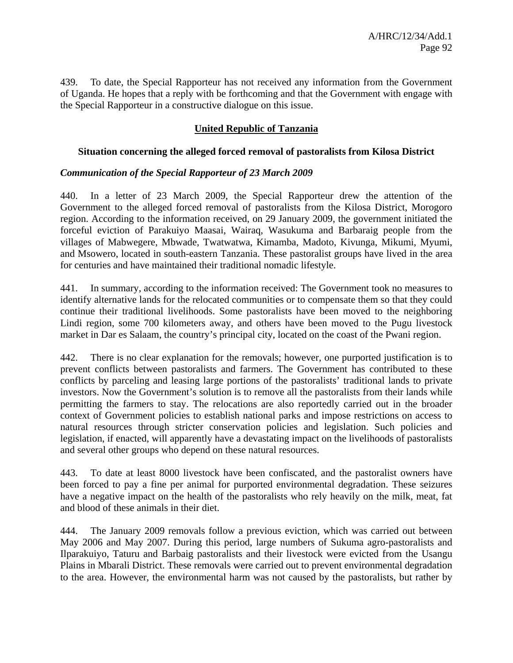439. To date, the Special Rapporteur has not received any information from the Government of Uganda. He hopes that a reply with be forthcoming and that the Government with engage with the Special Rapporteur in a constructive dialogue on this issue.

# **United Republic of Tanzania**

### **Situation concerning the alleged forced removal of pastoralists from Kilosa District**

### *Communication of the Special Rapporteur of 23 March 2009*

440. In a letter of 23 March 2009, the Special Rapporteur drew the attention of the Government to the alleged forced removal of pastoralists from the Kilosa District, Morogoro region. According to the information received, on 29 January 2009, the government initiated the forceful eviction of Parakuiyo Maasai, Wairaq, Wasukuma and Barbaraig people from the villages of Mabwegere, Mbwade, Twatwatwa, Kimamba, Madoto, Kivunga, Mikumi, Myumi, and Msowero, located in south-eastern Tanzania. These pastoralist groups have lived in the area for centuries and have maintained their traditional nomadic lifestyle.

441. In summary, according to the information received: The Government took no measures to identify alternative lands for the relocated communities or to compensate them so that they could continue their traditional livelihoods. Some pastoralists have been moved to the neighboring Lindi region, some 700 kilometers away, and others have been moved to the Pugu livestock market in Dar es Salaam, the country's principal city, located on the coast of the Pwani region.

442. There is no clear explanation for the removals; however, one purported justification is to prevent conflicts between pastoralists and farmers. The Government has contributed to these conflicts by parceling and leasing large portions of the pastoralists' traditional lands to private investors. Now the Government's solution is to remove all the pastoralists from their lands while permitting the farmers to stay. The relocations are also reportedly carried out in the broader context of Government policies to establish national parks and impose restrictions on access to natural resources through stricter conservation policies and legislation. Such policies and legislation, if enacted, will apparently have a devastating impact on the livelihoods of pastoralists and several other groups who depend on these natural resources.

443. To date at least 8000 livestock have been confiscated, and the pastoralist owners have been forced to pay a fine per animal for purported environmental degradation. These seizures have a negative impact on the health of the pastoralists who rely heavily on the milk, meat, fat and blood of these animals in their diet.

444. The January 2009 removals follow a previous eviction, which was carried out between May 2006 and May 2007. During this period, large numbers of Sukuma agro-pastoralists and Ilparakuiyo, Taturu and Barbaig pastoralists and their livestock were evicted from the Usangu Plains in Mbarali District. These removals were carried out to prevent environmental degradation to the area. However, the environmental harm was not caused by the pastoralists, but rather by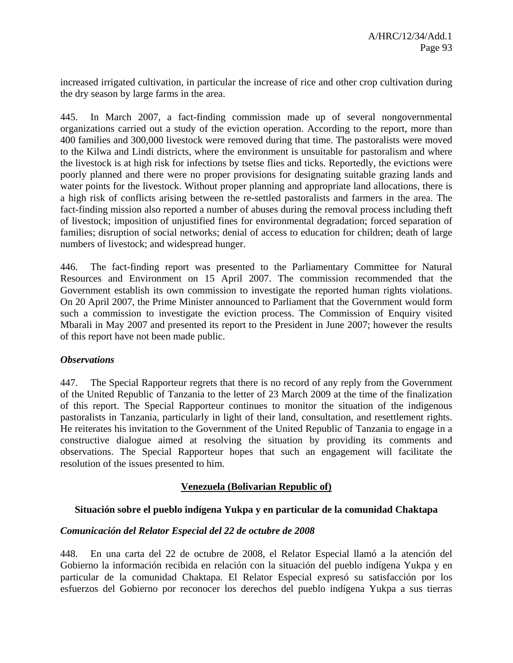increased irrigated cultivation, in particular the increase of rice and other crop cultivation during the dry season by large farms in the area.

445. In March 2007, a fact-finding commission made up of several nongovernmental organizations carried out a study of the eviction operation. According to the report, more than 400 families and 300,000 livestock were removed during that time. The pastoralists were moved to the Kilwa and Lindi districts, where the environment is unsuitable for pastoralism and where the livestock is at high risk for infections by tsetse flies and ticks. Reportedly, the evictions were poorly planned and there were no proper provisions for designating suitable grazing lands and water points for the livestock. Without proper planning and appropriate land allocations, there is a high risk of conflicts arising between the re-settled pastoralists and farmers in the area. The fact-finding mission also reported a number of abuses during the removal process including theft of livestock; imposition of unjustified fines for environmental degradation; forced separation of families; disruption of social networks; denial of access to education for children; death of large numbers of livestock; and widespread hunger.

446. The fact-finding report was presented to the Parliamentary Committee for Natural Resources and Environment on 15 April 2007. The commission recommended that the Government establish its own commission to investigate the reported human rights violations. On 20 April 2007, the Prime Minister announced to Parliament that the Government would form such a commission to investigate the eviction process. The Commission of Enquiry visited Mbarali in May 2007 and presented its report to the President in June 2007; however the results of this report have not been made public.

### *Observations*

447. The Special Rapporteur regrets that there is no record of any reply from the Government of the United Republic of Tanzania to the letter of 23 March 2009 at the time of the finalization of this report. The Special Rapporteur continues to monitor the situation of the indigenous pastoralists in Tanzania, particularly in light of their land, consultation, and resettlement rights. He reiterates his invitation to the Government of the United Republic of Tanzania to engage in a constructive dialogue aimed at resolving the situation by providing its comments and observations. The Special Rapporteur hopes that such an engagement will facilitate the resolution of the issues presented to him.

## **Venezuela (Bolivarian Republic of)**

### **Situación sobre el pueblo indígena Yukpa y en particular de la comunidad Chaktapa**

### *Comunicación del Relator Especial del 22 de octubre de 2008*

448. En una carta del 22 de octubre de 2008, el Relator Especial llamó a la atención del Gobierno la información recibida en relación con la situación del pueblo indígena Yukpa y en particular de la comunidad Chaktapa. El Relator Especial expresó su satisfacción por los esfuerzos del Gobierno por reconocer los derechos del pueblo indígena Yukpa a sus tierras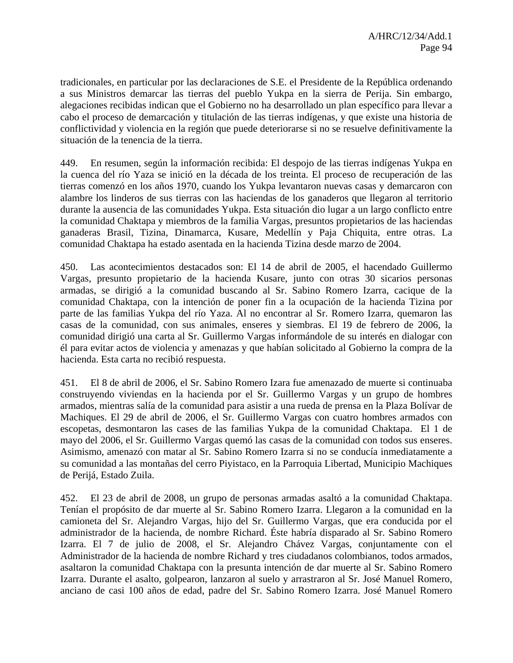tradicionales, en particular por las declaraciones de S.E. el Presidente de la República ordenando a sus Ministros demarcar las tierras del pueblo Yukpa en la sierra de Perija. Sin embargo, alegaciones recibidas indican que el Gobierno no ha desarrollado un plan específico para llevar a cabo el proceso de demarcación y titulación de las tierras indígenas, y que existe una historia de conflictividad y violencia en la región que puede deteriorarse si no se resuelve definitivamente la situación de la tenencia de la tierra.

449. En resumen, según la información recibida: El despojo de las tierras indígenas Yukpa en la cuenca del río Yaza se inició en la década de los treinta. El proceso de recuperación de las tierras comenzó en los años 1970, cuando los Yukpa levantaron nuevas casas y demarcaron con alambre los linderos de sus tierras con las haciendas de los ganaderos que llegaron al territorio durante la ausencia de las comunidades Yukpa. Esta situación dio lugar a un largo conflicto entre la comunidad Chaktapa y miembros de la familia Vargas, presuntos propietarios de las haciendas ganaderas Brasil, Tizina, Dinamarca, Kusare, Medellín y Paja Chiquita, entre otras. La comunidad Chaktapa ha estado asentada en la hacienda Tizina desde marzo de 2004.

450. Las acontecimientos destacados son: El 14 de abril de 2005, el hacendado Guillermo Vargas, presunto propietario de la hacienda Kusare, junto con otras 30 sicarios personas armadas, se dirigió a la comunidad buscando al Sr. Sabino Romero Izarra, cacique de la comunidad Chaktapa, con la intención de poner fin a la ocupación de la hacienda Tizina por parte de las familias Yukpa del río Yaza. Al no encontrar al Sr. Romero Izarra, quemaron las casas de la comunidad, con sus animales, enseres y siembras. El 19 de febrero de 2006, la comunidad dirigió una carta al Sr. Guillermo Vargas informándole de su interés en dialogar con él para evitar actos de violencia y amenazas y que habían solicitado al Gobierno la compra de la hacienda. Esta carta no recibió respuesta.

451. El 8 de abril de 2006, el Sr. Sabino Romero Izara fue amenazado de muerte si continuaba construyendo viviendas en la hacienda por el Sr. Guillermo Vargas y un grupo de hombres armados, mientras salía de la comunidad para asistir a una rueda de prensa en la Plaza Bolívar de Machiques. El 29 de abril de 2006, el Sr. Guillermo Vargas con cuatro hombres armados con escopetas, desmontaron las cases de las familias Yukpa de la comunidad Chaktapa. El 1 de mayo del 2006, el Sr. Guillermo Vargas quemó las casas de la comunidad con todos sus enseres. Asimismo, amenazó con matar al Sr. Sabino Romero Izarra si no se conducía inmediatamente a su comunidad a las montañas del cerro Piyistaco, en la Parroquia Libertad, Municipio Machiques de Perijá, Estado Zuila.

452. El 23 de abril de 2008, un grupo de personas armadas asaltó a la comunidad Chaktapa. Tenían el propósito de dar muerte al Sr. Sabino Romero Izarra. Llegaron a la comunidad en la camioneta del Sr. Alejandro Vargas, hijo del Sr. Guillermo Vargas, que era conducida por el administrador de la hacienda, de nombre Richard. Éste habría disparado al Sr. Sabino Romero Izarra. El 7 de julio de 2008, el Sr. Alejandro Chávez Vargas, conjuntamente con el Administrador de la hacienda de nombre Richard y tres ciudadanos colombianos, todos armados, asaltaron la comunidad Chaktapa con la presunta intención de dar muerte al Sr. Sabino Romero Izarra. Durante el asalto, golpearon, lanzaron al suelo y arrastraron al Sr. José Manuel Romero, anciano de casi 100 años de edad, padre del Sr. Sabino Romero Izarra. José Manuel Romero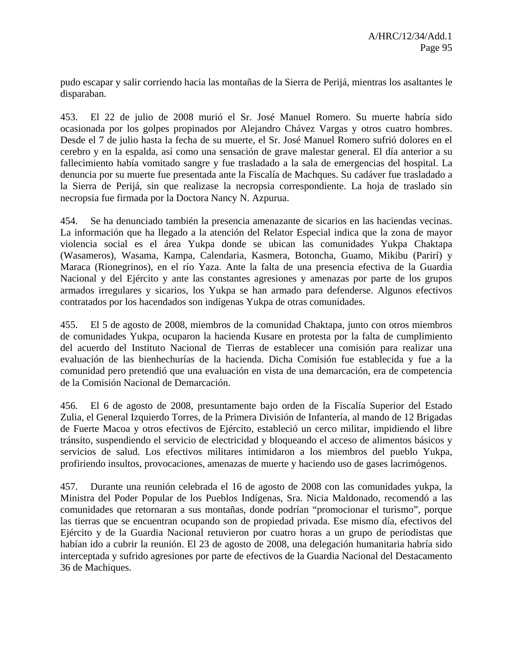pudo escapar y salir corriendo hacia las montañas de la Sierra de Perijá, mientras los asaltantes le disparaban.

453. El 22 de julio de 2008 murió el Sr. José Manuel Romero. Su muerte habría sido ocasionada por los golpes propinados por Alejandro Chávez Vargas y otros cuatro hombres. Desde el 7 de julio hasta la fecha de su muerte, el Sr. José Manuel Romero sufrió dolores en el cerebro y en la espalda, así como una sensación de grave malestar general. El día anterior a su fallecimiento había vomitado sangre y fue trasladado a la sala de emergencias del hospital. La denuncia por su muerte fue presentada ante la Fiscalía de Machques. Su cadáver fue trasladado a la Sierra de Perijá, sin que realizase la necropsia correspondiente. La hoja de traslado sin necropsia fue firmada por la Doctora Nancy N. Azpurua.

454. Se ha denunciado también la presencia amenazante de sicarios en las haciendas vecinas. La información que ha llegado a la atención del Relator Especial indica que la zona de mayor violencia social es el área Yukpa donde se ubican las comunidades Yukpa Chaktapa (Wasameros), Wasama, Kampa, Calendaria, Kasmera, Botoncha, Guamo, Mikibu (Parirí) y Maraca (Rionegrinos), en el río Yaza. Ante la falta de una presencia efectiva de la Guardia Nacional y del Ejército y ante las constantes agresiones y amenazas por parte de los grupos armados irregulares y sicarios, los Yukpa se han armado para defenderse. Algunos efectivos contratados por los hacendados son indígenas Yukpa de otras comunidades.

455. El 5 de agosto de 2008, miembros de la comunidad Chaktapa, junto con otros miembros de comunidades Yukpa, ocuparon la hacienda Kusare en protesta por la falta de cumplimiento del acuerdo del Instituto Nacional de Tierras de establecer una comisión para realizar una evaluación de las bienhechurías de la hacienda. Dicha Comisión fue establecida y fue a la comunidad pero pretendió que una evaluación en vista de una demarcación, era de competencia de la Comisión Nacional de Demarcación.

456. El 6 de agosto de 2008, presuntamente bajo orden de la Fiscalía Superior del Estado Zulia, el General Izquierdo Torres, de la Primera División de Infantería, al mando de 12 Brigadas de Fuerte Macoa y otros efectivos de Ejército, estableció un cerco militar, impidiendo el libre tránsito, suspendiendo el servicio de electricidad y bloqueando el acceso de alimentos básicos y servicios de salud. Los efectivos militares intimidaron a los miembros del pueblo Yukpa, profiriendo insultos, provocaciones, amenazas de muerte y haciendo uso de gases lacrimógenos.

457. Durante una reunión celebrada el 16 de agosto de 2008 con las comunidades yukpa, la Ministra del Poder Popular de los Pueblos Indígenas, Sra. Nicia Maldonado, recomendó a las comunidades que retornaran a sus montañas, donde podrían "promocionar el turismo", porque las tierras que se encuentran ocupando son de propiedad privada. Ese mismo día, efectivos del Ejército y de la Guardia Nacional retuvieron por cuatro horas a un grupo de periodistas que habían ido a cubrir la reunión. El 23 de agosto de 2008, una delegación humanitaria habría sido interceptada y sufrido agresiones por parte de efectivos de la Guardia Nacional del Destacamento 36 de Machiques.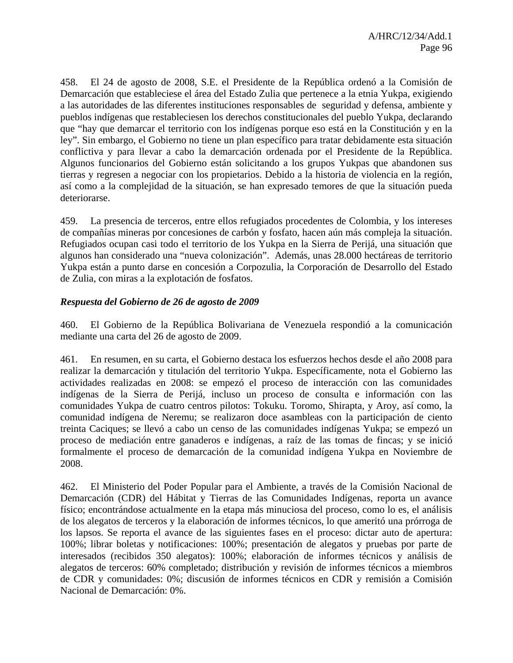458. El 24 de agosto de 2008, S.E. el Presidente de la República ordenó a la Comisión de Demarcación que estableciese el área del Estado Zulia que pertenece a la etnia Yukpa, exigiendo a las autoridades de las diferentes instituciones responsables de seguridad y defensa, ambiente y pueblos indígenas que restableciesen los derechos constitucionales del pueblo Yukpa, declarando que "hay que demarcar el territorio con los indígenas porque eso está en la Constitución y en la ley". Sin embargo, el Gobierno no tiene un plan específico para tratar debidamente esta situación conflictiva y para llevar a cabo la demarcación ordenada por el Presidente de la República. Algunos funcionarios del Gobierno están solicitando a los grupos Yukpas que abandonen sus tierras y regresen a negociar con los propietarios. Debido a la historia de violencia en la región, así como a la complejidad de la situación, se han expresado temores de que la situación pueda deteriorarse.

459. La presencia de terceros, entre ellos refugiados procedentes de Colombia, y los intereses de compañías mineras por concesiones de carbón y fosfato, hacen aún más compleja la situación. Refugiados ocupan casi todo el territorio de los Yukpa en la Sierra de Perijá, una situación que algunos han considerado una "nueva colonización". Además, unas 28.000 hectáreas de territorio Yukpa están a punto darse en concesión a Corpozulia, la Corporación de Desarrollo del Estado de Zulia, con miras a la explotación de fosfatos.

## *Respuesta del Gobierno de 26 de agosto de 2009*

460. El Gobierno de la República Bolivariana de Venezuela respondió a la comunicación mediante una carta del 26 de agosto de 2009.

461. En resumen, en su carta, el Gobierno destaca los esfuerzos hechos desde el año 2008 para realizar la demarcación y titulación del territorio Yukpa. Específicamente, nota el Gobierno las actividades realizadas en 2008: se empezó el proceso de interacción con las comunidades indígenas de la Sierra de Perijá, incluso un proceso de consulta e información con las comunidades Yukpa de cuatro centros pilotos: Tokuku. Toromo, Shirapta, y Aroy, así como, la comunidad indígena de Neremu; se realizaron doce asambleas con la participación de ciento treinta Caciques; se llevó a cabo un censo de las comunidades indígenas Yukpa; se empezó un proceso de mediación entre ganaderos e indígenas, a raíz de las tomas de fincas; y se inició formalmente el proceso de demarcación de la comunidad indígena Yukpa en Noviembre de 2008.

462. El Ministerio del Poder Popular para el Ambiente, a través de la Comisión Nacional de Demarcación (CDR) del Hábitat y Tierras de las Comunidades Indígenas, reporta un avance físico; encontrándose actualmente en la etapa más minuciosa del proceso, como lo es, el análisis de los alegatos de terceros y la elaboración de informes técnicos, lo que ameritó una prórroga de los lapsos. Se reporta el avance de las siguientes fases en el proceso: dictar auto de apertura: 100%; librar boletas y notificaciones: 100%; presentación de alegatos y pruebas por parte de interesados (recibidos 350 alegatos): 100%; elaboración de informes técnicos y análisis de alegatos de terceros: 60% completado; distribución y revisión de informes técnicos a miembros de CDR y comunidades: 0%; discusión de informes técnicos en CDR y remisión a Comisión Nacional de Demarcación: 0%.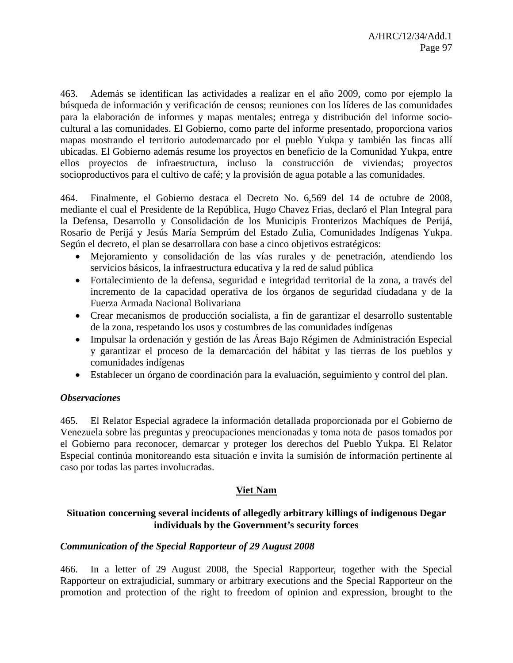463. Además se identifican las actividades a realizar en el año 2009, como por ejemplo la búsqueda de información y verificación de censos; reuniones con los líderes de las comunidades para la elaboración de informes y mapas mentales; entrega y distribución del informe sociocultural a las comunidades. El Gobierno, como parte del informe presentado, proporciona varios mapas mostrando el territorio autodemarcado por el pueblo Yukpa y también las fincas allí ubicadas. El Gobierno además resume los proyectos en beneficio de la Comunidad Yukpa, entre ellos proyectos de infraestructura, incluso la construcción de viviendas; proyectos socioproductivos para el cultivo de café; y la provisión de agua potable a las comunidades.

464. Finalmente, el Gobierno destaca el Decreto No. 6,569 del 14 de octubre de 2008, mediante el cual el Presidente de la República, Hugo Chavez Frias, declaró el Plan Integral para la Defensa, Desarrollo y Consolidación de los Municipis Fronterizos Machíques de Perijá, Rosario de Perijá y Jesús María Semprúm del Estado Zulia, Comunidades Indígenas Yukpa. Según el decreto, el plan se desarrollara con base a cinco objetivos estratégicos:

- Mejoramiento y consolidación de las vías rurales y de penetración, atendiendo los servicios básicos, la infraestructura educativa y la red de salud pública
- Fortalecimiento de la defensa, seguridad e integridad territorial de la zona, a través del incremento de la capacidad operativa de los órganos de seguridad ciudadana y de la Fuerza Armada Nacional Bolivariana
- Crear mecanismos de producción socialista, a fin de garantizar el desarrollo sustentable de la zona, respetando los usos y costumbres de las comunidades indígenas
- Impulsar la ordenación y gestión de las Áreas Bajo Régimen de Administración Especial y garantizar el proceso de la demarcación del hábitat y las tierras de los pueblos y comunidades indígenas
- Establecer un órgano de coordinación para la evaluación, seguimiento y control del plan.

## *Observaciones*

465. El Relator Especial agradece la información detallada proporcionada por el Gobierno de Venezuela sobre las preguntas y preocupaciones mencionadas y toma nota de pasos tomados por el Gobierno para reconocer, demarcar y proteger los derechos del Pueblo Yukpa. El Relator Especial continúa monitoreando esta situación e invita la sumisión de información pertinente al caso por todas las partes involucradas.

## **Viet Nam**

## **Situation concerning several incidents of allegedly arbitrary killings of indigenous Degar individuals by the Government's security forces**

## *Communication of the Special Rapporteur of 29 August 2008*

466. In a letter of 29 August 2008, the Special Rapporteur, together with the Special Rapporteur on extrajudicial, summary or arbitrary executions and the Special Rapporteur on the promotion and protection of the right to freedom of opinion and expression, brought to the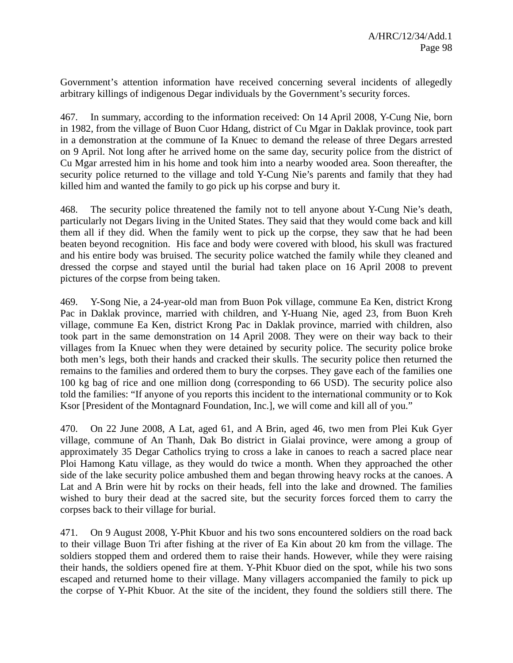Government's attention information have received concerning several incidents of allegedly arbitrary killings of indigenous Degar individuals by the Government's security forces.

467. In summary, according to the information received: On 14 April 2008, Y-Cung Nie, born in 1982, from the village of Buon Cuor Hdang, district of Cu Mgar in Daklak province, took part in a demonstration at the commune of Ia Knuec to demand the release of three Degars arrested on 9 April. Not long after he arrived home on the same day, security police from the district of Cu Mgar arrested him in his home and took him into a nearby wooded area. Soon thereafter, the security police returned to the village and told Y-Cung Nie's parents and family that they had killed him and wanted the family to go pick up his corpse and bury it.

468. The security police threatened the family not to tell anyone about Y-Cung Nie's death, particularly not Degars living in the United States. They said that they would come back and kill them all if they did. When the family went to pick up the corpse, they saw that he had been beaten beyond recognition. His face and body were covered with blood, his skull was fractured and his entire body was bruised. The security police watched the family while they cleaned and dressed the corpse and stayed until the burial had taken place on 16 April 2008 to prevent pictures of the corpse from being taken.

469. Y-Song Nie, a 24-year-old man from Buon Pok village, commune Ea Ken, district Krong Pac in Daklak province, married with children, and Y-Huang Nie, aged 23, from Buon Kreh village, commune Ea Ken, district Krong Pac in Daklak province, married with children, also took part in the same demonstration on 14 April 2008. They were on their way back to their villages from Ia Knuec when they were detained by security police. The security police broke both men's legs, both their hands and cracked their skulls. The security police then returned the remains to the families and ordered them to bury the corpses. They gave each of the families one 100 kg bag of rice and one million dong (corresponding to 66 USD). The security police also told the families: "If anyone of you reports this incident to the international community or to Kok Ksor [President of the Montagnard Foundation, Inc.], we will come and kill all of you."

470. On 22 June 2008, A Lat, aged 61, and A Brin, aged 46, two men from Plei Kuk Gyer village, commune of An Thanh, Dak Bo district in Gialai province, were among a group of approximately 35 Degar Catholics trying to cross a lake in canoes to reach a sacred place near Ploi Hamong Katu village, as they would do twice a month. When they approached the other side of the lake security police ambushed them and began throwing heavy rocks at the canoes. A Lat and A Brin were hit by rocks on their heads, fell into the lake and drowned. The families wished to bury their dead at the sacred site, but the security forces forced them to carry the corpses back to their village for burial.

471. On 9 August 2008, Y-Phit Kbuor and his two sons encountered soldiers on the road back to their village Buon Tri after fishing at the river of Ea Kin about 20 km from the village. The soldiers stopped them and ordered them to raise their hands. However, while they were raising their hands, the soldiers opened fire at them. Y-Phit Kbuor died on the spot, while his two sons escaped and returned home to their village. Many villagers accompanied the family to pick up the corpse of Y-Phit Kbuor. At the site of the incident, they found the soldiers still there. The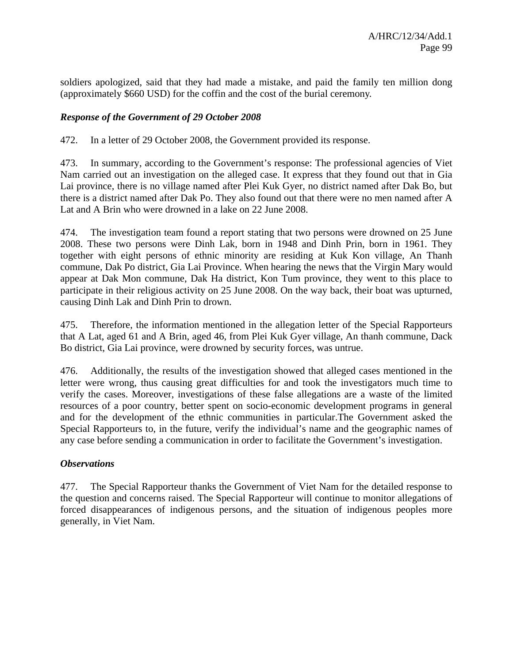soldiers apologized, said that they had made a mistake, and paid the family ten million dong (approximately \$660 USD) for the coffin and the cost of the burial ceremony.

## *Response of the Government of 29 October 2008*

472. In a letter of 29 October 2008, the Government provided its response.

473. In summary, according to the Government's response: The professional agencies of Viet Nam carried out an investigation on the alleged case. It express that they found out that in Gia Lai province, there is no village named after Plei Kuk Gyer, no district named after Dak Bo, but there is a district named after Dak Po. They also found out that there were no men named after A Lat and A Brin who were drowned in a lake on 22 June 2008.

474. The investigation team found a report stating that two persons were drowned on 25 June 2008. These two persons were Dinh Lak, born in 1948 and Dinh Prin, born in 1961. They together with eight persons of ethnic minority are residing at Kuk Kon village, An Thanh commune, Dak Po district, Gia Lai Province. When hearing the news that the Virgin Mary would appear at Dak Mon commune, Dak Ha district, Kon Tum province, they went to this place to participate in their religious activity on 25 June 2008. On the way back, their boat was upturned, causing Dinh Lak and Dinh Prin to drown.

475. Therefore, the information mentioned in the allegation letter of the Special Rapporteurs that A Lat, aged 61 and A Brin, aged 46, from Plei Kuk Gyer village, An thanh commune, Dack Bo district, Gia Lai province, were drowned by security forces, was untrue.

476. Additionally, the results of the investigation showed that alleged cases mentioned in the letter were wrong, thus causing great difficulties for and took the investigators much time to verify the cases. Moreover, investigations of these false allegations are a waste of the limited resources of a poor country, better spent on socio-economic development programs in general and for the development of the ethnic communities in particular.The Government asked the Special Rapporteurs to, in the future, verify the individual's name and the geographic names of any case before sending a communication in order to facilitate the Government's investigation.

### *Observations*

477. The Special Rapporteur thanks the Government of Viet Nam for the detailed response to the question and concerns raised. The Special Rapporteur will continue to monitor allegations of forced disappearances of indigenous persons, and the situation of indigenous peoples more generally, in Viet Nam.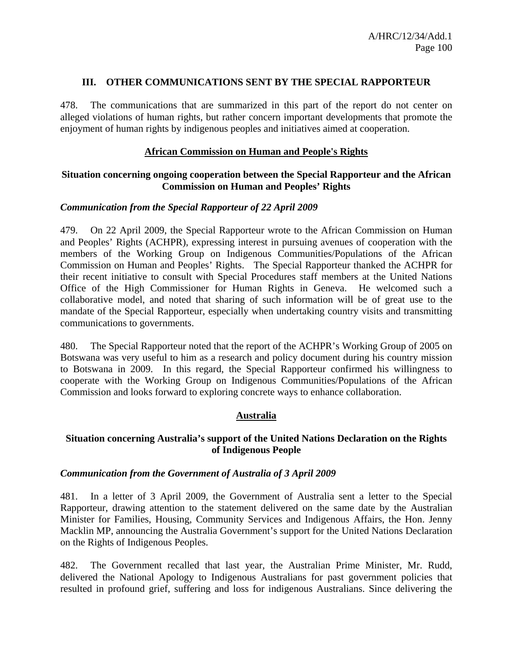### **III. OTHER COMMUNICATIONS SENT BY THE SPECIAL RAPPORTEUR**

478. The communications that are summarized in this part of the report do not center on alleged violations of human rights, but rather concern important developments that promote the enjoyment of human rights by indigenous peoples and initiatives aimed at cooperation.

## **African Commission on Human and People's Rights**

## **Situation concerning ongoing cooperation between the Special Rapporteur and the African Commission on Human and Peoples' Rights**

### *Communication from the Special Rapporteur of 22 April 2009*

479. On 22 April 2009, the Special Rapporteur wrote to the African Commission on Human and Peoples' Rights (ACHPR), expressing interest in pursuing avenues of cooperation with the members of the Working Group on Indigenous Communities/Populations of the African Commission on Human and Peoples' Rights. The Special Rapporteur thanked the ACHPR for their recent initiative to consult with Special Procedures staff members at the United Nations Office of the High Commissioner for Human Rights in Geneva. He welcomed such a collaborative model, and noted that sharing of such information will be of great use to the mandate of the Special Rapporteur, especially when undertaking country visits and transmitting communications to governments.

480. The Special Rapporteur noted that the report of the ACHPR's Working Group of 2005 on Botswana was very useful to him as a research and policy document during his country mission to Botswana in 2009. In this regard, the Special Rapporteur confirmed his willingness to cooperate with the Working Group on Indigenous Communities/Populations of the African Commission and looks forward to exploring concrete ways to enhance collaboration.

## **Australia**

## **Situation concerning Australia's support of the United Nations Declaration on the Rights of Indigenous People**

### *Communication from the Government of Australia of 3 April 2009*

481. In a letter of 3 April 2009, the Government of Australia sent a letter to the Special Rapporteur, drawing attention to the statement delivered on the same date by the Australian Minister for Families, Housing, Community Services and Indigenous Affairs, the Hon. Jenny Macklin MP, announcing the Australia Government's support for the United Nations Declaration on the Rights of Indigenous Peoples.

482. The Government recalled that last year, the Australian Prime Minister, Mr. Rudd, delivered the National Apology to Indigenous Australians for past government policies that resulted in profound grief, suffering and loss for indigenous Australians. Since delivering the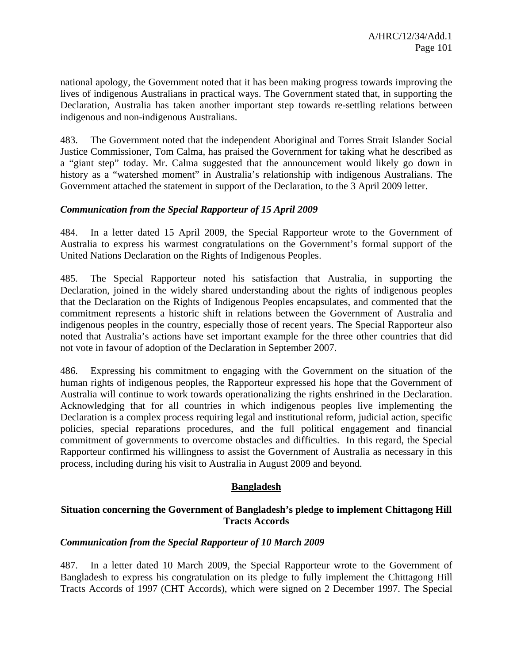national apology, the Government noted that it has been making progress towards improving the lives of indigenous Australians in practical ways. The Government stated that, in supporting the Declaration, Australia has taken another important step towards re-settling relations between indigenous and non-indigenous Australians.

483. The Government noted that the independent Aboriginal and Torres Strait Islander Social Justice Commissioner, Tom Calma, has praised the Government for taking what he described as a "giant step" today. Mr. Calma suggested that the announcement would likely go down in history as a "watershed moment" in Australia's relationship with indigenous Australians. The Government attached the statement in support of the Declaration, to the 3 April 2009 letter.

## *Communication from the Special Rapporteur of 15 April 2009*

484. In a letter dated 15 April 2009, the Special Rapporteur wrote to the Government of Australia to express his warmest congratulations on the Government's formal support of the United Nations Declaration on the Rights of Indigenous Peoples.

485. The Special Rapporteur noted his satisfaction that Australia, in supporting the Declaration, joined in the widely shared understanding about the rights of indigenous peoples that the Declaration on the Rights of Indigenous Peoples encapsulates, and commented that the commitment represents a historic shift in relations between the Government of Australia and indigenous peoples in the country, especially those of recent years. The Special Rapporteur also noted that Australia's actions have set important example for the three other countries that did not vote in favour of adoption of the Declaration in September 2007.

486. Expressing his commitment to engaging with the Government on the situation of the human rights of indigenous peoples, the Rapporteur expressed his hope that the Government of Australia will continue to work towards operationalizing the rights enshrined in the Declaration. Acknowledging that for all countries in which indigenous peoples live implementing the Declaration is a complex process requiring legal and institutional reform, judicial action, specific policies, special reparations procedures, and the full political engagement and financial commitment of governments to overcome obstacles and difficulties. In this regard, the Special Rapporteur confirmed his willingness to assist the Government of Australia as necessary in this process, including during his visit to Australia in August 2009 and beyond.

## **Bangladesh**

## **Situation concerning the Government of Bangladesh's pledge to implement Chittagong Hill Tracts Accords**

### *Communication from the Special Rapporteur of 10 March 2009*

487. In a letter dated 10 March 2009, the Special Rapporteur wrote to the Government of Bangladesh to express his congratulation on its pledge to fully implement the Chittagong Hill Tracts Accords of 1997 (CHT Accords), which were signed on 2 December 1997. The Special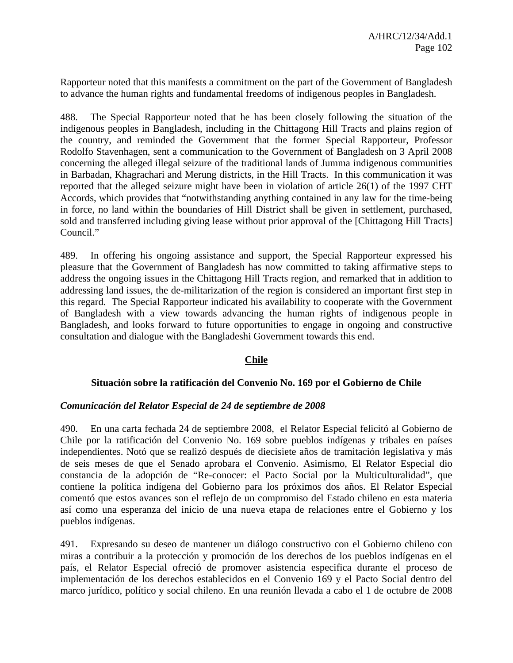Rapporteur noted that this manifests a commitment on the part of the Government of Bangladesh to advance the human rights and fundamental freedoms of indigenous peoples in Bangladesh.

488. The Special Rapporteur noted that he has been closely following the situation of the indigenous peoples in Bangladesh, including in the Chittagong Hill Tracts and plains region of the country, and reminded the Government that the former Special Rapporteur, Professor Rodolfo Stavenhagen, sent a communication to the Government of Bangladesh on 3 April 2008 concerning the alleged illegal seizure of the traditional lands of Jumma indigenous communities in Barbadan, Khagrachari and Merung districts, in the Hill Tracts. In this communication it was reported that the alleged seizure might have been in violation of article 26(1) of the 1997 CHT Accords, which provides that "notwithstanding anything contained in any law for the time-being in force, no land within the boundaries of Hill District shall be given in settlement, purchased, sold and transferred including giving lease without prior approval of the [Chittagong Hill Tracts] Council."

489. In offering his ongoing assistance and support, the Special Rapporteur expressed his pleasure that the Government of Bangladesh has now committed to taking affirmative steps to address the ongoing issues in the Chittagong Hill Tracts region, and remarked that in addition to addressing land issues, the de-militarization of the region is considered an important first step in this regard. The Special Rapporteur indicated his availability to cooperate with the Government of Bangladesh with a view towards advancing the human rights of indigenous people in Bangladesh, and looks forward to future opportunities to engage in ongoing and constructive consultation and dialogue with the Bangladeshi Government towards this end.

## **Chile**

### **Situación sobre la ratificación del Convenio No. 169 por el Gobierno de Chile**

#### *Comunicación del Relator Especial de 24 de septiembre de 2008*

490. En una carta fechada 24 de septiembre 2008, el Relator Especial felicitó al Gobierno de Chile por la ratificación del Convenio No. 169 sobre pueblos indígenas y tribales en países independientes. Notó que se realizó después de diecisiete años de tramitación legislativa y más de seis meses de que el Senado aprobara el Convenio. Asimismo, El Relator Especial dio constancia de la adopción de "Re-conocer: el Pacto Social por la Multiculturalidad", que contiene la política indígena del Gobierno para los próximos dos años. El Relator Especial comentó que estos avances son el reflejo de un compromiso del Estado chileno en esta materia así como una esperanza del inicio de una nueva etapa de relaciones entre el Gobierno y los pueblos indígenas.

491. Expresando su deseo de mantener un diálogo constructivo con el Gobierno chileno con miras a contribuir a la protección y promoción de los derechos de los pueblos indígenas en el país, el Relator Especial ofreció de promover asistencia especifica durante el proceso de implementación de los derechos establecidos en el Convenio 169 y el Pacto Social dentro del marco jurídico, político y social chileno. En una reunión llevada a cabo el 1 de octubre de 2008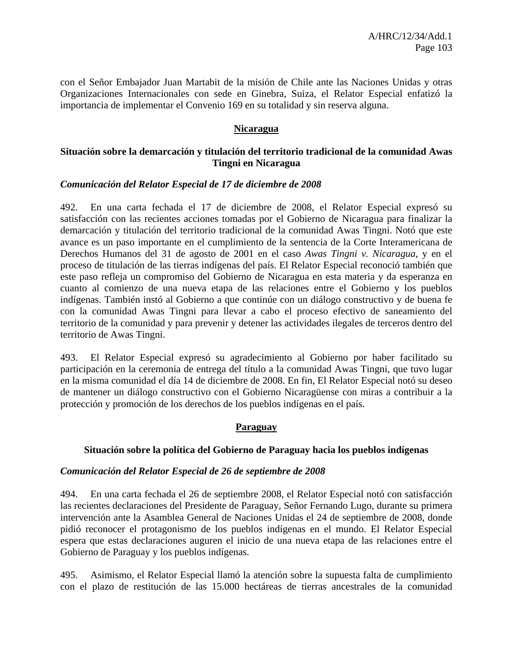con el Señor Embajador Juan Martabit de la misión de Chile ante las Naciones Unidas y otras Organizaciones Internacionales con sede en Ginebra, Suiza, el Relator Especial enfatizó la importancia de implementar el Convenio 169 en su totalidad y sin reserva alguna.

### **Nicaragua**

## **Situación sobre la demarcación y titulación del territorio tradicional de la comunidad Awas Tingni en Nicaragua**

### *Comunicación del Relator Especial de 17 de diciembre de 2008*

492. En una carta fechada el 17 de diciembre de 2008, el Relator Especial expresó su satisfacción con las recientes acciones tomadas por el Gobierno de Nicaragua para finalizar la demarcación y titulación del territorio tradicional de la comunidad Awas Tingni. Notó que este avance es un paso importante en el cumplimiento de la sentencia de la Corte Interamericana de Derechos Humanos del 31 de agosto de 2001 en el caso *Awas Tingni v. Nicaragua*, y en el proceso de titulación de las tierras indígenas del país. El Relator Especial reconoció también que este paso refleja un compromiso del Gobierno de Nicaragua en esta materia y da esperanza en cuanto al comienzo de una nueva etapa de las relaciones entre el Gobierno y los pueblos indígenas. También instó al Gobierno a que continúe con un diálogo constructivo y de buena fe con la comunidad Awas Tingni para llevar a cabo el proceso efectivo de saneamiento del territorio de la comunidad y para prevenir y detener las actividades ilegales de terceros dentro del territorio de Awas Tingni.

493. El Relator Especial expresó su agradecimiento al Gobierno por haber facilitado su participación en la ceremonia de entrega del título a la comunidad Awas Tingni, que tuvo lugar en la misma comunidad el día 14 de diciembre de 2008. En fin, El Relator Especial notó su deseo de mantener un diálogo constructivo con el Gobierno Nicaragüense con miras a contribuir a la protección y promoción de los derechos de los pueblos indígenas en el país.

## **Paraguay**

### **Situación sobre la política del Gobierno de Paraguay hacia los pueblos indígenas**

### *Comunicación del Relator Especial de 26 de septiembre de 2008*

494. En una carta fechada el 26 de septiembre 2008, el Relator Especial notó con satisfacción las recientes declaraciones del Presidente de Paraguay, Señor Fernando Lugo, durante su primera intervención ante la Asamblea General de Naciones Unidas el 24 de septiembre de 2008, donde pidió reconocer el protagonismo de los pueblos indígenas en el mundo. El Relator Especial espera que estas declaraciones auguren el inicio de una nueva etapa de las relaciones entre el Gobierno de Paraguay y los pueblos indígenas.

495. Asimismo, el Relator Especial llamó la atención sobre la supuesta falta de cumplimiento con el plazo de restitución de las 15.000 hectáreas de tierras ancestrales de la comunidad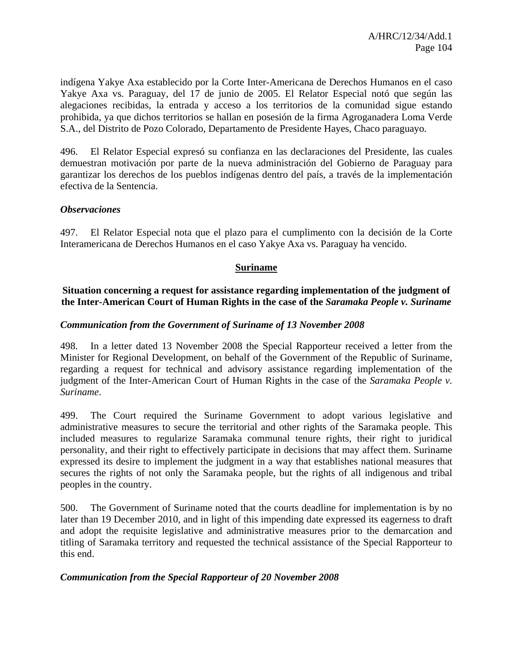indígena Yakye Axa establecido por la Corte Inter-Americana de Derechos Humanos en el caso Yakye Axa vs. Paraguay, del 17 de junio de 2005. El Relator Especial notó que según las alegaciones recibidas, la entrada y acceso a los territorios de la comunidad sigue estando prohibida, ya que dichos territorios se hallan en posesión de la firma Agroganadera Loma Verde S.A., del Distrito de Pozo Colorado, Departamento de Presidente Hayes, Chaco paraguayo.

496. El Relator Especial expresó su confianza en las declaraciones del Presidente, las cuales demuestran motivación por parte de la nueva administración del Gobierno de Paraguay para garantizar los derechos de los pueblos indígenas dentro del país, a través de la implementación efectiva de la Sentencia.

## *Observaciones*

497. El Relator Especial nota que el plazo para el cumplimento con la decisión de la Corte Interamericana de Derechos Humanos en el caso Yakye Axa vs. Paraguay ha vencido.

### **Suriname**

### **Situation concerning a request for assistance regarding implementation of the judgment of the Inter-American Court of Human Rights in the case of the** *Saramaka People v. Suriname*

### *Communication from the Government of Suriname of 13 November 2008*

498. In a letter dated 13 November 2008 the Special Rapporteur received a letter from the Minister for Regional Development, on behalf of the Government of the Republic of Suriname, regarding a request for technical and advisory assistance regarding implementation of the judgment of the Inter-American Court of Human Rights in the case of the *Saramaka People v. Suriname*.

499. The Court required the Suriname Government to adopt various legislative and administrative measures to secure the territorial and other rights of the Saramaka people. This included measures to regularize Saramaka communal tenure rights, their right to juridical personality, and their right to effectively participate in decisions that may affect them. Suriname expressed its desire to implement the judgment in a way that establishes national measures that secures the rights of not only the Saramaka people, but the rights of all indigenous and tribal peoples in the country.

500. The Government of Suriname noted that the courts deadline for implementation is by no later than 19 December 2010, and in light of this impending date expressed its eagerness to draft and adopt the requisite legislative and administrative measures prior to the demarcation and titling of Saramaka territory and requested the technical assistance of the Special Rapporteur to this end.

### *Communication from the Special Rapporteur of 20 November 2008*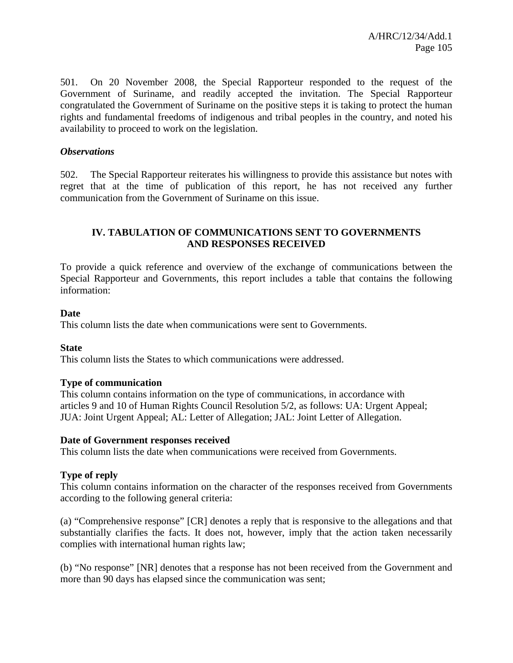501. On 20 November 2008, the Special Rapporteur responded to the request of the Government of Suriname, and readily accepted the invitation. The Special Rapporteur congratulated the Government of Suriname on the positive steps it is taking to protect the human rights and fundamental freedoms of indigenous and tribal peoples in the country, and noted his availability to proceed to work on the legislation.

### *Observations*

502. The Special Rapporteur reiterates his willingness to provide this assistance but notes with regret that at the time of publication of this report, he has not received any further communication from the Government of Suriname on this issue.

## **IV. TABULATION OF COMMUNICATIONS SENT TO GOVERNMENTS AND RESPONSES RECEIVED**

To provide a quick reference and overview of the exchange of communications between the Special Rapporteur and Governments, this report includes a table that contains the following information:

### **Date**

This column lists the date when communications were sent to Governments.

### **State**

This column lists the States to which communications were addressed.

### **Type of communication**

This column contains information on the type of communications, in accordance with articles 9 and 10 of Human Rights Council Resolution 5/2, as follows: UA: Urgent Appeal; JUA: Joint Urgent Appeal; AL: Letter of Allegation; JAL: Joint Letter of Allegation.

### **Date of Government responses received**

This column lists the date when communications were received from Governments.

### **Type of reply**

This column contains information on the character of the responses received from Governments according to the following general criteria:

(a) "Comprehensive response" [CR] denotes a reply that is responsive to the allegations and that substantially clarifies the facts. It does not, however, imply that the action taken necessarily complies with international human rights law;

(b) "No response" [NR] denotes that a response has not been received from the Government and more than 90 days has elapsed since the communication was sent;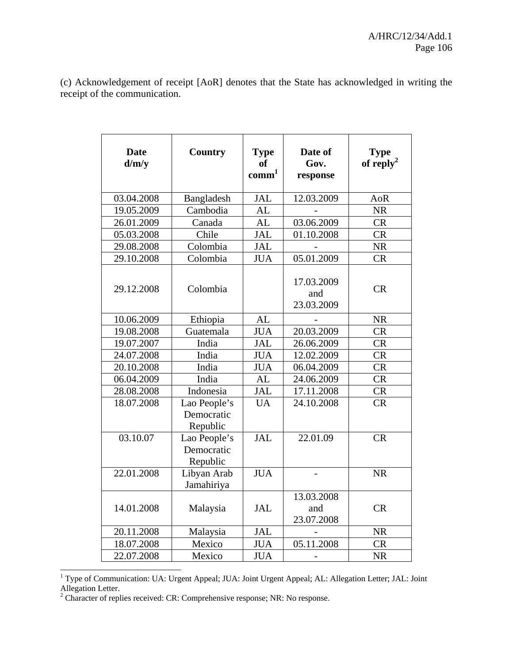(c) Acknowledgement of receipt [AoR] denotes that the State has acknowledged in writing the receipt of the communication.

| <b>Date</b><br>d/m/v | <b>Country</b>                         | <b>Type</b><br>of<br>comm <sup>1</sup> | Date of<br>Gov.<br>response     | <b>Type</b><br>of reply <sup>2</sup> |
|----------------------|----------------------------------------|----------------------------------------|---------------------------------|--------------------------------------|
| 03.04.2008           | Bangladesh                             | <b>JAL</b>                             | 12.03.2009                      | AoR                                  |
| 19.05.2009           | Cambodia                               | <b>AL</b>                              |                                 | <b>NR</b>                            |
| 26.01.2009           | Canada                                 | <b>AL</b>                              | 03.06.2009                      | <b>CR</b>                            |
| 05.03.2008           | Chile                                  | <b>JAL</b>                             | 01.10.2008                      | <b>CR</b>                            |
| 29.08.2008           | Colombia                               | <b>JAL</b>                             |                                 | <b>NR</b>                            |
| 29.10.2008           | Colombia                               | <b>JUA</b>                             | 05.01.2009                      | <b>CR</b>                            |
| 29.12.2008           | Colombia                               |                                        | 17.03.2009<br>and<br>23.03.2009 | CR                                   |
| 10.06.2009           | Ethiopia                               | <b>AL</b>                              |                                 | <b>NR</b>                            |
| 19.08.2008           | Guatemala                              | <b>JUA</b>                             | 20.03.2009                      | <b>CR</b>                            |
| 19.07.2007           | India                                  | <b>JAL</b>                             | 26.06.2009                      | <b>CR</b>                            |
| 24.07.2008           | India                                  | <b>JUA</b>                             | 12.02.2009                      | <b>CR</b>                            |
| 20.10.2008           | India                                  | <b>JUA</b>                             | 06.04.2009                      | <b>CR</b>                            |
| 06.04.2009           | India                                  | <b>AL</b>                              | 24.06.2009                      | <b>CR</b>                            |
| 28.08.2008           | Indonesia                              | <b>JAL</b>                             | 17.11.2008                      | <b>CR</b>                            |
| 18.07.2008           | Lao People's<br>Democratic<br>Republic | <b>UA</b>                              | 24.10.2008                      | <b>CR</b>                            |
| 03.10.07             | Lao People's<br>Democratic<br>Republic | JAL                                    | 22.01.09                        | <b>CR</b>                            |
| 22.01.2008           | Libyan Arab<br>Jamahiriya              | <b>JUA</b>                             |                                 | <b>NR</b>                            |
| 14.01.2008           | Malaysia                               | <b>JAL</b>                             | 13.03.2008<br>and<br>23.07.2008 | <b>CR</b>                            |
| 20.11.2008           | Malaysia                               | <b>JAL</b>                             |                                 | <b>NR</b>                            |
| 18.07.2008           | Mexico                                 | <b>JUA</b>                             | 05.11.2008                      | <b>CR</b>                            |
| 22.07.2008           | Mexico                                 | <b>JUA</b>                             |                                 | <b>NR</b>                            |

 1 Type of Communication: UA: Urgent Appeal; JUA: Joint Urgent Appeal; AL: Allegation Letter; JAL: Joint

Allegation Letter.<br><sup>2</sup> Character of replies received: CR: Comprehensive response; NR: No response.